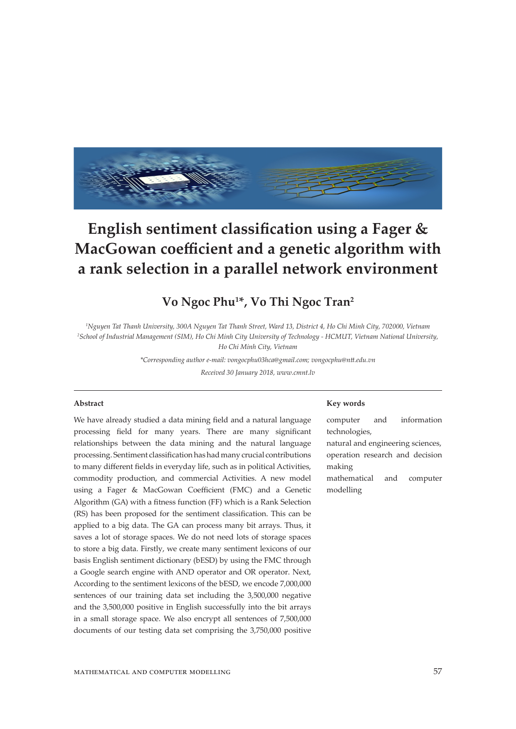

# **English sentiment classification using a Fager & MacGowan coefficient and a genetic algorithm with a rank selection in a parallel network environment**

# **Vo Ngoc Phu<sup>1</sup> \*, Vo Thi Ngoc Tran<sup>2</sup>**

*1 Nguyen Tat Thanh University, 300A Nguyen Tat Thanh Street, Ward 13, District 4, Ho Chi Minh City, 702000, Vietnam 2 School of Industrial Management (SIM), Ho Chi Minh City University of Technology - HCMUT, Vietnam National University, Ho Chi Minh City, Vietnam*

*\*Corresponding author e-mail: vongocphu03hca@gmail.com; vongocphu@ntt.edu.vn*

*Received 30 January 2018, www.cmnt.lv*

#### **Abstract**

We have already studied a data mining field and a natural language processing field for many years. There are many significant relationships between the data mining and the natural language processing. Sentiment classification has had many crucial contributions to many different fields in everyday life, such as in political Activities, commodity production, and commercial Activities. A new model using a Fager & MacGowan Coefficient (FMC) and a Genetic Algorithm (GA) with a fitness function (FF) which is a Rank Selection (RS) has been proposed for the sentiment classification. This can be applied to a big data. The GA can process many bit arrays. Thus, it saves a lot of storage spaces. We do not need lots of storage spaces to store a big data. Firstly, we create many sentiment lexicons of our basis English sentiment dictionary (bESD) by using the FMC through a Google search engine with AND operator and OR operator. Next, According to the sentiment lexicons of the bESD, we encode 7,000,000 sentences of our training data set including the 3,500,000 negative and the 3,500,000 positive in English successfully into the bit arrays in a small storage space. We also encrypt all sentences of 7,500,000 documents of our testing data set comprising the 3,750,000 positive

#### **Key words**

computer and information technologies, natural and engineering sciences, operation research and decision making

mathematical and computer modelling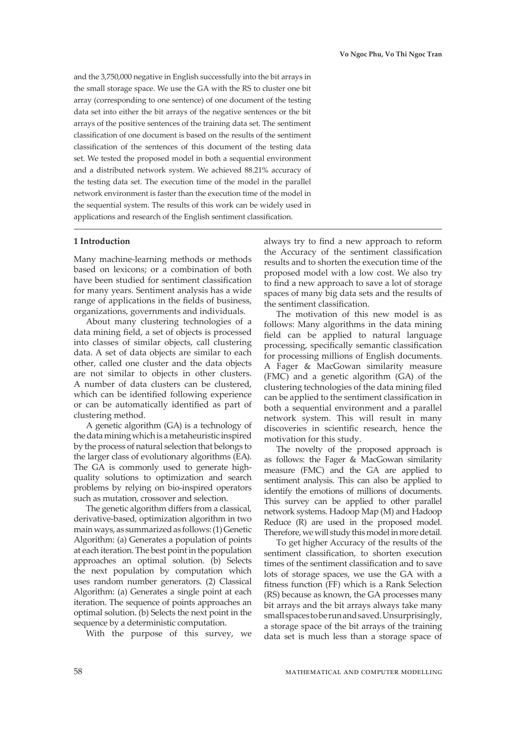and the 3,750,000 negative in English successfully into the bit arrays in the small storage space. We use the GA with the RS to cluster one bit array (corresponding to one sentence) of one document of the testing data set into either the bit arrays of the negative sentences or the bit arrays of the positive sentences of the training data set. The sentiment classification of one document is based on the results of the sentiment classification of the sentences of this document of the testing data set. We tested the proposed model in both a sequential environment and a distributed network system. We achieved 88.21% accuracy of the testing data set. The execution time of the model in the parallel network environment is faster than the execution time of the model in the sequential system. The results of this work can be widely used in applications and research of the English sentiment classification.

### **1 Introduction**

Many machine-learning methods or methods based on lexicons; or a combination of both have been studied for sentiment classification for many years. Sentiment analysis has a wide range of applications in the fields of business, organizations, governments and individuals.

About many clustering technologies of a data mining field, a set of objects is processed into classes of similar objects, call clustering data. A set of data objects are similar to each other, called one cluster and the data objects are not similar to objects in other clusters. A number of data clusters can be clustered, which can be identified following experience or can be automatically identified as part of clustering method.

A genetic algorithm (GA) is a technology of the data mining which is a metaheuristic inspired by the process of natural selection that belongs to the larger class of evolutionary algorithms (EA). The GA is commonly used to generate highquality solutions to optimization and search problems by relying on bio-inspired operators such as mutation, crossover and selection.

The genetic algorithm differs from a classical, derivative-based, optimization algorithm in two main ways, as summarized as follows: (1) Genetic Algorithm: (a) Generates a population of points at each iteration. The best point in the population approaches an optimal solution. (b) Selects the next population by computation which uses random number generators. (2) Classical Algorithm: (a) Generates a single point at each iteration. The sequence of points approaches an optimal solution. (b) Selects the next point in the sequence by a deterministic computation.

With the purpose of this survey, we

always try to find a new approach to reform the Accuracy of the sentiment classification results and to shorten the execution time of the proposed model with a low cost. We also try to find a new approach to save a lot of storage spaces of many big data sets and the results of the sentiment classification.

The motivation of this new model is as follows: Many algorithms in the data mining field can be applied to natural language processing, specifically semantic classification for processing millions of English documents. A Fager & MacGowan similarity measure (FMC) and a genetic algorithm (GA) of the clustering technologies of the data mining filed can be applied to the sentiment classification in both a sequential environment and a parallel network system. This will result in many discoveries in scientific research, hence the motivation for this study.

The novelty of the proposed approach is as follows: the Fager & MacGowan similarity measure (FMC) and the GA are applied to sentiment analysis. This can also be applied to identify the emotions of millions of documents. This survey can be applied to other parallel network systems. Hadoop Map (M) and Hadoop Reduce (R) are used in the proposed model. Therefore, we will study this model in more detail.

To get higher Accuracy of the results of the sentiment classification, to shorten execution times of the sentiment classification and to save lots of storage spaces, we use the GA with a fitness function (FF) which is a Rank Selection (RS) because as known, the GA processes many bit arrays and the bit arrays always take many small spaces to be run and saved. Unsurprisingly, a storage space of the bit arrays of the training data set is much less than a storage space of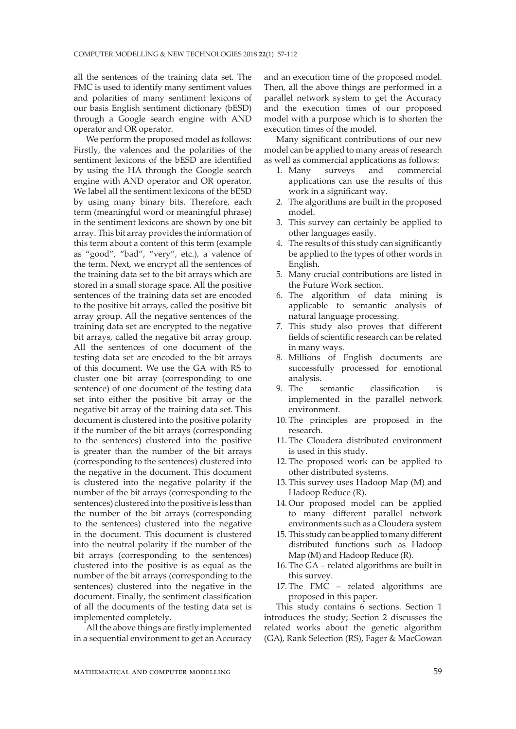all the sentences of the training data set. The FMC is used to identify many sentiment values and polarities of many sentiment lexicons of our basis English sentiment dictionary (bESD) through a Google search engine with AND operator and OR operator.

We perform the proposed model as follows: Firstly, the valences and the polarities of the sentiment lexicons of the bESD are identified by using the HA through the Google search engine with AND operator and OR operator. We label all the sentiment lexicons of the bESD by using many binary bits. Therefore, each term (meaningful word or meaningful phrase) in the sentiment lexicons are shown by one bit array. This bit array provides the information of this term about a content of this term (example as "good", "bad", "very", etc.), a valence of the term. Next, we encrypt all the sentences of the training data set to the bit arrays which are stored in a small storage space. All the positive sentences of the training data set are encoded to the positive bit arrays, called the positive bit array group. All the negative sentences of the training data set are encrypted to the negative bit arrays, called the negative bit array group. All the sentences of one document of the testing data set are encoded to the bit arrays of this document. We use the GA with RS to cluster one bit array (corresponding to one sentence) of one document of the testing data set into either the positive bit array or the negative bit array of the training data set. This document is clustered into the positive polarity if the number of the bit arrays (corresponding to the sentences) clustered into the positive is greater than the number of the bit arrays (corresponding to the sentences) clustered into the negative in the document. This document is clustered into the negative polarity if the number of the bit arrays (corresponding to the sentences) clustered into the positive is less than the number of the bit arrays (corresponding to the sentences) clustered into the negative in the document. This document is clustered into the neutral polarity if the number of the bit arrays (corresponding to the sentences) clustered into the positive is as equal as the number of the bit arrays (corresponding to the sentences) clustered into the negative in the document. Finally, the sentiment classification of all the documents of the testing data set is implemented completely.

All the above things are firstly implemented in a sequential environment to get an Accuracy

and an execution time of the proposed model. Then, all the above things are performed in a parallel network system to get the Accuracy and the execution times of our proposed model with a purpose which is to shorten the execution times of the model.

Many significant contributions of our new model can be applied to many areas of research as well as commercial applications as follows:

- 1. Many surveys and commercial applications can use the results of this work in a significant way.
- 2. The algorithms are built in the proposed model.
- 3. This survey can certainly be applied to other languages easily.
- 4. The results of this study can significantly be applied to the types of other words in English.
- 5. Many crucial contributions are listed in the Future Work section.
- 6. The algorithm of data mining is applicable to semantic analysis of natural language processing.
- 7. This study also proves that different fields of scientific research can be related in many ways.
- 8. Millions of English documents are successfully processed for emotional analysis.
- 9. The semantic classification is implemented in the parallel network environment.
- 10. The principles are proposed in the research.
- 11. The Cloudera distributed environment is used in this study.
- 12. The proposed work can be applied to other distributed systems.
- 13. This survey uses Hadoop Map (M) and Hadoop Reduce (R).
- 14. Our proposed model can be applied to many different parallel network environments such as a Cloudera system
- 15. This study can be applied to many different distributed functions such as Hadoop Map (M) and Hadoop Reduce (R).
- 16. The GA related algorithms are built in this survey.
- 17. The FMC related algorithms are proposed in this paper.

This study contains 6 sections. Section 1 introduces the study; Section 2 discusses the related works about the genetic algorithm (GA), Rank Selection (RS), Fager & MacGowan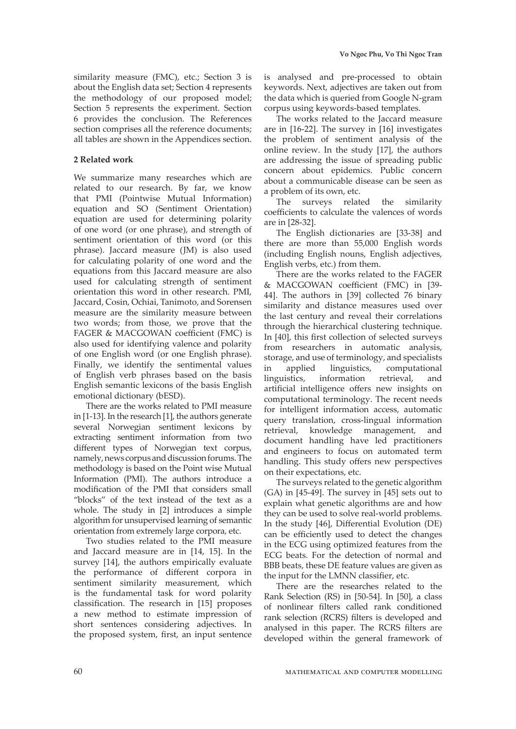similarity measure (FMC), etc.; Section 3 is about the English data set; Section 4 represents the methodology of our proposed model; Section 5 represents the experiment. Section 6 provides the conclusion. The References section comprises all the reference documents; all tables are shown in the Appendices section.

# **2 Related work**

We summarize many researches which are related to our research. By far, we know that PMI (Pointwise Mutual Information) equation and SO (Sentiment Orientation) equation are used for determining polarity of one word (or one phrase), and strength of sentiment orientation of this word (or this phrase). Jaccard measure (JM) is also used for calculating polarity of one word and the equations from this Jaccard measure are also used for calculating strength of sentiment orientation this word in other research. PMI, Jaccard, Cosin, Ochiai, Tanimoto, and Sorensen measure are the similarity measure between two words; from those, we prove that the FAGER & MACGOWAN coefficient (FMC) is also used for identifying valence and polarity of one English word (or one English phrase). Finally, we identify the sentimental values of English verb phrases based on the basis English semantic lexicons of the basis English emotional dictionary (bESD).

There are the works related to PMI measure in [1-13]. In the research [1], the authors generate several Norwegian sentiment lexicons by extracting sentiment information from two different types of Norwegian text corpus, namely, news corpus and discussion forums. The methodology is based on the Point wise Mutual Information (PMI). The authors introduce a modification of the PMI that considers small "blocks" of the text instead of the text as a whole. The study in [2] introduces a simple algorithm for unsupervised learning of semantic orientation from extremely large corpora, etc.

Two studies related to the PMI measure and Jaccard measure are in [14, 15]. In the survey [14], the authors empirically evaluate the performance of different corpora in sentiment similarity measurement, which is the fundamental task for word polarity classification. The research in [15] proposes a new method to estimate impression of short sentences considering adjectives. In the proposed system, first, an input sentence

is analysed and pre-processed to obtain keywords. Next, adjectives are taken out from the data which is queried from Google N-gram corpus using keywords-based templates.

The works related to the Jaccard measure are in [16-22]. The survey in [16] investigates the problem of sentiment analysis of the online review. In the study [17], the authors are addressing the issue of spreading public concern about epidemics. Public concern about a communicable disease can be seen as a problem of its own, etc.

The surveys related the similarity coefficients to calculate the valences of words are in [28-32].

The English dictionaries are [33-38] and there are more than 55,000 English words (including English nouns, English adjectives, English verbs, etc.) from them.

There are the works related to the FAGER & MACGOWAN coefficient (FMC) in [39- 44]. The authors in [39] collected 76 binary similarity and distance measures used over the last century and reveal their correlations through the hierarchical clustering technique. In [40], this first collection of selected surveys from researchers in automatic analysis, storage, and use of terminology, and specialists in applied linguistics, computational linguistics, information retrieval, and artificial intelligence offers new insights on computational terminology. The recent needs for intelligent information access, automatic query translation, cross-lingual information retrieval, knowledge management, and document handling have led practitioners and engineers to focus on automated term handling. This study offers new perspectives on their expectations, etc.

The surveys related to the genetic algorithm (GA) in [45-49]. The survey in [45] sets out to explain what genetic algorithms are and how they can be used to solve real-world problems. In the study [46], Differential Evolution (DE) can be efficiently used to detect the changes in the ECG using optimized features from the ECG beats. For the detection of normal and BBB beats, these DE feature values are given as the input for the LMNN classifier, etc.

There are the researches related to the Rank Selection (RS) in [50-54]. In [50], a class of nonlinear filters called rank conditioned rank selection (RCRS) filters is developed and analysed in this paper. The RCRS filters are developed within the general framework of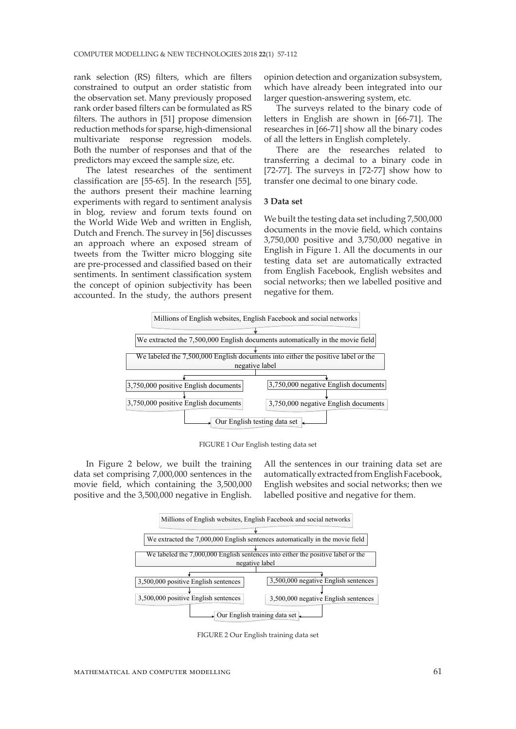rank selection (RS) filters, which are filters constrained to output an order statistic from the observation set. Many previously proposed rank order based filters can be formulated as RS filters. The authors in [51] propose dimension reduction methods for sparse, high-dimensional multivariate response regression models. Both the number of responses and that of the predictors may exceed the sample size, etc.

The latest researches of the sentiment classification are [55-65]. In the research [55], the authors present their machine learning experiments with regard to sentiment analysis in blog, review and forum texts found on the World Wide Web and written in English, Dutch and French. The survey in [56] discusses an approach where an exposed stream of tweets from the Twitter micro blogging site are pre-processed and classified based on their sentiments. In sentiment classification system the concept of opinion subjectivity has been accounted. In the study, the authors present opinion detection and organization subsystem, which have already been integrated into our larger question-answering system, etc.

The surveys related to the binary code of letters in English are shown in [66-71]. The researches in [66-71] show all the binary codes of all the letters in English completely.

There are the researches related to transferring a decimal to a binary code in [72-77]. The surveys in [72-77] show how to transfer one decimal to one binary code.

#### **3 Data set**

We built the testing data set including 7,500,000 documents in the movie field, which contains 3,750,000 positive and 3,750,000 negative in English in Figure 1. All the documents in our testing data set are automatically extracted from English Facebook, English websites and social networks; then we labelled positive and negative for them.



FIGURE 1 Our English testing data set

In Figure 2 below, we built the training data set comprising 7,000,000 sentences in the movie field, which containing the 3,500,000 positive and the 3,500,000 negative in English. All the sentences in our training data set are automatically extracted from English Facebook, English websites and social networks; then we labelled positive and negative for them.



FIGURE 2 Our English training data set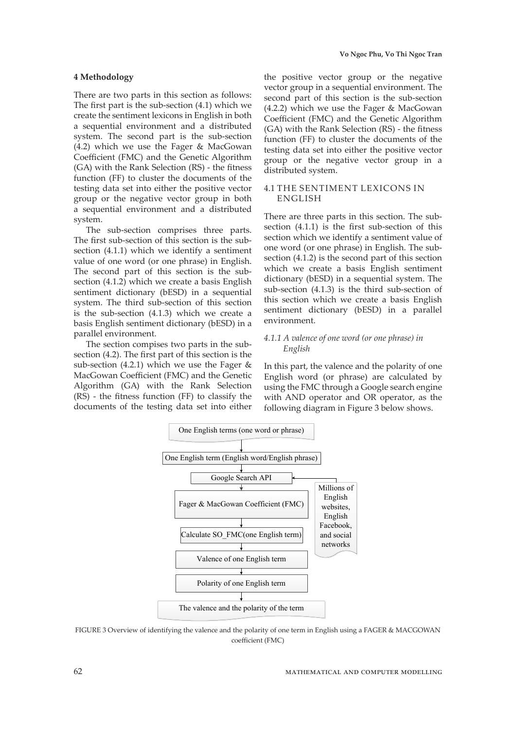#### **4 Methodology**

There are two parts in this section as follows: The first part is the sub-section (4.1) which we create the sentiment lexicons in English in both a sequential environment and a distributed system. The second part is the sub-section (4.2) which we use the Fager & MacGowan Coefficient (FMC) and the Genetic Algorithm (GA) with the Rank Selection (RS) - the fitness function (FF) to cluster the documents of the testing data set into either the positive vector group or the negative vector group in both a sequential environment and a distributed system.

The sub-section comprises three parts. The first sub-section of this section is the subsection (4.1.1) which we identify a sentiment value of one word (or one phrase) in English. The second part of this section is the subsection (4.1.2) which we create a basis English sentiment dictionary (bESD) in a sequential system. The third sub-section of this section is the sub-section (4.1.3) which we create a basis English sentiment dictionary (bESD) in a parallel environment.

The section compises two parts in the subsection (4.2). The first part of this section is the sub-section (4.2.1) which we use the Fager  $\&$ MacGowan Coefficient (FMC) and the Genetic Algorithm (GA) with the Rank Selection (RS) - the fitness function (FF) to classify the documents of the testing data set into either the positive vector group or the negative vector group in a sequential environment. The second part of this section is the sub-section (4.2.2) which we use the Fager & MacGowan Coefficient (FMC) and the Genetic Algorithm (GA) with the Rank Selection (RS) - the fitness function (FF) to cluster the documents of the testing data set into either the positive vector group or the negative vector group in a distributed system.

# 4.1 THE SENTIMENT LEXICONS IN ENGLISH

There are three parts in this section. The subsection (4.1.1) is the first sub-section of this section which we identify a sentiment value of one word (or one phrase) in English. The subsection (4.1.2) is the second part of this section which we create a basis English sentiment dictionary (bESD) in a sequential system. The sub-section (4.1.3) is the third sub-section of this section which we create a basis English sentiment dictionary (bESD) in a parallel environment.

# *4.1.1 A valence of one word (or one phrase) in English*

In this part, the valence and the polarity of one English word (or phrase) are calculated by using the FMC through a Google search engine with AND operator and OR operator, as the following diagram in Figure 3 below shows.



FIGURE 3 Overview of identifying the valence and the polarity of one term in English using a FAGER & MACGOWAN coefficient (FMC)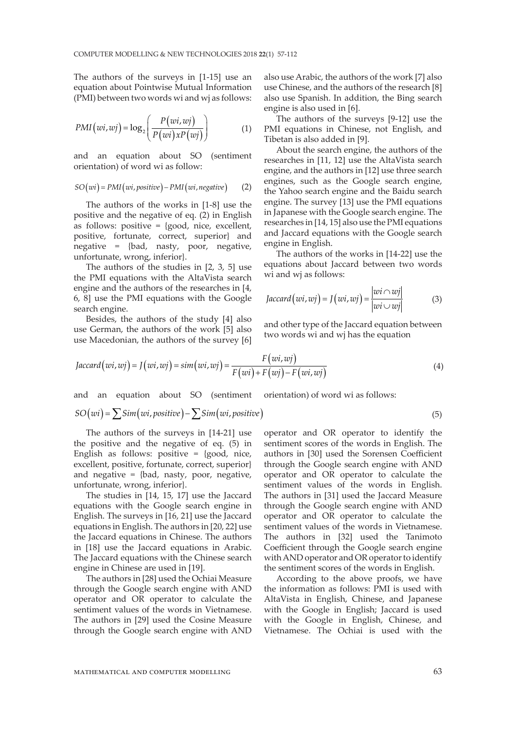The authors of the surveys in [1-15] use an equation about Pointwise Mutual Information (PMI) between two words wi and wj as follows:

$$
PMI\big(wi, wj\big) = \log_2\left(\frac{P\big(wi, wj\big)}{P\big(wi\big)xP\big(wj\big)}\right) \tag{1}
$$

and an equation about SO (sentiment orientation) of word wi as follow:

$$
SO(wi) = PMI(wi, positive) - PMI(wi, negative)
$$
 (2)

The authors of the works in [1-8] use the positive and the negative of eq. (2) in English as follows: positive =  ${good, nice, excellent,}$ positive, fortunate, correct, superior} and negative = {bad, nasty, poor, negative, unfortunate, wrong, inferior}.

The authors of the studies in [2, 3, 5] use the PMI equations with the AltaVista search engine and the authors of the researches in [4, 6, 8] use the PMI equations with the Google search engine.

Besides, the authors of the study [4] also use German, the authors of the work [5] also use Macedonian, the authors of the survey [6]

also use Arabic, the authors of the work [7] also use Chinese, and the authors of the research [8] also use Spanish. In addition, the Bing search engine is also used in [6].

The authors of the surveys [9-12] use the PMI equations in Chinese, not English, and Tibetan is also added in [9].

About the search engine, the authors of the researches in [11, 12] use the AltaVista search engine, and the authors in [12] use three search engines, such as the Google search engine, the Yahoo search engine and the Baidu search engine. The survey [13] use the PMI equations in Japanese with the Google search engine. The researches in [14, 15] also use the PMI equations and Jaccard equations with the Google search engine in English.

The authors of the works in [14-22] use the equations about Jaccard between two words wi and wj as follows:

$$
Jaccard(wi, wj) = J(wi, wj) = \frac{|wi \cap wj|}{|wi \cup wj|}
$$
(3)

and other type of the Jaccard equation between two words wi and wj has the equation

$$
Jaccard(wi, wj) = J(wi, wj) = sim(wi, wj) = \frac{F(wi, wj)}{F(wi) + F(wj) - F(wi, wj)}
$$
(4)

and an equation about SO (sentiment orientation) of word wi as follows:

# $SO(wi) = \sum Sim(wi, positive) - \sum Sim(wi, positive)$  (5)

The authors of the surveys in [14-21] use the positive and the negative of eq. (5) in English as follows: positive =  ${good, nice,}$ excellent, positive, fortunate, correct, superior} and negative = {bad, nasty, poor, negative, unfortunate, wrong, inferior}.

The studies in [14, 15, 17] use the Jaccard equations with the Google search engine in English. The surveys in [16, 21] use the Jaccard equations in English. The authors in [20, 22] use the Jaccard equations in Chinese. The authors in [18] use the Jaccard equations in Arabic. The Jaccard equations with the Chinese search engine in Chinese are used in [19].

The authors in [28] used the Ochiai Measure through the Google search engine with AND operator and OR operator to calculate the sentiment values of the words in Vietnamese. The authors in [29] used the Cosine Measure through the Google search engine with AND

operator and OR operator to identify the sentiment scores of the words in English. The authors in [30] used the Sorensen Coefficient through the Google search engine with AND operator and OR operator to calculate the sentiment values of the words in English. The authors in [31] used the Jaccard Measure through the Google search engine with AND operator and OR operator to calculate the sentiment values of the words in Vietnamese. The authors in [32] used the Tanimoto Coefficient through the Google search engine with AND operator and OR operator to identify the sentiment scores of the words in English.

According to the above proofs, we have the information as follows: PMI is used with AltaVista in English, Chinese, and Japanese with the Google in English; Jaccard is used with the Google in English, Chinese, and Vietnamese. The Ochiai is used with the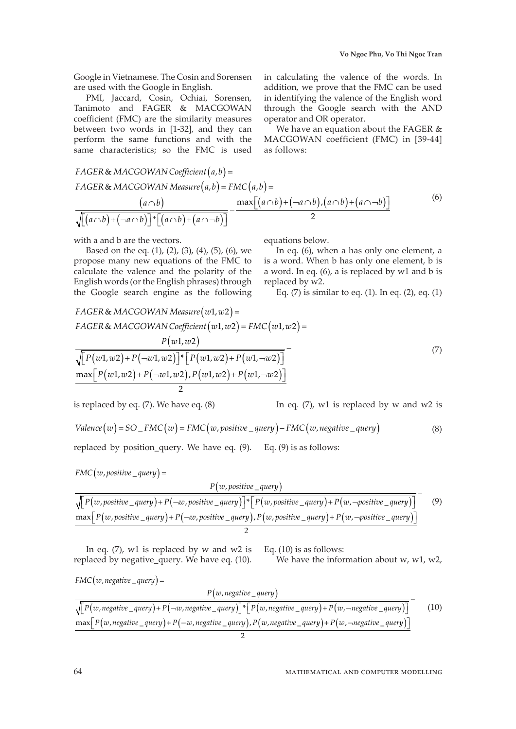Google in Vietnamese. The Cosin and Sorensen are used with the Google in English.

PMI, Jaccard, Cosin, Ochiai, Sorensen, Tanimoto and FAGER & MACGOWAN coefficient (FMC) are the similarity measures between two words in [1-32], and they can perform the same functions and with the same characteristics; so the FMC is used in calculating the valence of the words. In addition, we prove that the FMC can be used in identifying the valence of the English word through the Google search with the AND operator and OR operator.

We have an equation about the FAGER & MACGOWAN coefficient (FMC) in [39-44] as follows:

$$
FAGER & MACGOWAN Coefficient(a,b) =\nFAGER & MACGOWAN Measure(a,b) = FMC(a,b) =\n\frac{(a \cap b)}{\sqrt{[(a \cap b) + (-a \cap b)]^* [(a \cap b) + (a \cap -b)]}} - \frac{\max[(a \cap b) + (-a \cap b), (a \cap b) + (a \cap -b)]}{2}
$$
\n(6)

with a and b are the vectors.

Based on the eq.  $(1)$ ,  $(2)$ ,  $(3)$ ,  $(4)$ ,  $(5)$ ,  $(6)$ , we propose many new equations of the FMC to calculate the valence and the polarity of the English words (or the English phrases) through the Google search engine as the following

equations below.

In eq. (6), when a has only one element, a is a word. When b has only one element, b is a word. In eq. (6), a is replaced by w1 and b is replaced by w2.

Eq.  $(7)$  is similar to eq.  $(1)$ . In eq.  $(2)$ , eq.  $(1)$ 

$$
FAGER & MACGOWAN Measure(w1, w2) = \\
FAGER & MACGOWAN Coefficient(w1, w2) = FMC(w1, w2) = \\
\frac{P(w1, w2)}{\sqrt{P(w1, w2) + P(\neg w1, w2)} \cdot \left[ P(w1, w2) + P(w1, w2) + P(w1, \neg w2) \right]}} - \\
\frac{\max [P(w1, w2) + P(\neg w1, w2), P(w1, w2) + P(w1, \neg w2)]}{2}
$$
\n
$$
(7)
$$

is replaced by eq. (7). We have eq. (8) In eq. (7), w1 is replaced by w and w2 is

$$
Valence(w) = SO\_FMC(w) = FMC(w, positive\_query) - FMC(w, negative\_query)
$$
\n(8)

replaced by position\_query. We have eq. (9). Eq. (9) is as follows:

$$
FMC(w, positive\_query) =
$$

$$
P(w, positive_{query})
$$

$$
\frac{\sqrt{[P(w, positive_query) + P(\neg w, positive_query)]} + [P(w, positive_query) + P(w, \neg positive_query)]}}{\max [P(w, positive_query) + P(\neg w, positive_query), P(w, positive_query) + P(w, \neg positive_query)]}
$$
\n(9)

In eq.  $(7)$ , w1 is replaced by w and w2 is replaced by negative\_query. We have eq. (10).

Eq. (10) is as follows:

We have the information about w,  $w1$ ,  $w2$ ,

( ) = , \_ *FMC w negative query*

$$
P(w, negative_{query})
$$
\n
$$
\sqrt{P(w, negative_{query}) + P(\neg w, negative_{query})} * [P(w, negative_{query}) + P(w, \neg negative_{query})]} - \max[P(w, negative_{query}) + P(\neg w, negative_{query}), P(w, negative_{query}) + P(w, \neg negative_{query})]
$$
\n(10)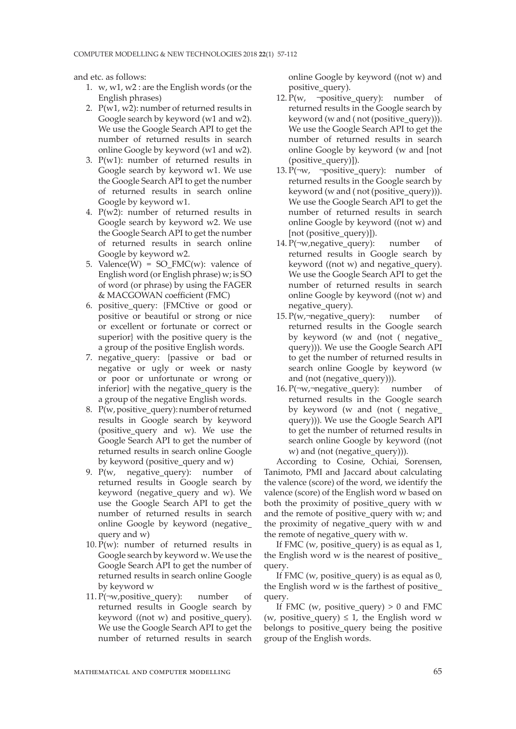and etc. as follows:

- 1. w, w1, w2 : are the English words (or the English phrases)
- 2.  $P(w1, w2)$ : number of returned results in Google search by keyword (w1 and w2). We use the Google Search API to get the number of returned results in search online Google by keyword (w1 and w2).
- 3. P(w1): number of returned results in Google search by keyword w1. We use the Google Search API to get the number of returned results in search online Google by keyword w1.
- 4. P(w2): number of returned results in Google search by keyword w2. We use the Google Search API to get the number of returned results in search online Google by keyword w2.
- 5. Valence(W) = SO\_FMC(w): valence of English word (or English phrase) w; is SO of word (or phrase) by using the FAGER & MACGOWAN coefficient (FMC)
- 6. positive\_query: {FMCtive or good or positive or beautiful or strong or nice or excellent or fortunate or correct or superior} with the positive query is the a group of the positive English words.
- 7. negative query: {passive or bad or negative or ugly or week or nasty or poor or unfortunate or wrong or inferior} with the negative\_query is the a group of the negative English words.
- 8. P(w, positive query): number of returned results in Google search by keyword (positive\_query and w). We use the Google Search API to get the number of returned results in search online Google by keyword (positive query and w)
- 9.  $P(w, \text{ negative query})$ : number of returned results in Google search by keyword (negative\_query and w). We use the Google Search API to get the number of returned results in search online Google by keyword (negative\_ query and w)
- 10. P(w): number of returned results in Google search by keyword w. We use the Google Search API to get the number of returned results in search online Google by keyword w
- 11. P(¬w,positive\_query): number of returned results in Google search by keyword ((not w) and positive\_query). We use the Google Search API to get the number of returned results in search

online Google by keyword ((not w) and positive\_query).

- 12. P(w,  $\neg$ positive\_query): number of returned results in the Google search by keyword (w and ( not (positive\_query))). We use the Google Search API to get the number of returned results in search online Google by keyword (w and [not (positive\_query)]).
- 13. P( $\neg w$ ,  $\neg positive$  query): number of returned results in the Google search by keyword (w and ( not (positive\_query))). We use the Google Search API to get the number of returned results in search online Google by keyword ((not w) and [not (positive\_query)]).
- 14. P $(\neg w \text{.negative query})$ : number of returned results in Google search by keyword ((not w) and negative\_query). We use the Google Search API to get the number of returned results in search online Google by keyword ((not w) and negative\_query).
- 15. P(w, $\neg$ negative query): number of returned results in the Google search by keyword (w and (not ( negative\_ query))). We use the Google Search API to get the number of returned results in search online Google by keyword (w and (not (negative query))).
- 16. P( $\neg w$ , $\neg$ negative query): number of returned results in the Google search by keyword (w and (not ( negative\_ query))). We use the Google Search API to get the number of returned results in search online Google by keyword ((not w) and (not (negative\_query))).

According to Cosine, Ochiai, Sorensen, Tanimoto, PMI and Jaccard about calculating the valence (score) of the word, we identify the valence (score) of the English word w based on both the proximity of positive\_query with w and the remote of positive\_query with w; and the proximity of negative\_query with w and the remote of negative\_query with w.

If FMC (w, positive\_query) is as equal as 1, the English word w is the nearest of positive\_ query.

If FMC (w, positive\_query) is as equal as 0, the English word w is the farthest of positive\_ query.

If FMC (w, positive\_query)  $> 0$  and FMC (w, positive\_query)  $\leq 1$ , the English word w belongs to positive\_query being the positive group of the English words.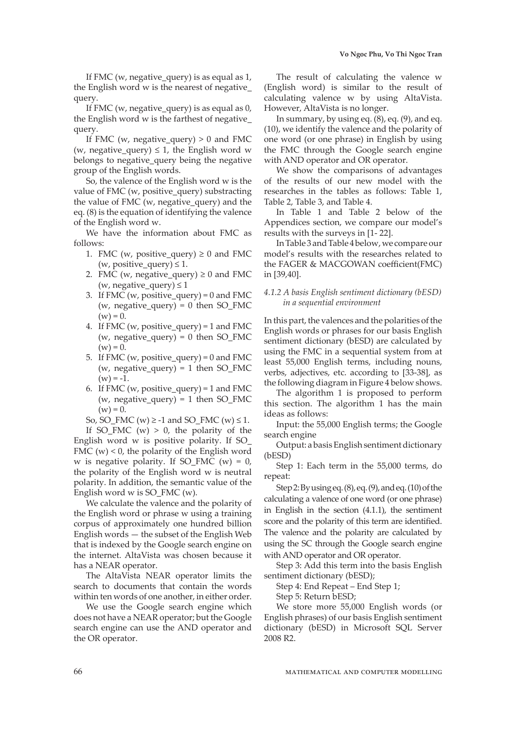If FMC (w, negative query) is as equal as  $1$ , the English word w is the nearest of negative\_ query.

If FMC (w, negative\_query) is as equal as 0, the English word w is the farthest of negative\_ query.

If FMC (w, negative\_query)  $> 0$  and FMC (w, negative query)  $\leq 1$ , the English word w belongs to negative query being the negative group of the English words.

So, the valence of the English word w is the value of FMC (w, positive\_query) substracting the value of FMC (w, negative\_query) and the eq. (8) is the equation of identifying the valence of the English word w.

We have the information about FMC as follows:

- 1. FMC (w, positive query)  $\geq 0$  and FMC (w, positive query)  $\leq 1$ .
- 2. FMC (w, negative query)  $\geq 0$  and FMC (w, negative\_query)  $\leq 1$
- 3. If FMC (w, positive\_query) = 0 and FMC (w, negative query) = 0 then SO\_FMC  $(w) = 0.$
- 4. If FMC (w, positive\_query) = 1 and FMC (w, negative query) = 0 then SO\_FMC  $(w) = 0.$
- 5. If FMC (w, positive query) = 0 and FMC (w, negative query) = 1 then SO FMC  $(w) = -1.$
- 6. If FMC (w, positive query) = 1 and FMC (w, negative\_query) = 1 then  $SO_FMC$  $(w) = 0.$

So, SO\_FMC (w)  $\ge$  -1 and SO\_FMC (w)  $\le$  1.

If SO\_FMC (w)  $> 0$ , the polarity of the English word w is positive polarity. If SO\_ FMC  $(w)$  < 0, the polarity of the English word w is negative polarity. If SO\_FMC (w) =  $0$ , the polarity of the English word w is neutral polarity. In addition, the semantic value of the English word w is SO  $FMC(w)$ .

We calculate the valence and the polarity of the English word or phrase w using a training corpus of approximately one hundred billion English words — the subset of the English Web that is indexed by the Google search engine on the internet. AltaVista was chosen because it has a NEAR operator.

The AltaVista NEAR operator limits the search to documents that contain the words within ten words of one another, in either order.

We use the Google search engine which does not have a NEAR operator; but the Google search engine can use the AND operator and the OR operator.

The result of calculating the valence w (English word) is similar to the result of calculating valence w by using AltaVista. However, AltaVista is no longer.

In summary, by using eq.  $(8)$ , eq.  $(9)$ , and eq. (10), we identify the valence and the polarity of one word (or one phrase) in English by using the FMC through the Google search engine with AND operator and OR operator.

We show the comparisons of advantages of the results of our new model with the researches in the tables as follows: Table 1, Table 2, Table 3, and Table 4.

In Table 1 and Table 2 below of the Appendices section, we compare our model's results with the surveys in [1- 22].

In Table 3 and Table 4 below, we compare our model's results with the researches related to the FAGER & MACGOWAN coefficient(FMC) in [39,40].

#### *4.1.2 A basis English sentiment dictionary (bESD) in a sequential environment*

In this part, the valences and the polarities of the English words or phrases for our basis English sentiment dictionary (bESD) are calculated by using the FMC in a sequential system from at least 55,000 English terms, including nouns, verbs, adjectives, etc. according to [33-38], as the following diagram in Figure 4 below shows.

The algorithm 1 is proposed to perform this section. The algorithm 1 has the main ideas as follows:

Input: the 55,000 English terms; the Google search engine

Output: a basis English sentiment dictionary (bESD)

Step 1: Each term in the 55,000 terms, do repeat:

Step 2: By using eq. (8), eq. (9), and eq. (10) of the calculating a valence of one word (or one phrase) in English in the section (4.1.1), the sentiment score and the polarity of this term are identified. The valence and the polarity are calculated by using the SC through the Google search engine with AND operator and OR operator.

Step 3: Add this term into the basis English sentiment dictionary (bESD);

Step 4: End Repeat – End Step 1;

Step 5: Return bESD;

We store more 55,000 English words (or English phrases) of our basis English sentiment dictionary (bESD) in Microsoft SQL Server 2008 R2.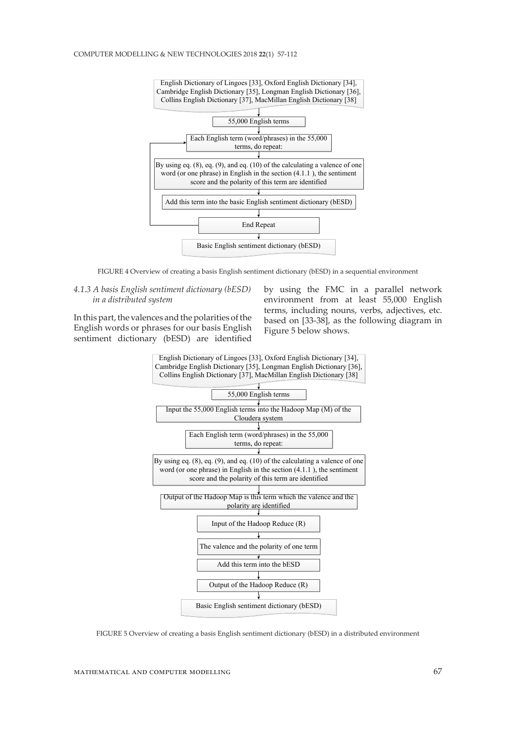

FIGURE 4 Overview of creating a basis English sentiment dictionary (bESD) in a sequential environment

## *4.1.3 A basis English sentiment dictionary (bESD) in a distributed system*

In this part, the valences and the polarities of the English words or phrases for our basis English sentiment dictionary (bESD) are identified by using the FMC in a parallel network environment from at least 55,000 English terms, including nouns, verbs, adjectives, etc. based on [33-38], as the following diagram in Figure 5 below shows.



FIGURE 5 Overview of creating a basis English sentiment dictionary (bESD) in a distributed environment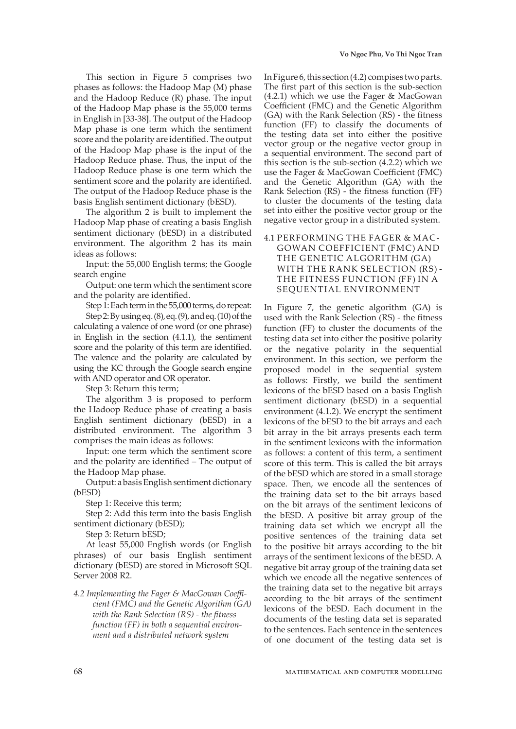This section in Figure 5 comprises two phases as follows: the Hadoop Map (M) phase and the Hadoop Reduce (R) phase. The input of the Hadoop Map phase is the 55,000 terms in English in [33-38]. The output of the Hadoop Map phase is one term which the sentiment score and the polarity are identified. The output of the Hadoop Map phase is the input of the Hadoop Reduce phase. Thus, the input of the Hadoop Reduce phase is one term which the sentiment score and the polarity are identified. The output of the Hadoop Reduce phase is the basis English sentiment dictionary (bESD).

The algorithm 2 is built to implement the Hadoop Map phase of creating a basis English sentiment dictionary (bESD) in a distributed environment. The algorithm 2 has its main ideas as follows:

Input: the 55,000 English terms; the Google search engine

Output: one term which the sentiment score and the polarity are identified.

Step 1: Each term in the 55,000 terms, do repeat:

Step 2: By using eq. (8), eq. (9), and eq. (10) of the calculating a valence of one word (or one phrase) in English in the section (4.1.1), the sentiment score and the polarity of this term are identified. The valence and the polarity are calculated by using the KC through the Google search engine with AND operator and OR operator.

Step 3: Return this term;

The algorithm 3 is proposed to perform the Hadoop Reduce phase of creating a basis English sentiment dictionary (bESD) in a distributed environment. The algorithm 3 comprises the main ideas as follows:

Input: one term which the sentiment score and the polarity are identified – The output of the Hadoop Map phase.

Output: a basis English sentiment dictionary (bESD)

Step 1: Receive this term;

Step 2: Add this term into the basis English sentiment dictionary (bESD);

Step 3: Return bESD;

At least 55,000 English words (or English phrases) of our basis English sentiment dictionary (bESD) are stored in Microsoft SQL Server 2008 R2.

*4.2 Implementing the Fager & MacGowan Coefficient (FMC) and the Genetic Algorithm (GA) with the Rank Selection (RS) - the fitness function (FF) in both a sequential environment and a distributed network system*

In Figure 6, this section (4.2) compises two parts. The first part of this section is the sub-section (4.2.1) which we use the Fager & MacGowan Coefficient (FMC) and the Genetic Algorithm (GA) with the Rank Selection (RS) - the fitness function (FF) to classify the documents of the testing data set into either the positive vector group or the negative vector group in a sequential environment. The second part of this section is the sub-section (4.2.2) which we use the Fager & MacGowan Coefficient (FMC) and the Genetic Algorithm (GA) with the Rank Selection (RS) - the fitness function (FF) to cluster the documents of the testing data set into either the positive vector group or the negative vector group in a distributed system.

4.1 PERFORMING THE FAGER & MAC-GOWAN COEFFICIENT (FMC) AND THE GENETIC ALGORITHM (GA) WITH THE RANK SELECTION (RS) - THE FITNESS FUNCTION (FF) IN A SEQUENTIAL ENVIRONMENT

In Figure 7, the genetic algorithm (GA) is used with the Rank Selection (RS) - the fitness function (FF) to cluster the documents of the testing data set into either the positive polarity or the negative polarity in the sequential environment. In this section, we perform the proposed model in the sequential system as follows: Firstly, we build the sentiment lexicons of the bESD based on a basis English sentiment dictionary (bESD) in a sequential environment (4.1.2). We encrypt the sentiment lexicons of the bESD to the bit arrays and each bit array in the bit arrays presents each term in the sentiment lexicons with the information as follows: a content of this term, a sentiment score of this term. This is called the bit arrays of the bESD which are stored in a small storage space. Then, we encode all the sentences of the training data set to the bit arrays based on the bit arrays of the sentiment lexicons of the bESD. A positive bit array group of the training data set which we encrypt all the positive sentences of the training data set to the positive bit arrays according to the bit arrays of the sentiment lexicons of the bESD. A negative bit array group of the training data set which we encode all the negative sentences of the training data set to the negative bit arrays according to the bit arrays of the sentiment lexicons of the bESD. Each document in the documents of the testing data set is separated to the sentences. Each sentence in the sentences of one document of the testing data set is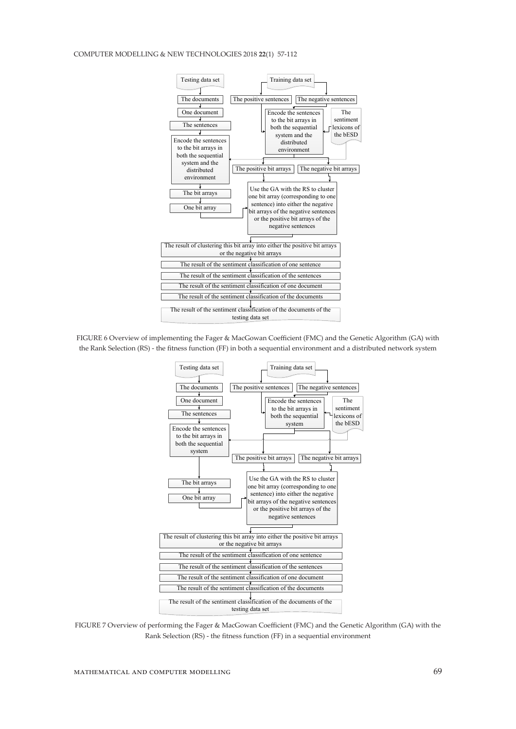#### COMPUTER MODELLING & NEW TECHNOLOGIES 2018 **22**(1) 57-112



FIGURE 6 Overview of implementing the Fager & MacGowan Coefficient (FMC) and the Genetic Algorithm (GA) with the Rank Selection (RS) - the fitness function (FF) in both a sequential environment and a distributed network system



FIGURE 7 Overview of performing the Fager & MacGowan Coefficient (FMC) and the Genetic Algorithm (GA) with the Rank Selection (RS) - the fitness function (FF) in a sequential environment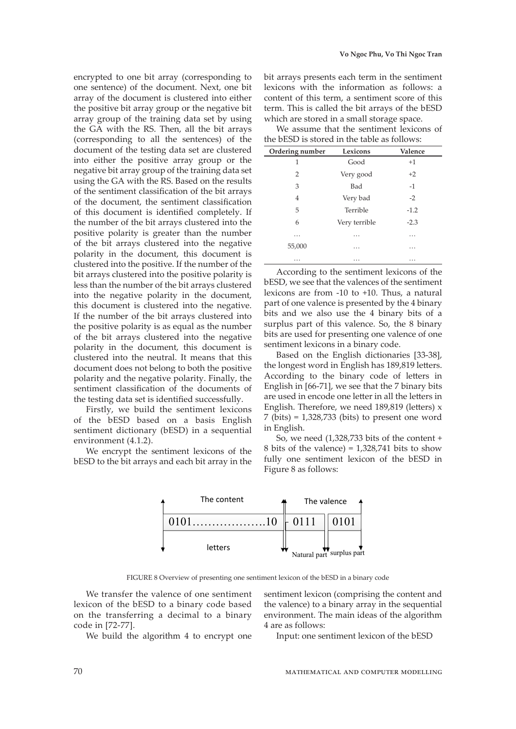encrypted to one bit array (corresponding to one sentence) of the document. Next, one bit array of the document is clustered into either the positive bit array group or the negative bit array group of the training data set by using the GA with the RS. Then, all the bit arrays (corresponding to all the sentences) of the document of the testing data set are clustered into either the positive array group or the negative bit array group of the training data set using the GA with the RS. Based on the results of the sentiment classification of the bit arrays of the document, the sentiment classification of this document is identified completely. If the number of the bit arrays clustered into the positive polarity is greater than the number of the bit arrays clustered into the negative polarity in the document, this document is clustered into the positive. If the number of the bit arrays clustered into the positive polarity is less than the number of the bit arrays clustered into the negative polarity in the document, this document is clustered into the negative. If the number of the bit arrays clustered into the positive polarity is as equal as the number of the bit arrays clustered into the negative polarity in the document, this document is clustered into the neutral. It means that this document does not belong to both the positive polarity and the negative polarity. Finally, the sentiment classification of the documents of the testing data set is identified successfully.

Firstly, we build the sentiment lexicons of the bESD based on a basis English sentiment dictionary (bESD) in a sequential environment (4.1.2).

We encrypt the sentiment lexicons of the bESD to the bit arrays and each bit array in the bit arrays presents each term in the sentiment lexicons with the information as follows: a content of this term, a sentiment score of this term. This is called the bit arrays of the bESD which are stored in a small storage space.

We assume that the sentiment lexicons of the bESD is stored in the table as follows:

| Ordering number | Lexicons      | Valence |
|-----------------|---------------|---------|
| 1               | Good          | $+1$    |
| $\overline{2}$  | Very good     | $+2$    |
| 3               | Bad           | $-1$    |
| 4               | Very bad      | $-2$    |
| 5               | Terrible      | $-1.2$  |
| 6               | Very terrible | $-2.3$  |
| .               | $\cdots$      | .       |
| 55,000          | .             | .       |
| $\cdots$        | $\cdots$      | .       |

According to the sentiment lexicons of the bESD, we see that the valences of the sentiment lexicons are from -10 to +10. Thus, a natural part of one valence is presented by the 4 binary bits and we also use the 4 binary bits of a surplus part of this valence. So, the 8 binary bits are used for presenting one valence of one sentiment lexicons in a binary code.

Based on the English dictionaries [33-38], the longest word in English has 189,819 letters. According to the binary code of letters in English in [66-71], we see that the 7 binary bits are used in encode one letter in all the letters in English. Therefore, we need 189,819 (letters) x 7 (bits) = 1,328,733 (bits) to present one word in English.

So, we need (1,328,733 bits of the content + 8 bits of the valence) =  $1,328,741$  bits to show fully one sentiment lexicon of the bESD in Figure 8 as follows:



FIGURE 8 Overview of presenting one sentiment lexicon of the bESD in a binary code

We transfer the valence of one sentiment lexicon of the bESD to a binary code based on the transferring a decimal to a binary code in [72-77].

We build the algorithm 4 to encrypt one

sentiment lexicon (comprising the content and the valence) to a binary array in the sequential environment. The main ideas of the algorithm 4 are as follows:

Input: one sentiment lexicon of the bESD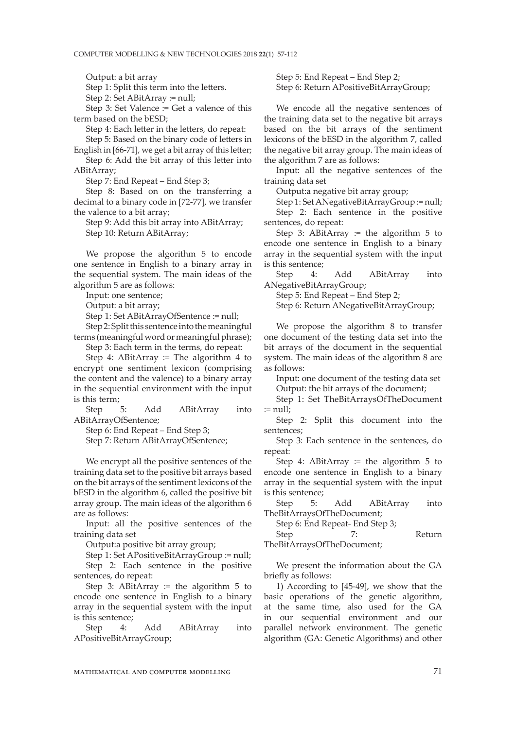Output: a bit array

Step 1: Split this term into the letters.

Step 2: Set ABitArray := null;

Step 3: Set Valence := Get a valence of this term based on the bESD;

Step 4: Each letter in the letters, do repeat:

Step 5: Based on the binary code of letters in English in [66-71], we get a bit array of this letter;

Step 6: Add the bit array of this letter into ABitArray;

Step 7: End Repeat – End Step 3;

Step 8: Based on on the transferring a decimal to a binary code in [72-77], we transfer the valence to a bit array;

Step 9: Add this bit array into ABitArray; Step 10: Return ABitArray;

We propose the algorithm 5 to encode one sentence in English to a binary array in the sequential system. The main ideas of the algorithm 5 are as follows:

Input: one sentence;

Output: a bit array;

Step 1: Set ABitArrayOfSentence := null;

Step 2: Split this sentence into the meaningful terms (meaningful word or meaningful phrase);

Step 3: Each term in the terms, do repeat: Step 4: ABitArray := The algorithm 4 to

encrypt one sentiment lexicon (comprising the content and the valence) to a binary array in the sequential environment with the input is this term;

Step 5: Add ABitArray into ABitArrayOfSentence;

Step 6: End Repeat – End Step 3;

Step 7: Return ABitArrayOfSentence;

We encrypt all the positive sentences of the training data set to the positive bit arrays based on the bit arrays of the sentiment lexicons of the bESD in the algorithm 6, called the positive bit array group. The main ideas of the algorithm 6 are as follows:

Input: all the positive sentences of the training data set

Output:a positive bit array group;

Step 1: Set APositiveBitArrayGroup := null; Step 2: Each sentence in the positive sentences, do repeat:

Step 3: ABitArray  $:=$  the algorithm 5 to encode one sentence in English to a binary array in the sequential system with the input is this sentence;

Step 4: Add ABitArray into APositiveBitArrayGroup;

Step 5: End Repeat – End Step 2; Step 6: Return APositiveBitArrayGroup;

We encode all the negative sentences of the training data set to the negative bit arrays based on the bit arrays of the sentiment lexicons of the bESD in the algorithm 7, called the negative bit array group. The main ideas of the algorithm 7 are as follows:

Input: all the negative sentences of the training data set

Output:a negative bit array group;

Step 1: Set ANegativeBitArrayGroup := null; Step 2: Each sentence in the positive sentences, do repeat:

Step 3: ABitArray  $:=$  the algorithm 5 to encode one sentence in English to a binary array in the sequential system with the input is this sentence;

Step 4: Add ABitArray into ANegativeBitArrayGroup;

Step 5: End Repeat – End Step 2;

Step 6: Return ANegativeBitArrayGroup;

We propose the algorithm 8 to transfer one document of the testing data set into the bit arrays of the document in the sequential system. The main ideas of the algorithm 8 are as follows:

Input: one document of the testing data set Output: the bit arrays of the document;

Step 1: Set TheBitArraysOfTheDocument := null;

Step 2: Split this document into the sentences;

Step 3: Each sentence in the sentences, do repeat:

Step 4: ABitArray  $:=$  the algorithm  $5$  to encode one sentence in English to a binary array in the sequential system with the input is this sentence;

Step 5: Add ABitArray into TheBitArraysOfTheDocument;

Step 6: End Repeat- End Step 3;

Step 7: Return TheBitArraysOfTheDocument;

We present the information about the GA briefly as follows:

1) According to [45-49], we show that the basic operations of the genetic algorithm, at the same time, also used for the GA in our sequential environment and our parallel network environment. The genetic algorithm (GA: Genetic Algorithms) and other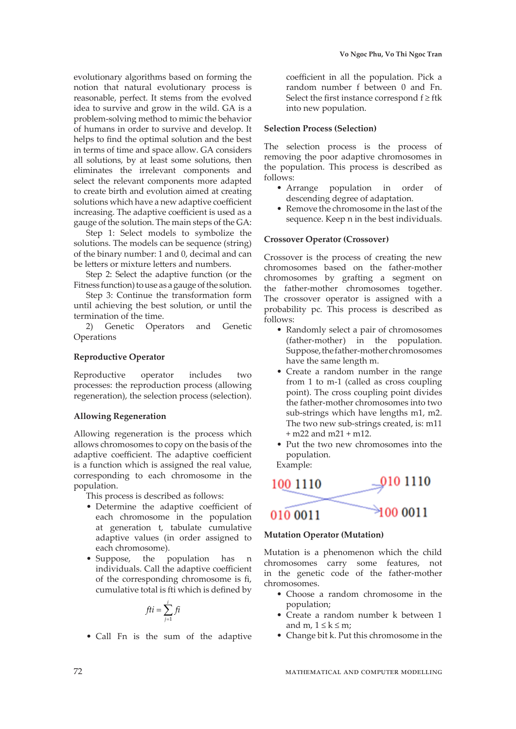evolutionary algorithms based on forming the notion that natural evolutionary process is reasonable, perfect. It stems from the evolved idea to survive and grow in the wild. GA is a problem-solving method to mimic the behavior of humans in order to survive and develop. It helps to find the optimal solution and the best in terms of time and space allow. GA considers all solutions, by at least some solutions, then eliminates the irrelevant components and select the relevant components more adapted to create birth and evolution aimed at creating solutions which have a new adaptive coefficient increasing. The adaptive coefficient is used as a gauge of the solution. The main steps of the GA:

Step 1: Select models to symbolize the solutions. The models can be sequence (string) of the binary number: 1 and 0, decimal and can be letters or mixture letters and numbers.

Step 2: Select the adaptive function (or the Fitness function) to use as a gauge of the solution.

Step 3: Continue the transformation form until achieving the best solution, or until the termination of the time.

2) Genetic Operators and Genetic **Operations** 

# **Reproductive Operator**

Reproductive operator includes two processes: the reproduction process (allowing regeneration), the selection process (selection).

#### **Allowing Regeneration**

Allowing regeneration is the process which allows chromosomes to copy on the basis of the adaptive coefficient. The adaptive coefficient is a function which is assigned the real value, corresponding to each chromosome in the population.

This process is described as follows:

- Determine the adaptive coefficient of each chromosome in the population at generation t, tabulate cumulative adaptive values (in order assigned to each chromosome).
- Suppose, the population has n individuals. Call the adaptive coefficient of the corresponding chromosome is fi, cumulative total is fti which is defined by

$$
fti = \sum_{j=1}^{i} fi
$$

• Call Fn is the sum of the adaptive

coefficient in all the population. Pick a random number f between 0 and Fn. Select the first instance correspond  $f \geq f$ tk into new population.

#### **Selection Process (Selection)**

The selection process is the process of removing the poor adaptive chromosomes in the population. This process is described as follows:

- Arrange population in order of descending degree of adaptation.
- Remove the chromosome in the last of the sequence. Keep n in the best individuals.

#### **Crossover Operator (Crossover)**

Crossover is the process of creating the new chromosomes based on the father-mother chromosomes by grafting a segment on the father-mother chromosomes together. The crossover operator is assigned with a probability pc. This process is described as follows:

- Randomly select a pair of chromosomes (father-mother) in the population. Suppose, the father-mother chromosomes have the same length m.
- Create a random number in the range from 1 to m-1 (called as cross coupling point). The cross coupling point divides the father-mother chromosomes into two sub-strings which have lengths m1, m2. The two new sub-strings created, is: m11 + m22 and m21 + m12.
- Put the two new chromosomes into the population.

Example:



# **Mutation Operator (Mutation)**

Mutation is a phenomenon which the child chromosomes carry some features, not in the genetic code of the father-mother chromosomes.

- Choose a random chromosome in the population;
- Create a random number k between 1 and m,  $1 \leq k \leq m$ ;
- Change bit k. Put this chromosome in the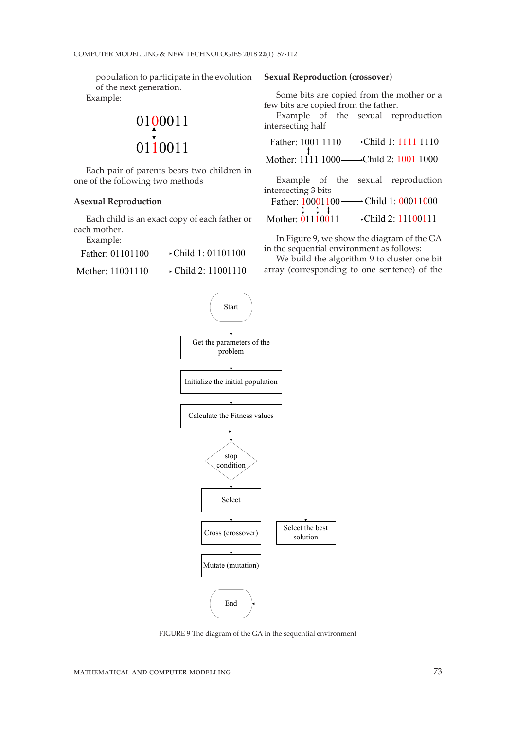population to participate in the evolution of the next generation. Example:

$$
\begin{matrix}0100011\\ \downarrow\\ 0110011\end{matrix}
$$

Each pair of parents bears two children in one of the following two methods

#### **Asexual Reproduction**

Each child is an exact copy of each father or each mother.

Example:

Father: 01101100 Child 1: 01101100

Mother: 11001110 Child 2: 11001110

#### **Sexual Reproduction (crossover)**

Some bits are copied from the mother or a few bits are copied from the father.

Example of the sexual reproduction intersecting half

Father: 1001 1110 <del>→</del>Child 1: 1111 1110

Mother: 1111 1000——Child 2: 1001 1000

Example of the sexual reproduction intersecting 3 bits

Father: 10001100 → Child 1: 00011000

Mother: 01110011 —→ Child 2: 11100111

In Figure 9, we show the diagram of the GA in the sequential environment as follows:

We build the algorithm 9 to cluster one bit array (corresponding to one sentence) of the



FIGURE 9 The diagram of the GA in the sequential environment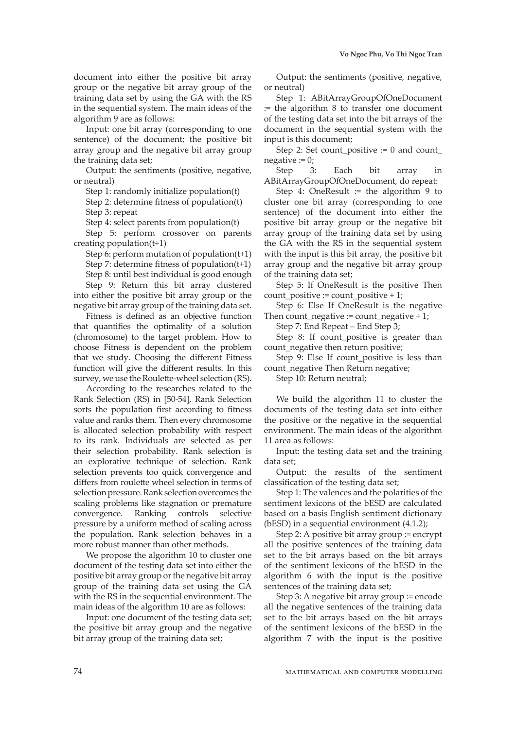document into either the positive bit array group or the negative bit array group of the training data set by using the GA with the RS in the sequential system. The main ideas of the algorithm 9 are as follows:

Input: one bit array (corresponding to one sentence) of the document; the positive bit array group and the negative bit array group the training data set;

Output: the sentiments (positive, negative, or neutral)

Step 1: randomly initialize population(t)

Step 2: determine fitness of population(t) Step 3: repeat

Step 4: select parents from population(t)

Step 5: perform crossover on parents creating population(t+1)

Step 6: perform mutation of population $(t+1)$ Step 7: determine fitness of population(t+1) Step 8: until best individual is good enough Step 9: Return this bit array clustered into either the positive bit array group or the negative bit array group of the training data set.

Fitness is defined as an objective function that quantifies the optimality of a solution (chromosome) to the target problem. How to choose Fitness is dependent on the problem that we study. Choosing the different Fitness function will give the different results. In this survey, we use the Roulette-wheel selection (RS).

According to the researches related to the Rank Selection (RS) in [50-54], Rank Selection sorts the population first according to fitness value and ranks them. Then every chromosome is allocated selection probability with respect to its rank. Individuals are selected as per their selection probability. Rank selection is an explorative technique of selection. Rank selection prevents too quick convergence and differs from roulette wheel selection in terms of selection pressure. Rank selection overcomes the scaling problems like stagnation or premature convergence. Ranking controls selective pressure by a uniform method of scaling across the population. Rank selection behaves in a more robust manner than other methods.

We propose the algorithm 10 to cluster one document of the testing data set into either the positive bit array group or the negative bit array group of the training data set using the GA with the RS in the sequential environment. The main ideas of the algorithm 10 are as follows:

Input: one document of the testing data set; the positive bit array group and the negative bit array group of the training data set;

Output: the sentiments (positive, negative, or neutral)

Step 1: ABitArrayGroupOfOneDocument := the algorithm 8 to transfer one document of the testing data set into the bit arrays of the document in the sequential system with the input is this document;

Step 2: Set count positive  $:= 0$  and count  $negative := 0$ ;

Step 3: Each bit array in ABitArrayGroupOfOneDocument, do repeat:

Step 4: OneResult  $:=$  the algorithm 9 to cluster one bit array (corresponding to one sentence) of the document into either the positive bit array group or the negative bit array group of the training data set by using the GA with the RS in the sequential system with the input is this bit array, the positive bit array group and the negative bit array group of the training data set;

Step 5: If OneResult is the positive Then count positive := count positive + 1;

Step 6: Else If OneResult is the negative Then count negative := count negative + 1;

Step 7: End Repeat – End Step 3;

Step 8: If count positive is greater than count negative then return positive;

Step 9: Else If count positive is less than count negative Then Return negative;

Step 10: Return neutral;

We build the algorithm 11 to cluster the documents of the testing data set into either the positive or the negative in the sequential environment. The main ideas of the algorithm 11 area as follows:

Input: the testing data set and the training data set;

Output: the results of the sentiment classification of the testing data set;

Step 1: The valences and the polarities of the sentiment lexicons of the bESD are calculated based on a basis English sentiment dictionary (bESD) in a sequential environment (4.1.2);

Step 2: A positive bit array group := encrypt all the positive sentences of the training data set to the bit arrays based on the bit arrays of the sentiment lexicons of the bESD in the algorithm 6 with the input is the positive sentences of the training data set;

Step 3: A negative bit array group := encode all the negative sentences of the training data set to the bit arrays based on the bit arrays of the sentiment lexicons of the bESD in the algorithm 7 with the input is the positive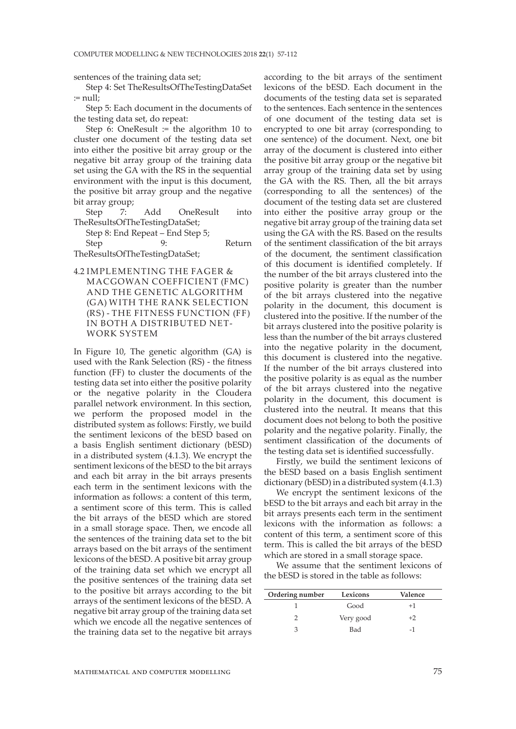sentences of the training data set;

Step 4: Set TheResultsOfTheTestingDataSet  $:=$  null;

Step 5: Each document in the documents of the testing data set, do repeat:

Step 6: OneResult := the algorithm 10 to cluster one document of the testing data set into either the positive bit array group or the negative bit array group of the training data set using the GA with the RS in the sequential environment with the input is this document, the positive bit array group and the negative bit array group;

Step 7: Add OneResult into TheResultsOfTheTestingDataSet;

Step 8: End Repeat – End Step 5; Step 9: Return

TheResultsOfTheTestingDataSet;

4.2 IMPLEMENTING THE FAGER & MACGOWAN COEFFICIENT (FMC) AND THE GENETIC ALGORITHM (GA) WITH THE RANK SELECTION (RS) - THE FITNESS FUNCTION (FF) IN BOTH A DISTRIBUTED NET-WORK SYSTEM

In Figure 10, The genetic algorithm (GA) is used with the Rank Selection (RS) - the fitness function (FF) to cluster the documents of the testing data set into either the positive polarity or the negative polarity in the Cloudera parallel network environment. In this section, we perform the proposed model in the distributed system as follows: Firstly, we build the sentiment lexicons of the bESD based on a basis English sentiment dictionary (bESD) in a distributed system (4.1.3). We encrypt the sentiment lexicons of the bESD to the bit arrays and each bit array in the bit arrays presents each term in the sentiment lexicons with the information as follows: a content of this term, a sentiment score of this term. This is called the bit arrays of the bESD which are stored in a small storage space. Then, we encode all the sentences of the training data set to the bit arrays based on the bit arrays of the sentiment lexicons of the bESD. A positive bit array group of the training data set which we encrypt all the positive sentences of the training data set to the positive bit arrays according to the bit arrays of the sentiment lexicons of the bESD. A negative bit array group of the training data set which we encode all the negative sentences of the training data set to the negative bit arrays

according to the bit arrays of the sentiment lexicons of the bESD. Each document in the documents of the testing data set is separated to the sentences. Each sentence in the sentences of one document of the testing data set is encrypted to one bit array (corresponding to one sentence) of the document. Next, one bit array of the document is clustered into either the positive bit array group or the negative bit array group of the training data set by using the GA with the RS. Then, all the bit arrays (corresponding to all the sentences) of the document of the testing data set are clustered into either the positive array group or the negative bit array group of the training data set using the GA with the RS. Based on the results of the sentiment classification of the bit arrays of the document, the sentiment classification of this document is identified completely. If the number of the bit arrays clustered into the positive polarity is greater than the number of the bit arrays clustered into the negative polarity in the document, this document is clustered into the positive. If the number of the bit arrays clustered into the positive polarity is less than the number of the bit arrays clustered into the negative polarity in the document, this document is clustered into the negative. If the number of the bit arrays clustered into the positive polarity is as equal as the number of the bit arrays clustered into the negative polarity in the document, this document is clustered into the neutral. It means that this document does not belong to both the positive polarity and the negative polarity. Finally, the sentiment classification of the documents of the testing data set is identified successfully.

Firstly, we build the sentiment lexicons of the bESD based on a basis English sentiment dictionary (bESD) in a distributed system (4.1.3)

We encrypt the sentiment lexicons of the bESD to the bit arrays and each bit array in the bit arrays presents each term in the sentiment lexicons with the information as follows: a content of this term, a sentiment score of this term. This is called the bit arrays of the bESD which are stored in a small storage space.

We assume that the sentiment lexicons of the bESD is stored in the table as follows:

| Ordering number | Lexicons  | Valence |
|-----------------|-----------|---------|
|                 | Good      | $+1$    |
|                 | Very good | $+2$    |
|                 | Bad       |         |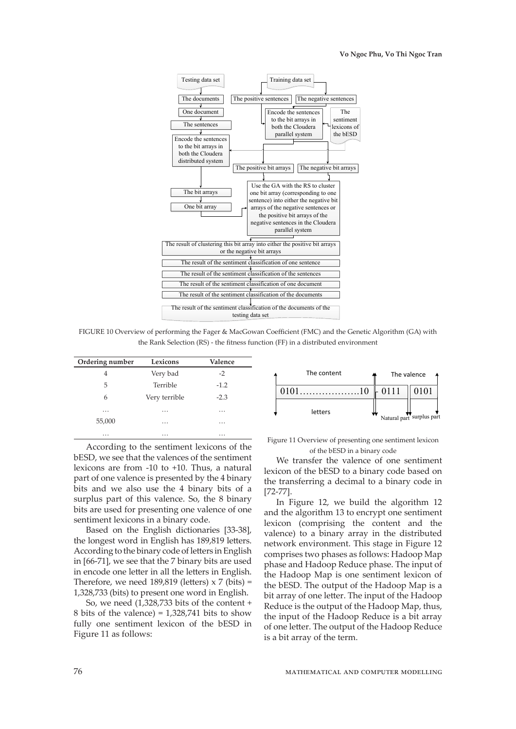

FIGURE 10 Overview of performing the Fager & MacGowan Coefficient (FMC) and the Genetic Algorithm (GA) with the Rank Selection (RS) - the fitness function (FF) in a distributed environment

| Ordering number | Lexicons      | Valence  |
|-----------------|---------------|----------|
| 4               | Very bad      | $-2$     |
| 5               | Terrible      | $-1.2$   |
| 6               | Very terrible | $-2.3$   |
| $\cdots$        | .             | $\cdots$ |
| 55,000          | .             | .        |
| .               | .             | .        |

According to the sentiment lexicons of the bESD, we see that the valences of the sentiment lexicons are from -10 to +10. Thus, a natural part of one valence is presented by the 4 binary bits and we also use the 4 binary bits of a surplus part of this valence. So, the 8 binary bits are used for presenting one valence of one sentiment lexicons in a binary code.

Based on the English dictionaries [33-38], the longest word in English has 189,819 letters. According to the binary code of letters in English in [66-71], we see that the 7 binary bits are used in encode one letter in all the letters in English. Therefore, we need  $189,819$  (letters)  $\times$  7 (bits) = 1,328,733 (bits) to present one word in English.

So, we need (1,328,733 bits of the content + 8 bits of the valence) =  $1,328,741$  bits to show fully one sentiment lexicon of the bESD in Figure 11 as follows:



Figure 11 Overview of presenting one sentiment lexicon of the bESD in a binary code

We transfer the valence of one sentiment lexicon of the bESD to a binary code based on the transferring a decimal to a binary code in [72-77].

In Figure 12, we build the algorithm 12 and the algorithm 13 to encrypt one sentiment lexicon (comprising the content and the valence) to a binary array in the distributed network environment. This stage in Figure 12 comprises two phases as follows: Hadoop Map phase and Hadoop Reduce phase. The input of the Hadoop Map is one sentiment lexicon of the bESD. The output of the Hadoop Map is a bit array of one letter. The input of the Hadoop Reduce is the output of the Hadoop Map, thus, the input of the Hadoop Reduce is a bit array of one letter. The output of the Hadoop Reduce is a bit array of the term.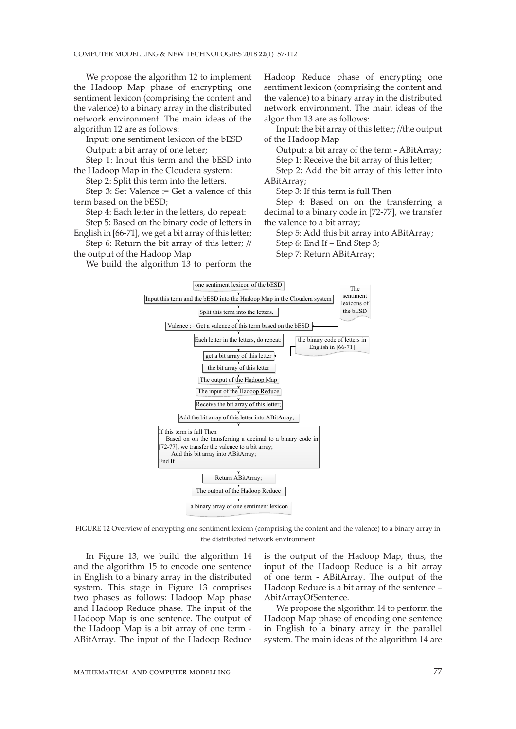We propose the algorithm 12 to implement the Hadoop Map phase of encrypting one sentiment lexicon (comprising the content and the valence) to a binary array in the distributed network environment. The main ideas of the algorithm 12 are as follows:

Input: one sentiment lexicon of the bESD Output: a bit array of one letter;

Step 1: Input this term and the bESD into the Hadoop Map in the Cloudera system;

Step 2: Split this term into the letters.

Step 3: Set Valence := Get a valence of this term based on the bESD;

Step 4: Each letter in the letters, do repeat: Step 5: Based on the binary code of letters in

English in [66-71], we get a bit array of this letter; Step 6: Return the bit array of this letter; //

the output of the Hadoop Map

We build the algorithm 13 to perform the

Hadoop Reduce phase of encrypting one sentiment lexicon (comprising the content and the valence) to a binary array in the distributed network environment. The main ideas of the algorithm 13 are as follows:

Input: the bit array of this letter; //the output of the Hadoop Map

Output: a bit array of the term - ABitArray; Step 1: Receive the bit array of this letter;

Step 2: Add the bit array of this letter into ABitArray;

Step 3: If this term is full Then

Step 4: Based on on the transferring a decimal to a binary code in [72-77], we transfer the valence to a bit array;

Step 5: Add this bit array into ABitArray; Step 6: End If – End Step 3; Step 7: Return ABitArray;



FIGURE 12 Overview of encrypting one sentiment lexicon (comprising the content and the valence) to a binary array in the distributed network environment

In Figure 13, we build the algorithm 14 and the algorithm 15 to encode one sentence in English to a binary array in the distributed system. This stage in Figure 13 comprises two phases as follows: Hadoop Map phase and Hadoop Reduce phase. The input of the Hadoop Map is one sentence. The output of the Hadoop Map is a bit array of one term - ABitArray. The input of the Hadoop Reduce

is the output of the Hadoop Map, thus, the input of the Hadoop Reduce is a bit array of one term - ABitArray. The output of the Hadoop Reduce is a bit array of the sentence – AbitArrayOfSentence.

We propose the algorithm 14 to perform the Hadoop Map phase of encoding one sentence in English to a binary array in the parallel system. The main ideas of the algorithm 14 are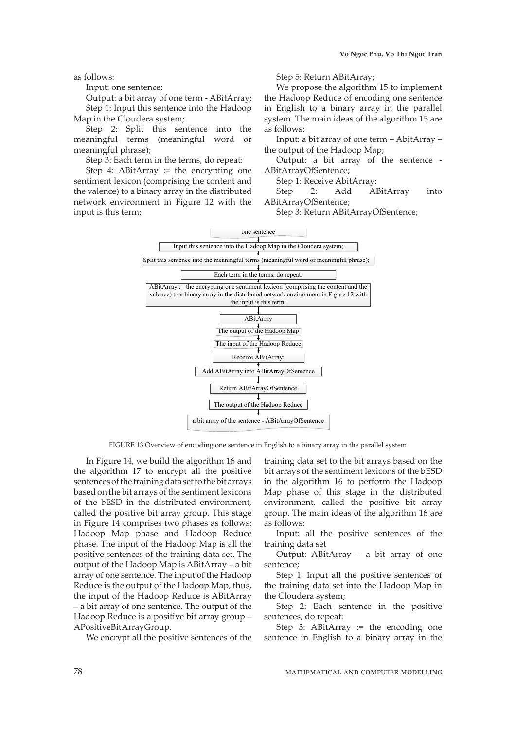as follows:

Input: one sentence;

Output: a bit array of one term - ABitArray; Step 1: Input this sentence into the Hadoop Map in the Cloudera system;

Step 2: Split this sentence into the meaningful terms (meaningful word or meaningful phrase);

Step 3: Each term in the terms, do repeat:

Step 4: ABitArray  $:=$  the encrypting one sentiment lexicon (comprising the content and the valence) to a binary array in the distributed network environment in Figure 12 with the input is this term;

Step 5: Return ABitArray;

We propose the algorithm 15 to implement the Hadoop Reduce of encoding one sentence in English to a binary array in the parallel system. The main ideas of the algorithm 15 are as follows:

Input: a bit array of one term – AbitArray – the output of the Hadoop Map;

Output: a bit array of the sentence - ABitArrayOfSentence;

Step 1: Receive AbitArray;

Step 2: Add ABitArray into ABitArrayOfSentence;

Step 3: Return ABitArrayOfSentence;



FIGURE 13 Overview of encoding one sentence in English to a binary array in the parallel system

In Figure 14, we build the algorithm 16 and the algorithm 17 to encrypt all the positive sentences of the training data set to the bit arrays based on the bit arrays of the sentiment lexicons of the bESD in the distributed environment, called the positive bit array group. This stage in Figure 14 comprises two phases as follows: Hadoop Map phase and Hadoop Reduce phase. The input of the Hadoop Map is all the positive sentences of the training data set. The output of the Hadoop Map is ABitArray – a bit array of one sentence. The input of the Hadoop Reduce is the output of the Hadoop Map, thus, the input of the Hadoop Reduce is ABitArray – a bit array of one sentence. The output of the Hadoop Reduce is a positive bit array group – APositiveBitArrayGroup.

We encrypt all the positive sentences of the

training data set to the bit arrays based on the bit arrays of the sentiment lexicons of the bESD in the algorithm 16 to perform the Hadoop Map phase of this stage in the distributed environment, called the positive bit array group. The main ideas of the algorithm 16 are as follows:

Input: all the positive sentences of the training data set

Output: ABitArray – a bit array of one sentence;

Step 1: Input all the positive sentences of the training data set into the Hadoop Map in the Cloudera system;

Step 2: Each sentence in the positive sentences, do repeat:

Step 3: ABitArray  $:=$  the encoding one sentence in English to a binary array in the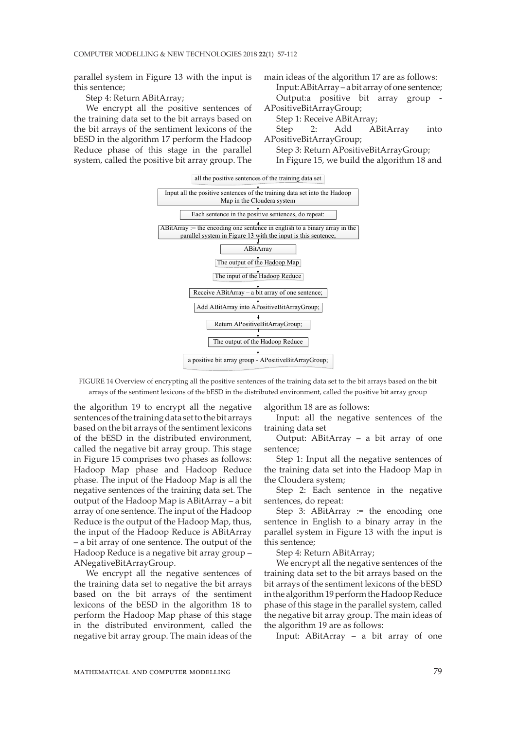parallel system in Figure 13 with the input is this sentence;

Step 4: Return ABitArray;

We encrypt all the positive sentences of the training data set to the bit arrays based on the bit arrays of the sentiment lexicons of the bESD in the algorithm 17 perform the Hadoop Reduce phase of this stage in the parallel system, called the positive bit array group. The main ideas of the algorithm 17 are as follows:

Input: ABitArray – a bit array of one sentence; Output:a positive bit array group - APositiveBitArrayGroup;

Step 1: Receive ABitArray;

Step 2: Add ABitArray into APositiveBitArrayGroup;

Step 3: Return APositiveBitArrayGroup; In Figure 15, we build the algorithm 18 and



FIGURE 14 Overview of encrypting all the positive sentences of the training data set to the bit arrays based on the bit arrays of the sentiment lexicons of the bESD in the distributed environment, called the positive bit array group

the algorithm 19 to encrypt all the negative sentences of the training data set to the bit arrays based on the bit arrays of the sentiment lexicons of the bESD in the distributed environment, called the negative bit array group. This stage in Figure 15 comprises two phases as follows: Hadoop Map phase and Hadoop Reduce phase. The input of the Hadoop Map is all the negative sentences of the training data set. The output of the Hadoop Map is ABitArray – a bit array of one sentence. The input of the Hadoop Reduce is the output of the Hadoop Map, thus, the input of the Hadoop Reduce is ABitArray – a bit array of one sentence. The output of the Hadoop Reduce is a negative bit array group – ANegativeBitArrayGroup.

We encrypt all the negative sentences of the training data set to negative the bit arrays based on the bit arrays of the sentiment lexicons of the bESD in the algorithm 18 to perform the Hadoop Map phase of this stage in the distributed environment, called the negative bit array group. The main ideas of the algorithm 18 are as follows:

Input: all the negative sentences of the training data set

Output: ABitArray – a bit array of one sentence;

Step 1: Input all the negative sentences of the training data set into the Hadoop Map in the Cloudera system;

Step 2: Each sentence in the negative sentences, do repeat:

Step 3: ABitArray  $:=$  the encoding one sentence in English to a binary array in the parallel system in Figure 13 with the input is this sentence;

Step 4: Return ABitArray;

We encrypt all the negative sentences of the training data set to the bit arrays based on the bit arrays of the sentiment lexicons of the bESD in the algorithm 19 perform the Hadoop Reduce phase of this stage in the parallel system, called the negative bit array group. The main ideas of the algorithm 19 are as follows:

Input: ABitArray – a bit array of one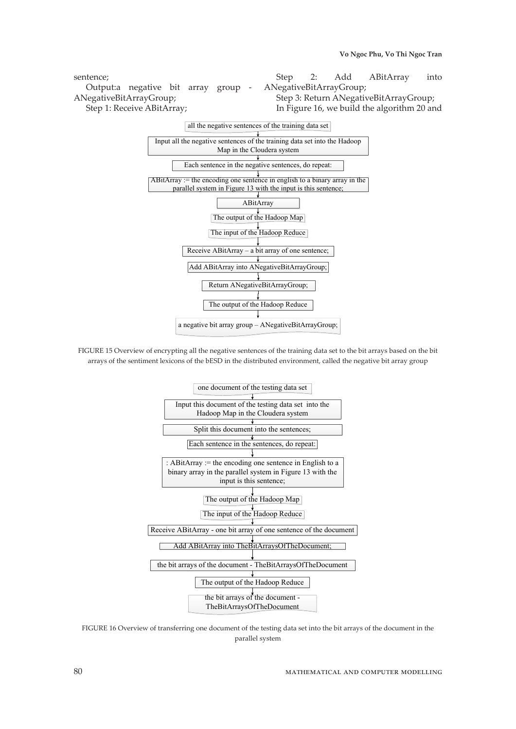sentence; Output:a negative bit array group - ANegativeBitArrayGroup; Step 1: Receive ABitArray; Step 2: Add ABitArray into ANegativeBitArrayGroup; Step 3: Return ANegativeBitArrayGroup; In Figure 16, we build the algorithm 20 and



FIGURE 15 Overview of encrypting all the negative sentences of the training data set to the bit arrays based on the bit arrays of the sentiment lexicons of the bESD in the distributed environment, called the negative bit array group



FIGURE 16 Overview of transferring one document of the testing data set into the bit arrays of the document in the parallel system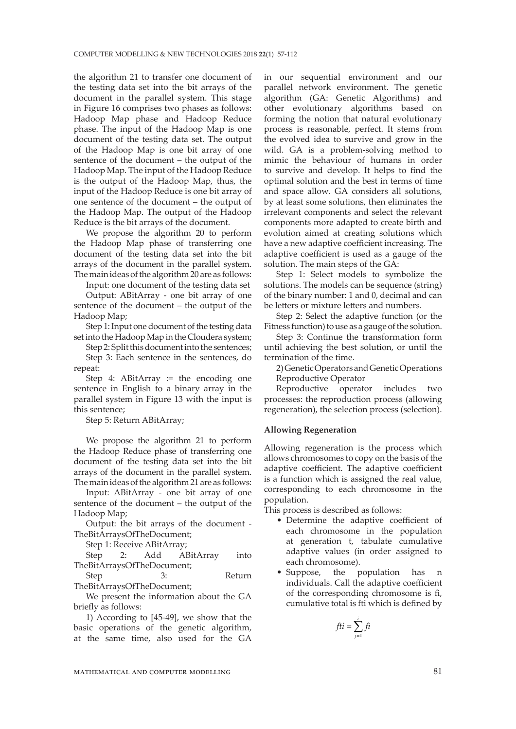the algorithm 21 to transfer one document of the testing data set into the bit arrays of the document in the parallel system. This stage in Figure 16 comprises two phases as follows: Hadoop Map phase and Hadoop Reduce phase. The input of the Hadoop Map is one document of the testing data set. The output of the Hadoop Map is one bit array of one sentence of the document – the output of the Hadoop Map. The input of the Hadoop Reduce is the output of the Hadoop Map, thus, the input of the Hadoop Reduce is one bit array of one sentence of the document – the output of the Hadoop Map. The output of the Hadoop Reduce is the bit arrays of the document.

We propose the algorithm 20 to perform the Hadoop Map phase of transferring one document of the testing data set into the bit arrays of the document in the parallel system. The main ideas of the algorithm 20 are as follows:

Input: one document of the testing data set

Output: ABitArray - one bit array of one sentence of the document – the output of the Hadoop Map;

Step 1: Input one document of the testing data set into the Hadoop Map in the Cloudera system;

Step 2: Split this document into the sentences; Step 3: Each sentence in the sentences, do repeat:

Step 4: ABitArray  $:=$  the encoding one sentence in English to a binary array in the parallel system in Figure 13 with the input is this sentence;

Step 5: Return ABitArray;

We propose the algorithm 21 to perform the Hadoop Reduce phase of transferring one document of the testing data set into the bit arrays of the document in the parallel system. The main ideas of the algorithm 21 are as follows:

Input: ABitArray - one bit array of one sentence of the document – the output of the Hadoop Map;

Output: the bit arrays of the document - TheBitArraysOfTheDocument;

Step 1: Receive ABitArray;

Step 2: Add ABitArray into TheBitArraysOfTheDocument;

Step 3: Return TheBitArraysOfTheDocument;

We present the information about the GA briefly as follows:

1) According to [45-49], we show that the basic operations of the genetic algorithm, at the same time, also used for the GA in our sequential environment and our parallel network environment. The genetic algorithm (GA: Genetic Algorithms) and other evolutionary algorithms based on forming the notion that natural evolutionary process is reasonable, perfect. It stems from the evolved idea to survive and grow in the wild. GA is a problem-solving method to mimic the behaviour of humans in order to survive and develop. It helps to find the optimal solution and the best in terms of time and space allow. GA considers all solutions, by at least some solutions, then eliminates the irrelevant components and select the relevant components more adapted to create birth and evolution aimed at creating solutions which have a new adaptive coefficient increasing. The adaptive coefficient is used as a gauge of the solution. The main steps of the GA:

Step 1: Select models to symbolize the solutions. The models can be sequence (string) of the binary number: 1 and 0, decimal and can be letters or mixture letters and numbers.

Step 2: Select the adaptive function (or the Fitness function) to use as a gauge of the solution.

Step 3: Continue the transformation form until achieving the best solution, or until the termination of the time.

2) Genetic Operators and Genetic Operations Reproductive Operator

Reproductive operator includes two processes: the reproduction process (allowing regeneration), the selection process (selection).

## **Allowing Regeneration**

Allowing regeneration is the process which allows chromosomes to copy on the basis of the adaptive coefficient. The adaptive coefficient is a function which is assigned the real value, corresponding to each chromosome in the population.

This process is described as follows:

- Determine the adaptive coefficient of each chromosome in the population at generation t, tabulate cumulative adaptive values (in order assigned to each chromosome).
- Suppose, the population has n individuals. Call the adaptive coefficient of the corresponding chromosome is fi, cumulative total is fti which is defined by

$$
fti = \sum_{j=1}^{i} fi
$$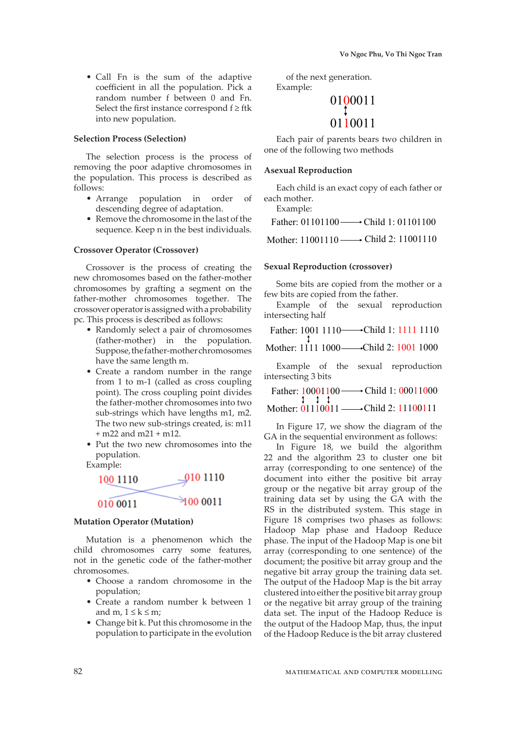• Call Fn is the sum of the adaptive coefficient in all the population. Pick a random number f between 0 and Fn. Select the first instance correspond  $f \geq f$ tk into new population.

# **Selection Process (Selection)**

The selection process is the process of removing the poor adaptive chromosomes in the population. This process is described as follows:

- Arrange population in order of descending degree of adaptation.
- Remove the chromosome in the last of the sequence. Keep n in the best individuals.

#### **Crossover Operator (Crossover)**

Crossover is the process of creating the new chromosomes based on the father-mother chromosomes by grafting a segment on the father-mother chromosomes together. The crossover operator is assigned with a probability pc. This process is described as follows:

- Randomly select a pair of chromosomes (father-mother) in the population. Suppose, the father-mother chromosomes have the same length m.
- Create a random number in the range from 1 to m-1 (called as cross coupling point). The cross coupling point divides the father-mother chromosomes into two sub-strings which have lengths m1, m2. The two new sub-strings created, is: m11 + m22 and m21 + m12.
- Put the two new chromosomes into the population.

Example:



#### **Mutation Operator (Mutation)**

Mutation is a phenomenon which the child chromosomes carry some features, not in the genetic code of the father-mother chromosomes.

- Choose a random chromosome in the population;
- Create a random number k between 1 and m,  $1 \leq k \leq m$ ;
- Change bit k. Put this chromosome in the population to participate in the evolution

of the next generation. Example:

# 0100011 0110011

Each pair of parents bears two children in one of the following two methods

#### **Asexual Reproduction**

Each child is an exact copy of each father or each mother. Example:

Father: 01101100 Child 1: 01101100 Mother: 11001110 Child 2: 11001110

#### **Sexual Reproduction (crossover)**

Some bits are copied from the mother or a few bits are copied from the father.

Example of the sexual reproduction intersecting half

Father: 1001 1110 Child 1: 1111 1110

Mother: 1111 1000—→Child 2: 1001 1000

Example of the sexual reproduction intersecting 3 bits

Father: 10001100 → Child 1: 00011000 Mother: 01110011 —→ Child 2: 11100111

In Figure 17, we show the diagram of the GA in the sequential environment as follows:

In Figure 18, we build the algorithm 22 and the algorithm 23 to cluster one bit array (corresponding to one sentence) of the document into either the positive bit array group or the negative bit array group of the training data set by using the GA with the RS in the distributed system. This stage in Figure 18 comprises two phases as follows: Hadoop Map phase and Hadoop Reduce phase. The input of the Hadoop Map is one bit array (corresponding to one sentence) of the document; the positive bit array group and the negative bit array group the training data set. The output of the Hadoop Map is the bit array clustered into either the positive bit array group or the negative bit array group of the training data set. The input of the Hadoop Reduce is the output of the Hadoop Map, thus, the input of the Hadoop Reduce is the bit array clustered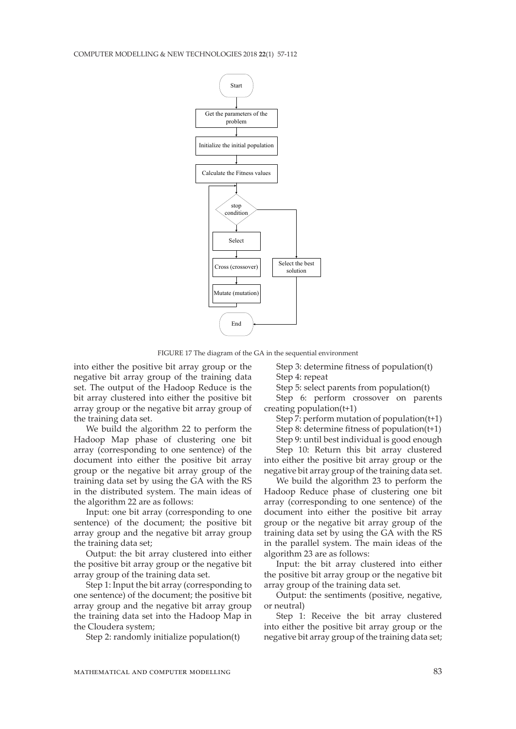

FIGURE 17 The diagram of the GA in the sequential environment

into either the positive bit array group or the negative bit array group of the training data set. The output of the Hadoop Reduce is the bit array clustered into either the positive bit array group or the negative bit array group of the training data set.

We build the algorithm 22 to perform the Hadoop Map phase of clustering one bit array (corresponding to one sentence) of the document into either the positive bit array group or the negative bit array group of the training data set by using the GA with the RS in the distributed system. The main ideas of the algorithm 22 are as follows:

Input: one bit array (corresponding to one sentence) of the document; the positive bit array group and the negative bit array group the training data set;

Output: the bit array clustered into either the positive bit array group or the negative bit array group of the training data set.

Step 1: Input the bit array (corresponding to one sentence) of the document; the positive bit array group and the negative bit array group the training data set into the Hadoop Map in the Cloudera system;

Step 2: randomly initialize population(t)

Step 3: determine fitness of population(t) Step 4: repeat

Step 5: select parents from population(t)

Step 6: perform crossover on parents creating population(t+1)

Step 7: perform mutation of population(t+1)

Step 8: determine fitness of population(t+1) Step 9: until best individual is good enough

Step 10: Return this bit array clustered into either the positive bit array group or the negative bit array group of the training data set.

We build the algorithm 23 to perform the Hadoop Reduce phase of clustering one bit array (corresponding to one sentence) of the document into either the positive bit array group or the negative bit array group of the training data set by using the GA with the RS in the parallel system. The main ideas of the algorithm 23 are as follows:

Input: the bit array clustered into either the positive bit array group or the negative bit array group of the training data set.

Output: the sentiments (positive, negative, or neutral)

Step 1: Receive the bit array clustered into either the positive bit array group or the negative bit array group of the training data set;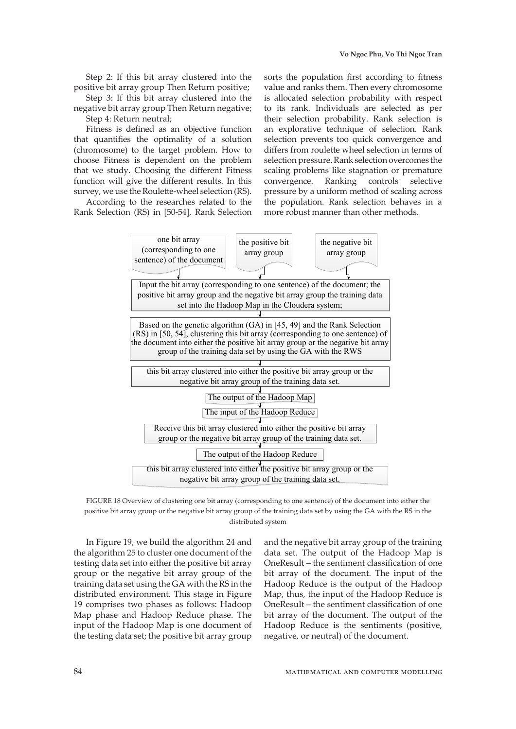Step 2: If this bit array clustered into the positive bit array group Then Return positive;

Step 3: If this bit array clustered into the negative bit array group Then Return negative; Step 4: Return neutral;

Fitness is defined as an objective function that quantifies the optimality of a solution (chromosome) to the target problem. How to choose Fitness is dependent on the problem that we study. Choosing the different Fitness function will give the different results. In this survey, we use the Roulette-wheel selection (RS).

According to the researches related to the Rank Selection (RS) in [50-54], Rank Selection

sorts the population first according to fitness value and ranks them. Then every chromosome is allocated selection probability with respect to its rank. Individuals are selected as per their selection probability. Rank selection is an explorative technique of selection. Rank selection prevents too quick convergence and differs from roulette wheel selection in terms of selection pressure. Rank selection overcomes the scaling problems like stagnation or premature convergence. Ranking controls selective pressure by a uniform method of scaling across the population. Rank selection behaves in a more robust manner than other methods.



FIGURE 18 Overview of clustering one bit array (corresponding to one sentence) of the document into either the positive bit array group or the negative bit array group of the training data set by using the GA with the RS in the distributed system

In Figure 19, we build the algorithm 24 and the algorithm 25 to cluster one document of the testing data set into either the positive bit array group or the negative bit array group of the training data set using the GA with the RS in the distributed environment. This stage in Figure 19 comprises two phases as follows: Hadoop Map phase and Hadoop Reduce phase. The input of the Hadoop Map is one document of the testing data set; the positive bit array group

and the negative bit array group of the training data set. The output of the Hadoop Map is OneResult – the sentiment classification of one bit array of the document. The input of the Hadoop Reduce is the output of the Hadoop Map, thus, the input of the Hadoop Reduce is OneResult – the sentiment classification of one bit array of the document. The output of the Hadoop Reduce is the sentiments (positive, negative, or neutral) of the document.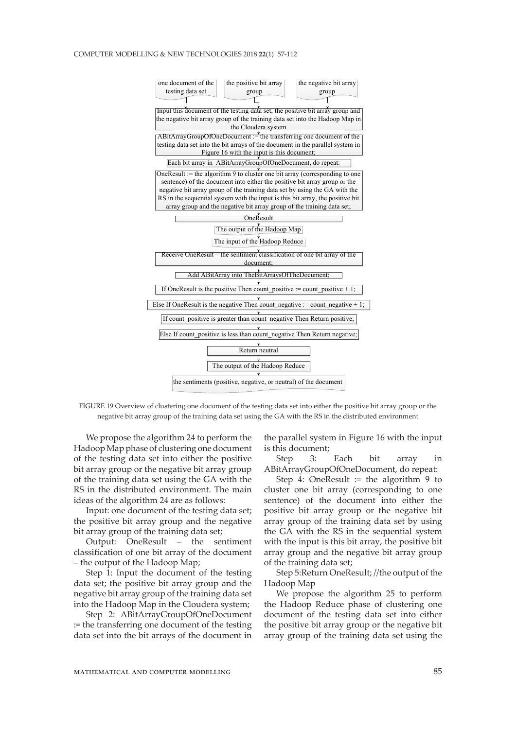#### COMPUTER MODELLING & NEW TECHNOLOGIES 2018 **22**(1) 57-112



FIGURE 19 Overview of clustering one document of the testing data set into either the positive bit array group or the negative bit array group of the training data set using the GA with the RS in the distributed environment

We propose the algorithm 24 to perform the Hadoop Map phase of clustering one document of the testing data set into either the positive bit array group or the negative bit array group of the training data set using the GA with the RS in the distributed environment. The main ideas of the algorithm 24 are as follows:

Input: one document of the testing data set; the positive bit array group and the negative bit array group of the training data set;

Output: OneResult – the sentiment classification of one bit array of the document – the output of the Hadoop Map;

Step 1: Input the document of the testing data set; the positive bit array group and the negative bit array group of the training data set into the Hadoop Map in the Cloudera system;

Step 2: ABitArrayGroupOfOneDocument := the transferring one document of the testing data set into the bit arrays of the document in

the parallel system in Figure 16 with the input is this document;

Step 3: Each bit array in ABitArrayGroupOfOneDocument, do repeat:

Step 4: OneResult  $:=$  the algorithm 9 to cluster one bit array (corresponding to one sentence) of the document into either the positive bit array group or the negative bit array group of the training data set by using the GA with the RS in the sequential system with the input is this bit array, the positive bit array group and the negative bit array group of the training data set;

Step 5:Return OneResult; //the output of the Hadoop Map

We propose the algorithm 25 to perform the Hadoop Reduce phase of clustering one document of the testing data set into either the positive bit array group or the negative bit array group of the training data set using the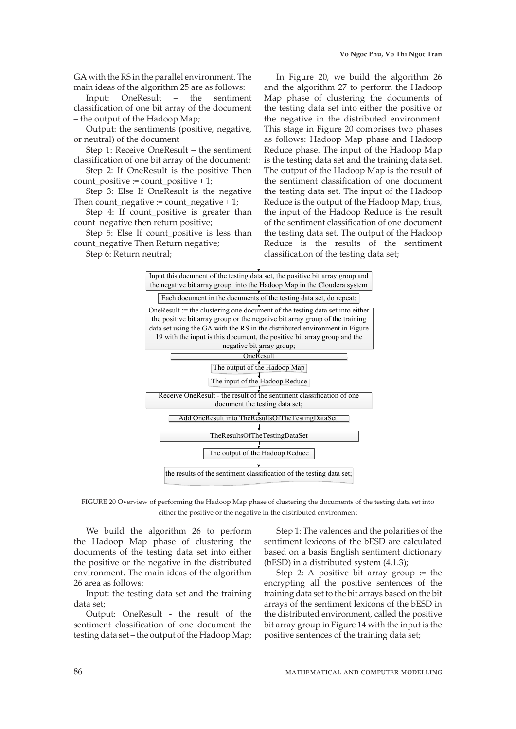GA with the RS in the parallel environment. The main ideas of the algorithm 25 are as follows:

Input: OneResult – the sentiment classification of one bit array of the document – the output of the Hadoop Map;

Output: the sentiments (positive, negative, or neutral) of the document

Step 1: Receive OneResult – the sentiment classification of one bit array of the document;

Step 2: If OneResult is the positive Then count\_positive := count\_positive + 1;

Step 3: Else If OneResult is the negative Then count negative := count negative + 1;

Step 4: If count\_positive is greater than count\_negative then return positive;

Step 5: Else If count positive is less than count negative Then Return negative;

Step 6: Return neutral;

In Figure 20, we build the algorithm 26 and the algorithm 27 to perform the Hadoop Map phase of clustering the documents of the testing data set into either the positive or the negative in the distributed environment. This stage in Figure 20 comprises two phases as follows: Hadoop Map phase and Hadoop Reduce phase. The input of the Hadoop Map is the testing data set and the training data set. The output of the Hadoop Map is the result of the sentiment classification of one document the testing data set. The input of the Hadoop Reduce is the output of the Hadoop Map, thus, the input of the Hadoop Reduce is the result of the sentiment classification of one document the testing data set. The output of the Hadoop Reduce is the results of the sentiment classification of the testing data set;



FIGURE 20 Overview of performing the Hadoop Map phase of clustering the documents of the testing data set into either the positive or the negative in the distributed environment

We build the algorithm 26 to perform the Hadoop Map phase of clustering the documents of the testing data set into either the positive or the negative in the distributed environment. The main ideas of the algorithm 26 area as follows:

Input: the testing data set and the training data set;

Output: OneResult - the result of the sentiment classification of one document the testing data set – the output of the Hadoop Map;

Step 1: The valences and the polarities of the sentiment lexicons of the bESD are calculated based on a basis English sentiment dictionary (bESD) in a distributed system (4.1.3);

Step 2: A positive bit array group  $:=$  the encrypting all the positive sentences of the training data set to the bit arrays based on the bit arrays of the sentiment lexicons of the bESD in the distributed environment, called the positive bit array group in Figure 14 with the input is the positive sentences of the training data set;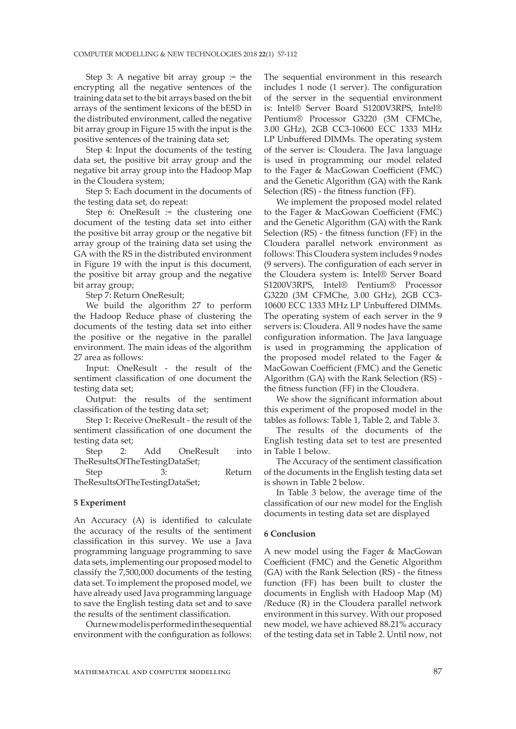Step 3: A negative bit array group  $=$  the encrypting all the negative sentences of the training data set to the bit arrays based on the bit arrays of the sentiment lexicons of the bESD in the distributed environment, called the negative bit array group in Figure 15 with the input is the positive sentences of the training data set;

Step 4: Input the documents of the testing data set, the positive bit array group and the negative bit array group into the Hadoop Map in the Cloudera system;

Step 5: Each document in the documents of the testing data set, do repeat:

Step  $6$ : OneResult := the clustering one document of the testing data set into either the positive bit array group or the negative bit array group of the training data set using the GA with the RS in the distributed environment in Figure 19 with the input is this document, the positive bit array group and the negative bit array group;

Step 7: Return OneResult;

We build the algorithm 27 to perform the Hadoop Reduce phase of clustering the documents of the testing data set into either the positive or the negative in the parallel environment. The main ideas of the algorithm 27 area as follows:

Input: OneResult - the result of the sentiment classification of one document the testing data set;

Output: the results of the sentiment classification of the testing data set;

Step 1: Receive OneResult - the result of the sentiment classification of one document the testing data set;

Step 2: Add OneResult into TheResultsOfTheTestingDataSet;

Step 3: Return TheResultsOfTheTestingDataSet;

#### **5 Experiment**

An Accuracy (A) is identified to calculate the accuracy of the results of the sentiment classification in this survey. We use a Java programming language programming to save data sets, implementing our proposed model to classify the 7,500,000 documents of the testing data set. To implement the proposed model, we have already used Java programming language to save the English testing data set and to save the results of the sentiment classification.

Our new model is performed in the sequential environment with the configuration as follows: The sequential environment in this research includes 1 node (1 server). The configuration of the server in the sequential environment is: Intel® Server Board S1200V3RPS, Intel® Pentium® Processor G3220 (3M CFMChe, 3.00 GHz), 2GB CC3-10600 ECC 1333 MHz LP Unbuffered DIMMs. The operating system of the server is: Cloudera. The Java language is used in programming our model related to the Fager & MacGowan Coefficient (FMC) and the Genetic Algorithm (GA) with the Rank Selection (RS) - the fitness function (FF).

We implement the proposed model related to the Fager & MacGowan Coefficient (FMC) and the Genetic Algorithm (GA) with the Rank Selection (RS) - the fitness function (FF) in the Cloudera parallel network environment as follows: This Cloudera system includes 9 nodes (9 servers). The configuration of each server in the Cloudera system is: Intel® Server Board S1200V3RPS, Intel® Pentium® Processor G3220 (3M CFMChe, 3.00 GHz), 2GB CC3- 10600 ECC 1333 MHz LP Unbuffered DIMMs. The operating system of each server in the 9 servers is: Cloudera. All 9 nodes have the same configuration information. The Java language is used in programming the application of the proposed model related to the Fager & MacGowan Coefficient (FMC) and the Genetic Algorithm (GA) with the Rank Selection (RS) the fitness function (FF) in the Cloudera.

We show the significant information about this experiment of the proposed model in the tables as follows: Table 1, Table 2, and Table 3.

The results of the documents of the English testing data set to test are presented in Table 1 below.

The Accuracy of the sentiment classification of the documents in the English testing data set is shown in Table 2 below.

In Table 3 below, the average time of the classification of our new model for the English documents in testing data set are displayed

#### **6 Conclusion**

A new model using the Fager & MacGowan Coefficient (FMC) and the Genetic Algorithm (GA) with the Rank Selection (RS) - the fitness function (FF) has been built to cluster the documents in English with Hadoop Map (M) /Reduce (R) in the Cloudera parallel network environment in this survey. With our proposed new model, we have achieved 88.21% accuracy of the testing data set in Table 2. Until now, not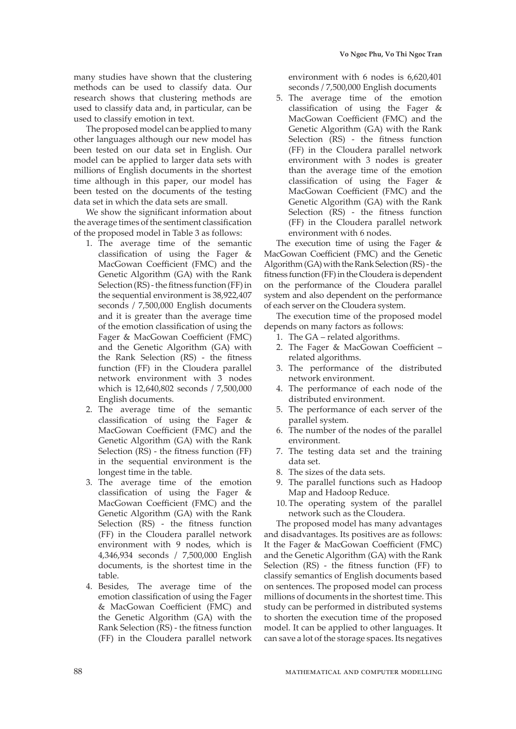many studies have shown that the clustering methods can be used to classify data. Our research shows that clustering methods are used to classify data and, in particular, can be used to classify emotion in text.

The proposed model can be applied to many other languages although our new model has been tested on our data set in English. Our model can be applied to larger data sets with millions of English documents in the shortest time although in this paper, our model has been tested on the documents of the testing data set in which the data sets are small.

We show the significant information about the average times of the sentiment classification of the proposed model in Table 3 as follows:

- 1. The average time of the semantic classification of using the Fager & MacGowan Coefficient (FMC) and the Genetic Algorithm (GA) with the Rank Selection (RS) - the fitness function (FF) in the sequential environment is 38,922,407 seconds / 7,500,000 English documents and it is greater than the average time of the emotion classification of using the Fager & MacGowan Coefficient (FMC) and the Genetic Algorithm (GA) with the Rank Selection (RS) - the fitness function (FF) in the Cloudera parallel network environment with 3 nodes which is 12,640,802 seconds / 7,500,000 English documents.
- 2. The average time of the semantic classification of using the Fager & MacGowan Coefficient (FMC) and the Genetic Algorithm (GA) with the Rank Selection (RS) - the fitness function (FF) in the sequential environment is the longest time in the table.
- 3. The average time of the emotion classification of using the Fager & MacGowan Coefficient (FMC) and the Genetic Algorithm (GA) with the Rank Selection (RS) - the fitness function (FF) in the Cloudera parallel network environment with 9 nodes, which is 4,346,934 seconds / 7,500,000 English documents, is the shortest time in the table.
- 4. Besides, The average time of the emotion classification of using the Fager & MacGowan Coefficient (FMC) and the Genetic Algorithm (GA) with the Rank Selection (RS) - the fitness function (FF) in the Cloudera parallel network

environment with 6 nodes is 6,620,401 seconds / 7,500,000 English documents

5. The average time of the emotion classification of using the Fager & MacGowan Coefficient (FMC) and the Genetic Algorithm (GA) with the Rank Selection (RS) - the fitness function (FF) in the Cloudera parallel network environment with 3 nodes is greater than the average time of the emotion classification of using the Fager & MacGowan Coefficient (FMC) and the Genetic Algorithm (GA) with the Rank Selection (RS) - the fitness function (FF) in the Cloudera parallel network environment with 6 nodes.

The execution time of using the Fager & MacGowan Coefficient (FMC) and the Genetic Algorithm (GA) with the Rank Selection (RS) - the fitness function (FF) in the Cloudera is dependent on the performance of the Cloudera parallel system and also dependent on the performance of each server on the Cloudera system.

The execution time of the proposed model depends on many factors as follows:

- 1. The GA related algorithms.
- 2. The Fager & MacGowan Coefficient related algorithms.
- 3. The performance of the distributed network environment.
- 4. The performance of each node of the distributed environment.
- 5. The performance of each server of the parallel system.
- 6. The number of the nodes of the parallel environment.
- 7. The testing data set and the training data set.
- 8. The sizes of the data sets.
- 9. The parallel functions such as Hadoop Map and Hadoop Reduce.
- 10. The operating system of the parallel network such as the Cloudera.

The proposed model has many advantages and disadvantages. Its positives are as follows: It the Fager & MacGowan Coefficient (FMC) and the Genetic Algorithm (GA) with the Rank Selection (RS) - the fitness function (FF) to classify semantics of English documents based on sentences. The proposed model can process millions of documents in the shortest time. This study can be performed in distributed systems to shorten the execution time of the proposed model. It can be applied to other languages. It can save a lot of the storage spaces. Its negatives

88 mathematical and computer modelling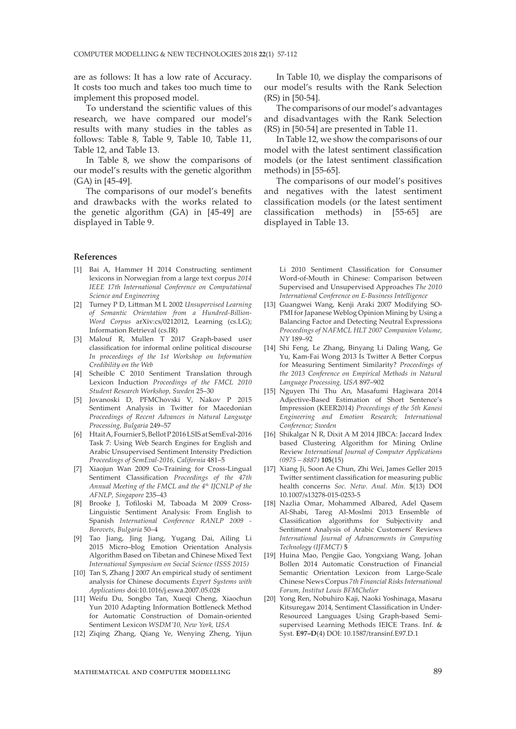are as follows: It has a low rate of Accuracy. It costs too much and takes too much time to implement this proposed model.

To understand the scientific values of this research, we have compared our model's results with many studies in the tables as follows: Table 8, Table 9, Table 10, Table 11, Table 12, and Table 13.

In Table 8, we show the comparisons of our model's results with the genetic algorithm (GA) in [45-49].

The comparisons of our model's benefits and drawbacks with the works related to the genetic algorithm (GA) in [45-49] are displayed in Table 9.

#### **References**

- [1] Bai A, Hammer H 2014 Constructing sentiment lexicons in Norwegian from a large text corpus *2014 IEEE 17th International Conference on Computational Science and Engineering*
- [2] Turney P D, Littman M L 2002 *Unsupervised Learning of Semantic Orientation from a Hundred-Billion-Word Corpus* arXiv:cs/0212012, Learning (cs.LG); Information Retrieval (cs.IR)
- [3] Malouf R, Mullen T 2017 Graph-based user classification for informal online political discourse *In proceedings of the 1st Workshop on Information Credibility on the Web*
- [4] Scheible C 2010 Sentiment Translation through Lexicon Induction *Proceedings of the FMCL 2010 Student Research Workshop, Sweden* 25–30
- [5] Jovanoski D, PFMChovski V, Nakov P 2015 Sentiment Analysis in Twitter for Macedonian *Proceedings of Recent Advances in Natural Language Processing, Bulgaria* 249–57
- [6] Htait A, Fournier S, Bellot P 2016 LSIS at SemEval-2016 Task 7: Using Web Search Engines for English and Arabic Unsupervised Sentiment Intensity Prediction *Proceedings of SemEval-2016, California* 481–5
- [7] Xiaojun Wan 2009 Co-Training for Cross-Lingual Sentiment Classification *Proceedings of the 47th Annual Meeting of the FMCL and the 4th IJCNLP of the AFNLP, Singapore* 235–43
- [8] Brooke J, Tofiloski M, Taboada M 2009 Cross-Linguistic Sentiment Analysis: From English to Spanish *International Conference RANLP 2009 - Borovets, Bulgaria* 50–4
- [9] Tao Jiang, Jing Jiang, Yugang Dai, Ailing Li 2015 Micro–blog Emotion Orientation Analysis Algorithm Based on Tibetan and Chinese Mixed Text *International Symposium on Social Science (ISSS 2015)*
- [10] Tan S, Zhang J 2007 An empirical study of sentiment analysis for Chinese documents *Expert Systems with Applications* doi:10.1016/j.eswa.2007.05.028
- [11] Weifu Du, Songbo Tan, Xueqi Cheng, Xiaochun Yun 2010 Adapting Information Bottleneck Method for Automatic Construction of Domain-oriented Sentiment Lexicon *WSDM'10, New York, USA*
- [12] Ziqing Zhang, Qiang Ye, Wenying Zheng, Yijun

In Table 10, we display the comparisons of our model's results with the Rank Selection (RS) in [50-54].

The comparisons of our model's advantages and disadvantages with the Rank Selection (RS) in [50-54] are presented in Table 11.

In Table 12, we show the comparisons of our model with the latest sentiment classification models (or the latest sentiment classification methods) in [55-65].

The comparisons of our model's positives and negatives with the latest sentiment classification models (or the latest sentiment classification methods) in [55-65] are displayed in Table 13.

Li 2010 Sentiment Classification for Consumer Word-of-Mouth in Chinese: Comparison between Supervised and Unsupervised Approaches *The 2010 International Conference on E-Business Intelligence*

- [13] Guangwei Wang, Kenji Araki 2007 Modifying SO-PMI for Japanese Weblog Opinion Mining by Using a Balancing Factor and Detecting Neutral Expressions *Proceedings of NAFMCL HLT 2007 Companion Volume, NY* 189–92
- [14] Shi Feng, Le Zhang, Binyang Li Daling Wang, Ge Yu, Kam-Fai Wong 2013 Is Twitter A Better Corpus for Measuring Sentiment Similarity? *Proceedings of the 2013 Conference on Empirical Methods in Natural Language Processing, USA* 897–902
- [15] Nguyen Thi Thu An, Masafumi Hagiwara 2014 Adjective-Based Estimation of Short Sentence's Impression (KEER2014) *Proceedings of the 5th Kanesi Engineering and Emotion Research; International Conference; Sweden*
- [16] Shikalgar N R, Dixit A M 2014 JIBCA: Jaccard Index based Clustering Algorithm for Mining Online Review *International Journal of Computer Applications (0975 – 8887)* **105**(15)
- [17] Xiang Ji, Soon Ae Chun, Zhi Wei, James Geller 2015 Twitter sentiment classification for measuring public health concerns *Soc. Netw. Anal. Min.* **5**(13) DOI 10.1007/s13278-015-0253-5
- [18] Nazlia Omar, Mohammed Albared, Adel Qasem Al-Shabi, Tareg Al-Moslmi 2013 Ensemble of Classification algorithms for Subjectivity and Sentiment Analysis of Arabic Customers' Reviews *International Journal of Advancements in Computing Technology (IJFMCT)* **5**
- [19] Huina Mao, Pengjie Gao, Yongxiang Wang, Johan Bollen 2014 Automatic Construction of Financial Semantic Orientation Lexicon from Large-Scale Chinese News Corpus *7th Financial Risks International Forum, Institut Louis BFMChelier*
- [20] Yong Ren, Nobuhiro Kaji, Naoki Yoshinaga, Masaru Kitsuregaw 2014, Sentiment Classification in Under-Resourced Languages Using Graph-based Semisupervised Learning Methods IEICE Trans. Inf. & Syst. **E97–D**(4) DOI: 10.1587/transinf.E97.D.1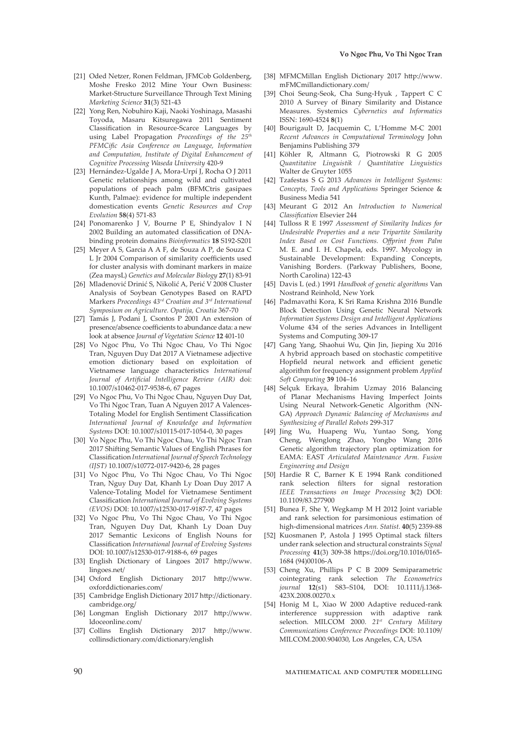- [21] Oded Netzer, Ronen Feldman, JFMCob Goldenberg, Moshe Fresko 2012 Mine Your Own Business: Market-Structure Surveillance Through Text Mining *Marketing Science* **31**(3) 521-43
- [22] Yong Ren, Nobuhiro Kaji, Naoki Yoshinaga, Masashi Toyoda, Masaru Kitsuregawa 2011 Sentiment Classification in Resource-Scarce Languages by using Label Propagation *Proceedings of the 25th PFMCific Asia Conference on Language, Information and Computation, Institute of Digital Enhancement of Cognitive Processing Waseda University* 420-9
- [23] Hernández-Ugalde J A, Mora-Urpí J, Rocha O J 2011 Genetic relationships among wild and cultivated populations of peach palm (BFMCtris gasipaes Kunth, Palmae): evidence for multiple independent domestication events *Genetic Resources and Crop Evolution* **58**(4) 571-83
- [24] Ponomarenko J V, Bourne P E, Shindyalov I N 2002 Building an automated classification of DNAbinding protein domains *Bioinformatics* **18** S192-S201
- [25] Meyer A S, Garcia A A F, de Souza A P, de Souza C L Jr 2004 Comparison of similarity coefficients used for cluster analysis with dominant markers in maize (Zea maysL) *Genetics and Molecular Biology* **27**(1) 83-91
- [26] Mladenović Drinić S, Nikolić A, Perić V 2008 Cluster Analysis of Soybean Genotypes Based on RAPD Markers *Proceedings 43rd Croatian and 3rd International Symposium on Agriculture. Opatija, Croatia* 367-70
- [27] Tamás J, Podani J, Csontos P 2001 An extension of presence/absence coefficients to abundance data: a new look at absence *Journal of Vegetation Science* **12** 401-10
- [28] Vo Ngoc Phu, Vo Thi Ngoc Chau, Vo Thi Ngoc Tran, Nguyen Duy Dat 2017 A Vietnamese adjective emotion dictionary based on exploitation of Vietnamese language characteristics *International Journal of Artificial Intelligence Review (AIR)* doi: 10.1007/s10462-017-9538-6, 67 pages
- [29] Vo Ngoc Phu, Vo Thi Ngoc Chau, Nguyen Duy Dat, Vo Thi Ngoc Tran, Tuan A Nguyen 2017 A Valences-Totaling Model for English Sentiment Classification *International Journal of Knowledge and Information Systems* DOI: 10.1007/s10115-017-1054-0, 30 pages
- [30] Vo Ngoc Phu, Vo Thi Ngoc Chau, Vo Thi Ngoc Tran 2017 Shifting Semantic Values of English Phrases for Classification *International Journal of Speech Technology (IJST)* 10.1007/s10772-017-9420-6, 28 pages
- [31] Vo Ngoc Phu, Vo Thi Ngoc Chau, Vo Thi Ngoc Tran, Nguy Duy Dat, Khanh Ly Doan Duy 2017 A Valence-Totaling Model for Vietnamese Sentiment Classification *International Journal of Evolving Systems (EVOS)* DOI: 10.1007/s12530-017-9187-7, 47 pages
- [32] Vo Ngoc Phu, Vo Thi Ngoc Chau, Vo Thi Ngoc Tran, Nguyen Duy Dat, Khanh Ly Doan Duy 2017 Semantic Lexicons of English Nouns for Classification *International Journal of Evolving Systems* DOI: 10.1007/s12530-017-9188-6, 69 pages
- [33] English Dictionary of Lingoes 2017 http://www. lingoes.net/
- [34] Oxford English Dictionary 2017 http://www. oxforddictionaries.com/
- [35] Cambridge English Dictionary 2017 http://dictionary. cambridge.org/
- [36] Longman English Dictionary 2017 http://www. ldoceonline.com/
- [37] Collins English Dictionary 2017 http://www. collinsdictionary.com/dictionary/english
- [38] MFMCMillan English Dictionary 2017 http://www. mFMCmillandictionary.com/
- [39] Choi Seung-Seok, Cha Sung-Hyuk , Tappert C C 2010 A Survey of Binary Similarity and Distance Measures. Systemics *Cybernetics and Informatics*  ISSN: 1690-4524 **8**(1)
- [40] Bourigault D, Jacquemin C, L'Homme M-C 2001 *Recent Advances in Computational Terminology* John Benjamins Publishing 379
- [41] Köhler R, Altmann G, Piotrowski R G 2005 *Quantitative Linguistik / Quantitative Linguistics*  Walter de Gruyter 1055
- [42] Tzafestas S G 2013 *Advances in Intelligent Systems: Concepts, Tools and Applications* Springer Science & Business Media 541
- [43] Meurant G 2012 An *Introduction to Numerical Classification* Elsevier 244
- [44] Tulloss R E 1997 *Assessment of Similarity Indices for Undesirable Properties and a new Tripartite Similarity Index Based on Cost Functions. Offprint from Palm* M. E. and I. H. Chapela, eds. 1997. Mycology in Sustainable Development: Expanding Concepts, Vanishing Borders. (Parkway Publishers, Boone, North Carolina) 122-43
- [45] Davis L (ed.) 1991 *Handbook of genetic algorithms* Van Nostrand Reinhold, New York
- [46] Padmavathi Kora, K Sri Rama Krishna 2016 Bundle Block Detection Using Genetic Neural Network *Information Systems Design and Intelligent Applications* Volume 434 of the series Advances in Intelligent Systems and Computing 309-17
- [47] Gang Yang, Shaohui Wu, Qin Jin, Jieping Xu 2016 A hybrid approach based on stochastic competitive Hopfield neural network and efficient genetic algorithm for frequency assignment problem *Applied Soft Computing* **39** 104–16
- [48] Selçuk Erkaya, İbrahim Uzmay 2016 Balancing of Planar Mechanisms Having Imperfect Joints Using Neural Network-Genetic Algorithm (NN-GA) *Approach Dynamic Balancing of Mechanisms and Synthesizing of Parallel Robots* 299-317
- [49] Jing Wu, Huapeng Wu, Yuntao Song, Yong Cheng, Wenglong Zhao, Yongbo Wang 2016 Genetic algorithm trajectory plan optimization for EAMA: EAST *Articulated Maintenance Arm. Fusion Engineering and Design*
- [50] Hardie R C, Barner K E 1994 Rank conditioned rank selection filters for signal restoration *IEEE Transactions on Image Processing* **3**(2) DOI: 10.1109/83.277900
- [51] Bunea F, She Y, Wegkamp M H 2012 Joint variable and rank selection for parsimonious estimation of high-dimensional matrices *Ann. Statist.* **40**(5) 2359-88
- [52] Kuosmanen P, Astola J 1995 Optimal stack filters under rank selection and structural constraints *Signal Processing* **41**(3) 309-38 https://doi.org/10.1016/0165- 1684 (94)00106-A
- [53] Cheng Xu, Phillips P C B 2009 Semiparametric cointegrating rank selection *The Econometrics journal* **12**(s1) S83–S104, DOI: 10.1111/j.1368- 423X.2008.00270.x
- [54] Honig M L, Xiao W 2000 Adaptive reduced-rank interference suppression with adaptive rank selection. MILCOM 2000. *21st Century Military Communications Conference Proceedings* DOI: 10.1109/ MILCOM.2000.904030, Los Angeles, CA, USA

90 mathematical and computer modelling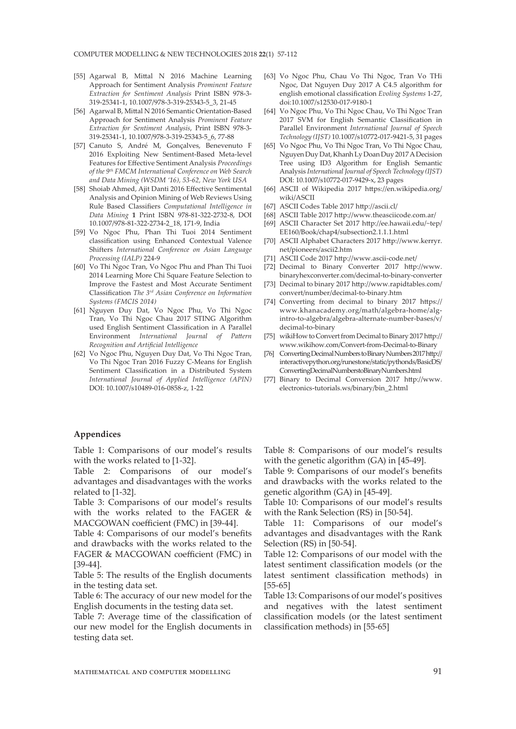- [55] Agarwal B, Mittal N 2016 Machine Learning Approach for Sentiment Analysis *Prominent Feature Extraction for Sentiment Analysis* Print ISBN 978-3- 319-25341-1, 10.1007/978-3-319-25343-5\_3, 21-45
- [56] Agarwal B, Mittal N 2016 Semantic Orientation-Based Approach for Sentiment Analysis *Prominent Feature Extraction for Sentiment Analysis*, Print ISBN 978-3- 319-25341-1, 10.1007/978-3-319-25343-5\_6, 77-88
- [57] Canuto S, André M, Gonçalves, Benevenuto F 2016 Exploiting New Sentiment-Based Meta-level Features for Effective Sentiment Analysis *Proceedings of the 9th FMCM International Conference on Web Search and Data Mining (WSDM '16), 53-62, New York USA*
- [58] Shoiab Ahmed, Ajit Danti 2016 Effective Sentimental Analysis and Opinion Mining of Web Reviews Using Rule Based Classifiers *Computational Intelligence in Data Mining* **1** Print ISBN 978-81-322-2732-8, DOI 10.1007/978-81-322-2734-2\_18, 171-9, India
- [59] Vo Ngoc Phu, Phan Thi Tuoi 2014 Sentiment classification using Enhanced Contextual Valence Shifters *International Conference on Asian Language Processing (IALP)* 224-9
- [60] Vo Thi Ngoc Tran, Vo Ngoc Phu and Phan Thi Tuoi 2014 Learning More Chi Square Feature Selection to Improve the Fastest and Most Accurate Sentiment Classification *The 3rd Asian Conference on Information Systems (FMCIS 2014)*
- [61] Nguyen Duy Dat, Vo Ngoc Phu, Vo Thi Ngoc Tran, Vo Thi Ngoc Chau 2017 STING Algorithm used English Sentiment Classification in A Parallel Environment *International Journal of Pattern Recognition and Artificial Intelligence*
- [62] Vo Ngoc Phu, Nguyen Duy Dat, Vo Thi Ngoc Tran, Vo Thi Ngoc Tran 2016 Fuzzy C-Means for English Sentiment Classification in a Distributed System *International Journal of Applied Intelligence (APIN)* DOI: 10.1007/s10489-016-0858-z, 1-22
- [63] Vo Ngoc Phu, Chau Vo Thi Ngoc, Tran Vo THi Ngoc, Dat Nguyen Duy 2017 A C4.5 algorithm for english emotional classification *Evoling Systems* 1-27, doi:10.1007/s12530-017-9180-1
- [64] Vo Ngoc Phu, Vo Thi Ngoc Chau, Vo Thi Ngoc Tran 2017 SVM for English Semantic Classification in Parallel Environment *International Journal of Speech Technology (IJST)* 10.1007/s10772-017-9421-5, 31 pages
- [65] Vo Ngoc Phu, Vo Thi Ngoc Tran, Vo Thi Ngoc Chau, Nguyen Duy Dat, Khanh Ly Doan Duy 2017 A Decision Tree using ID3 Algorithm for English Semantic Analysis *International Journal of Speech Technology (IJST)* DOI: 10.1007/s10772-017-9429-x, 23 pages
- [66] ASCII of Wikipedia 2017 https://en.wikipedia.org/ wiki/ASCII
- [67] ASCII Codes Table 2017 http://ascii.cl/
- [68] ASCII Table 2017 http://www.theasciicode.com.ar/
- [69] ASCII Character Set 2017 http://ee.hawaii.edu/~tep/ EE160/Book/chap4/subsection2.1.1.1.html
- [70] ASCII Alphabet Characters 2017 http://www.kerryr. net/pioneers/ascii2.htm
- [71] ASCII Code 2017 http://www.ascii-code.net/
- [72] Decimal to Binary Converter 2017 http://www. binaryhexconverter.com/decimal-to-binary-converter
- [73] Decimal to binary 2017 http://www.rapidtables.com/ convert/number/decimal-to-binary.htm
- [74] Converting from decimal to binary 2017 https:// www.khanacademy.org/math/algebra-home/algintro-to-algebra/algebra-alternate-number-bases/v/ decimal-to-binary
- [75] wikiHow to Convert from Decimal to Binary 2017 http:// www.wikihow.com/Convert-from-Decimal-to-Binary
- [76] Converting Decimal Numbers to Binary Numbers 2017 http:// interactivepython.org/runestone/static/pythonds/BasicDS/ ConvertingDecimalNumberstoBinaryNumbers.html
- [77] Binary to Decimal Conversion 2017 http://www. electronics-tutorials.ws/binary/bin\_2.html

### **Appendices**

Table 1: Comparisons of our model's results with the works related to [1-32].

Table 2: Comparisons of our model's advantages and disadvantages with the works related to [1-32].

Table 3: Comparisons of our model's results with the works related to the FAGER & MACGOWAN coefficient (FMC) in [39-44].

Table 4: Comparisons of our model's benefits and drawbacks with the works related to the FAGER & MACGOWAN coefficient (FMC) in [39-44].

Table 5: The results of the English documents in the testing data set.

Table 6: The accuracy of our new model for the English documents in the testing data set.

Table 7: Average time of the classification of our new model for the English documents in testing data set.

Table 8: Comparisons of our model's results with the genetic algorithm (GA) in [45-49].

Table 9: Comparisons of our model's benefits and drawbacks with the works related to the genetic algorithm (GA) in [45-49].

Table 10: Comparisons of our model's results with the Rank Selection (RS) in [50-54].

Table 11: Comparisons of our model's advantages and disadvantages with the Rank Selection (RS) in [50-54].

Table 12: Comparisons of our model with the latest sentiment classification models (or the latest sentiment classification methods) in [55-65]

Table 13: Comparisons of our model's positives and negatives with the latest sentiment classification models (or the latest sentiment classification methods) in [55-65]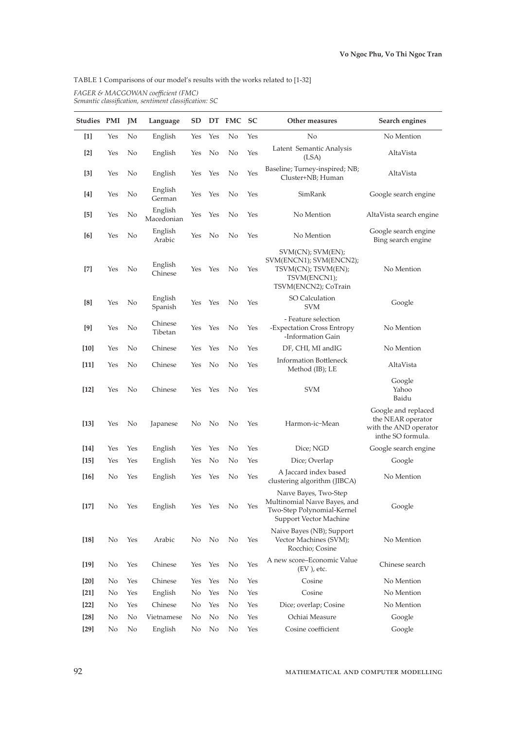<u> 1989 - Johann Barn, mars eta bainar eta idazlea (h. 1989).</u>

TABLE 1 Comparisons of our model's results with the works related to [1-32]

| FAGER & MACGOWAN coefficient (FMC)                    |  |  |
|-------------------------------------------------------|--|--|
| Semantic classification, sentiment classification: SC |  |  |

| <b>Studies PMI</b>   |     | JM  | Language              | $_{\rm SD}$ | DT  | <b>FMC</b> | SC  | Other measures                                                                                                | Search engines                                                                         |
|----------------------|-----|-----|-----------------------|-------------|-----|------------|-----|---------------------------------------------------------------------------------------------------------------|----------------------------------------------------------------------------------------|
| $[1]$                | Yes | No  | English               | Yes         | Yes | No         | Yes | No                                                                                                            | No Mention                                                                             |
| $[2]$                | Yes | No  | English               | Yes         | No  | No         | Yes | Latent Semantic Analysis<br>(LSA)                                                                             | AltaVista                                                                              |
| $[3]$                | Yes | No  | English               | Yes         | Yes | No         | Yes | Baseline; Turney-inspired; NB;<br>Cluster+NB; Human                                                           | AltaVista                                                                              |
| $[4]$                | Yes | No  | English<br>German     | Yes         | Yes | No         | Yes | SimRank                                                                                                       | Google search engine                                                                   |
| $[5]$                | Yes | No  | English<br>Macedonian | Yes         | Yes | No         | Yes | No Mention                                                                                                    | AltaVista search engine                                                                |
| [6]                  | Yes | No  | English<br>Arabic     | Yes         | No  | No         | Yes | No Mention                                                                                                    | Google search engine<br>Bing search engine                                             |
| $[7]$                | Yes | No  | English<br>Chinese    | Yes         | Yes | No         | Yes | SVM(CN); SVM(EN);<br>SVM(ENCN1); SVM(ENCN2);<br>TSVM(CN); TSVM(EN);<br>TSVM(ENCN1);<br>TSVM(ENCN2); CoTrain   | No Mention                                                                             |
| [8]                  | Yes | No  | English<br>Spanish    | Yes         | Yes | No         | Yes | <b>SO Calculation</b><br>SVM                                                                                  | Google                                                                                 |
| [9]                  | Yes | No  | Chinese<br>Tibetan    | Yes         | Yes | No         | Yes | - Feature selection<br>-Expectation Cross Entropy<br>-Information Gain                                        | No Mention                                                                             |
| $[10]$               | Yes | No  | Chinese               | Yes         | Yes | No         | Yes | DF, CHI, MI andIG                                                                                             | No Mention                                                                             |
| $[11]$               | Yes | No  | Chinese               | Yes         | No  | No         | Yes | <b>Information Bottleneck</b><br>Method (IB); LE                                                              | AltaVista                                                                              |
| $[12]$               | Yes | No  | Chinese               | Yes         | Yes | No         | Yes | <b>SVM</b>                                                                                                    | Google<br>Yahoo<br>Baidu                                                               |
| $[13]$               | Yes | No  | Japanese              | No          | No  | No         | Yes | Harmon-ic-Mean                                                                                                | Google and replaced<br>the NEAR operator<br>with the AND operator<br>inthe SO formula. |
| $[14]$               | Yes | Yes | English               | Yes         | Yes | No         | Yes | Dice; NGD                                                                                                     | Google search engine                                                                   |
| $[15]$               | Yes | Yes | English               | Yes         | No  | No         | Yes | Dice; Overlap                                                                                                 | Google                                                                                 |
| $[16]$               | No  | Yes | English               | Yes         | Yes | No         | Yes | A Jaccard index based<br>clustering algorithm (JIBCA)                                                         | No Mention                                                                             |
| $[17] \label{eq:17}$ | No  | Yes | English               | Yes         | Yes | No         | Yes | Naive Bayes, Two-Step<br>Multinomial Naıve Bayes, and<br>Two-Step Polynomial-Kernel<br>Support Vector Machine | Google                                                                                 |
| $[18]$               | No  | Yes | Arabic                | No          | No  | No         | Yes | Naive Bayes (NB); Support<br>Vector Machines (SVM);<br>Rocchio; Cosine                                        | No Mention                                                                             |
| $[19]$               | No  | Yes | Chinese               | Yes         | Yes | No         | Yes | A new score-Economic Value<br>$(EV)$ , etc.                                                                   | Chinese search                                                                         |
| [20]                 | No  | Yes | Chinese               | Yes         | Yes | No         | Yes | Cosine                                                                                                        | No Mention                                                                             |
| $[21]$               | No  | Yes | English               | No          | Yes | No         | Yes | Cosine                                                                                                        | No Mention                                                                             |
| $[22]$               | No  | Yes | Chinese               | No          | Yes | No         | Yes | Dice; overlap; Cosine                                                                                         | No Mention                                                                             |
| $[28]$               | No  | No  | Vietnamese            | No          | No  | No         | Yes | Ochiai Measure                                                                                                | Google                                                                                 |
| $[29]$               | No  | No  | English               | No          | No  | No         | Yes | Cosine coefficient                                                                                            | Google                                                                                 |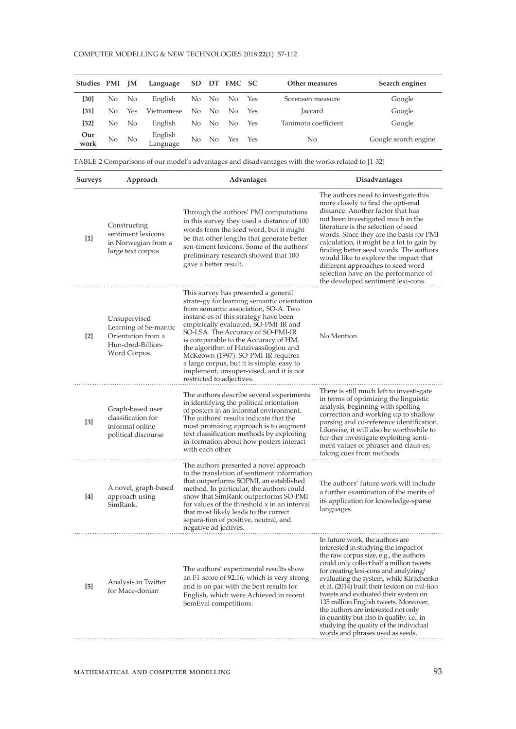| Studies PMI |                | <b>IM</b>      | Language            | SD. |       | DT FMC SC |     | Other measures       | Search engines       |
|-------------|----------------|----------------|---------------------|-----|-------|-----------|-----|----------------------|----------------------|
| [30]        | N <sub>o</sub> | N <sub>o</sub> | English             |     | No No | No.       | Yes | Sorensen measure     | Google               |
| [31]        | No.            | <b>Yes</b>     | Vietnamese          | No. | - No  | No.       | Yes | Jaccard              | Google               |
| $[32]$      | No.            | N <sub>o</sub> | English             | No. | - No  | No.       | Yes | Tanimoto coefficient | Google               |
| Our<br>work | No             | No.            | English<br>Language | No  | No.   | Yes       | Yes | No                   | Google search engine |

TABLE 2 Comparisons of our model's advantages and disadvantages with the works related to [1-32]

| <b>Surveys</b>    | Approach                                                                                         | Advantages                                                                                                                                                                                                                                                                                                                                                                                                                                                                                   | Disadvantages                                                                                                                                                                                                                                                                                                                                                                                                                                                                                                                                          |  |  |
|-------------------|--------------------------------------------------------------------------------------------------|----------------------------------------------------------------------------------------------------------------------------------------------------------------------------------------------------------------------------------------------------------------------------------------------------------------------------------------------------------------------------------------------------------------------------------------------------------------------------------------------|--------------------------------------------------------------------------------------------------------------------------------------------------------------------------------------------------------------------------------------------------------------------------------------------------------------------------------------------------------------------------------------------------------------------------------------------------------------------------------------------------------------------------------------------------------|--|--|
| [1]               | Constructing<br>sentiment lexicons<br>in Norwegian from a<br>large text corpus                   | Through the authors' PMI computations<br>in this survey they used a distance of 100<br>words from the seed word, but it might<br>be that other lengths that generate better<br>sen-timent lexicons. Some of the authors'<br>preliminary research showed that 100<br>gave a better result.                                                                                                                                                                                                    | The authors need to investigate this<br>more closely to find the opti-mal<br>distance. Another factor that has<br>not been investigated much in the<br>literature is the selection of seed<br>words. Since they are the basis for PMI<br>calculation, it might be a lot to gain by<br>finding better seed words. The authors<br>would like to explore the impact that<br>different approaches to seed word<br>selection have on the performance of<br>the developed sentiment lexi-cons.                                                               |  |  |
| $\lceil 2 \rceil$ | Unsupervised<br>Learning of Se-mantic<br>Orientation from a<br>Hun-dred-Billion-<br>Word Corpus. | This survey has presented a general<br>strate-gy for learning semantic orientation<br>from semantic association, SO-A. Two<br>instanc-es of this strategy have been<br>empirically evaluated, SO-PMI-IR and<br>SO-LSA. The Accuracy of SO-PMI-IR<br>is comparable to the Accuracy of HM,<br>the algorithm of Hatzivassiloglou and<br>McKeown (1997). SO-PMI-IR requires<br>a large corpus, but it is simple, easy to<br>implement, unsuper-vised, and it is not<br>restricted to adjectives. | No Mention                                                                                                                                                                                                                                                                                                                                                                                                                                                                                                                                             |  |  |
| [3]               | Graph-based user<br>classification for<br>informal online<br>political discourse                 | The authors describe several experiments<br>in identifying the political orientation<br>of posters in an informal environment.<br>The authors' results indicate that the<br>most promising approach is to augment<br>text classification methods by exploiting<br>in-formation about how posters interact<br>with each other                                                                                                                                                                 | There is still much left to investi-gate<br>in terms of optimizing the linguistic<br>analysis, beginning with spelling<br>correction and working up to shallow<br>parsing and co-reference identification.<br>Likewise, it will also be worthwhile to<br>fur-ther investigate exploiting senti-<br>ment values of phrases and claus-es,<br>taking cues from methods                                                                                                                                                                                    |  |  |
| [4]               | A novel, graph-based<br>approach using<br>SimRank.                                               | The authors presented a novel approach<br>to the translation of sentiment information<br>that outperforms SOPMI, an established<br>method. In particular, the authors could<br>show that SimRank outperforms SO-PMI<br>for values of the threshold x in an interval<br>that most likely leads to the correct<br>separa-tion of positive, neutral, and<br>negative ad-jectives.                                                                                                               | The authors' future work will include<br>a further examination of the merits of<br>its application for knowledge-sparse<br>languages.                                                                                                                                                                                                                                                                                                                                                                                                                  |  |  |
| [5]               | Analysis in Twitter<br>for Mace-donian                                                           | The authors' experimental results show<br>an F1-score of 92.16, which is very strong<br>and is on par with the best results for<br>English, which were Achieved in recent<br>SemEval competitions.                                                                                                                                                                                                                                                                                           | In future work, the authors are<br>interested in studying the impact of<br>the raw corpus size, e.g., the authors<br>could only collect half a million tweets<br>for creating lexi-cons and analyzing/<br>evaluating the system, while Kiritchenko<br>et al. (2014) built their lexicon on mil-lion<br>tweets and evaluated their system on<br>135 million English tweets. Moreover,<br>the authors are interested not only<br>in quantity but also in quality, i.e., in<br>studying the quality of the individual<br>words and phrases used as seeds. |  |  |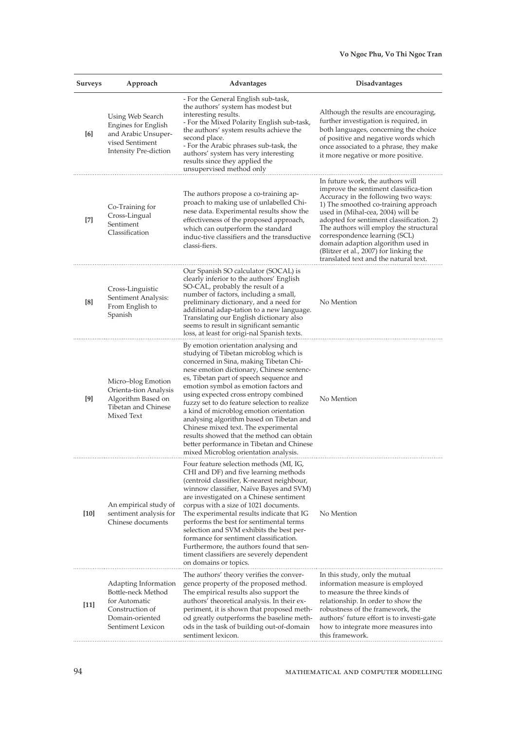| <b>Surveys</b> | Approach                                                                                                               | Advantages                                                                                                                                                                                                                                                                                                                                                                                                                                                                                                                                                                                                           | Disadvantages                                                                                                                                                                                                                                                                                                                                                                                                                                |
|----------------|------------------------------------------------------------------------------------------------------------------------|----------------------------------------------------------------------------------------------------------------------------------------------------------------------------------------------------------------------------------------------------------------------------------------------------------------------------------------------------------------------------------------------------------------------------------------------------------------------------------------------------------------------------------------------------------------------------------------------------------------------|----------------------------------------------------------------------------------------------------------------------------------------------------------------------------------------------------------------------------------------------------------------------------------------------------------------------------------------------------------------------------------------------------------------------------------------------|
| [6]            | Using Web Search<br>Engines for English<br>and Arabic Unsuper-<br>vised Sentiment<br><b>Intensity Pre-diction</b>      | - For the General English sub-task,<br>the authors' system has modest but<br>interesting results.<br>- For the Mixed Polarity English sub-task,<br>the authors' system results achieve the<br>second place.<br>- For the Arabic phrases sub-task, the<br>authors' system has very interesting<br>results since they applied the<br>unsupervised method only                                                                                                                                                                                                                                                          | Although the results are encouraging,<br>further investigation is required, in<br>both languages, concerning the choice<br>of positive and negative words which<br>once associated to a phrase, they make<br>it more negative or more positive.                                                                                                                                                                                              |
| $[7]$          | Co-Training for<br>Cross-Lingual<br>Sentiment<br>Classification                                                        | The authors propose a co-training ap-<br>proach to making use of unlabelled Chi-<br>nese data. Experimental results show the<br>effectiveness of the proposed approach,<br>which can outperform the standard<br>induc-tive classifiers and the transductive<br>classi-fiers.                                                                                                                                                                                                                                                                                                                                         | In future work, the authors will<br>improve the sentiment classifica-tion<br>Accuracy in the following two ways:<br>1) The smoothed co-training approach<br>used in (Mihal-cea, 2004) will be<br>adopted for sentiment classification. 2)<br>The authors will employ the structural<br>correspondence learning (SCL)<br>domain adaption algorithm used in<br>(Blitzer et al., 2007) for linking the<br>translated text and the natural text. |
| [8]            | Cross-Linguistic<br>Sentiment Analysis:<br>From English to<br>Spanish                                                  | Our Spanish SO calculator (SOCAL) is<br>clearly inferior to the authors' English<br>SO-CAL, probably the result of a<br>number of factors, including a small,<br>preliminary dictionary, and a need for<br>additional adap-tation to a new language.<br>Translating our English dictionary also<br>seems to result in significant semantic<br>loss, at least for origi-nal Spanish texts.                                                                                                                                                                                                                            | No Mention                                                                                                                                                                                                                                                                                                                                                                                                                                   |
| [9]            | Micro-blog Emotion<br>Orienta-tion Analysis<br>Algorithm Based on<br>Tibetan and Chinese<br>Mixed Text                 | By emotion orientation analysing and<br>studying of Tibetan microblog which is<br>concerned in Sina, making Tibetan Chi-<br>nese emotion dictionary, Chinese sentenc-<br>es, Tibetan part of speech sequence and<br>emotion symbol as emotion factors and<br>using expected cross entropy combined<br>fuzzy set to do feature selection to realize<br>a kind of microblog emotion orientation<br>analysing algorithm based on Tibetan and<br>Chinese mixed text. The experimental<br>results showed that the method can obtain<br>better performance in Tibetan and Chinese<br>mixed Microblog orientation analysis. | No Mention                                                                                                                                                                                                                                                                                                                                                                                                                                   |
| $[10]$         | An empirical study of<br>sentiment analysis for<br>Chinese documents                                                   | Four feature selection methods (MI, IG,<br>CHI and DF) and five learning methods<br>(centroid classifier, K-nearest neighbour,<br>winnow classifier, Naïve Bayes and SVM)<br>are investigated on a Chinese sentiment<br>corpus with a size of 1021 documents.<br>The experimental results indicate that IG<br>performs the best for sentimental terms<br>selection and SVM exhibits the best per-<br>formance for sentiment classification.<br>Furthermore, the authors found that sen-<br>timent classifiers are severely dependent<br>on domains or topics.                                                        | No Mention                                                                                                                                                                                                                                                                                                                                                                                                                                   |
| $[11]$         | Adapting Information<br>Bottle-neck Method<br>for Automatic<br>Construction of<br>Domain-oriented<br>Sentiment Lexicon | The authors' theory verifies the conver-<br>gence property of the proposed method.<br>The empirical results also support the<br>authors' theoretical analysis. In their ex-<br>periment, it is shown that proposed meth-<br>od greatly outperforms the baseline meth-<br>ods in the task of building out-of-domain<br>sentiment lexicon.                                                                                                                                                                                                                                                                             | In this study, only the mutual<br>information measure is employed<br>to measure the three kinds of<br>relationship. In order to show the<br>robustness of the framework, the<br>authors' future effort is to investi-gate<br>how to integrate more measures into<br>this framework.                                                                                                                                                          |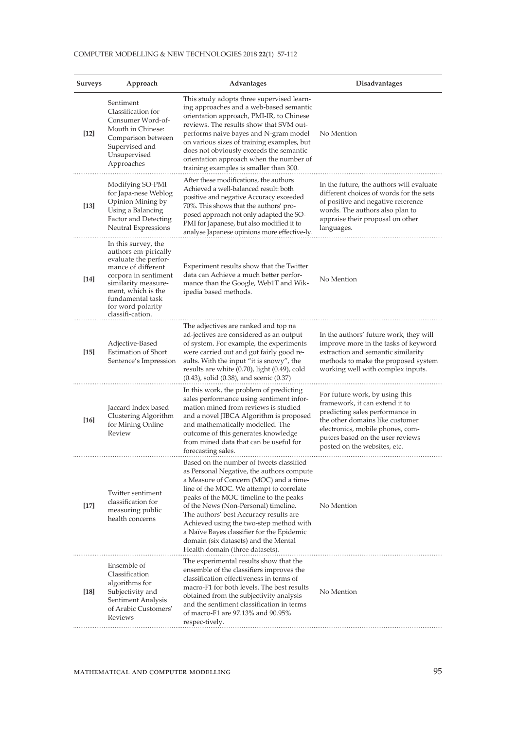#### COMPUTER MODELLING & NEW TECHNOLOGIES 2018 **22**(1) 57-112

| <b>Surveys</b> | Approach                                                                                                                                                                                                                    | Advantages                                                                                                                                                                                                                                                                                                                                                                                                                                                                 | Disadvantages                                                                                                                                                                                                                                  |
|----------------|-----------------------------------------------------------------------------------------------------------------------------------------------------------------------------------------------------------------------------|----------------------------------------------------------------------------------------------------------------------------------------------------------------------------------------------------------------------------------------------------------------------------------------------------------------------------------------------------------------------------------------------------------------------------------------------------------------------------|------------------------------------------------------------------------------------------------------------------------------------------------------------------------------------------------------------------------------------------------|
| $[12]$         | Sentiment<br>Classification for<br>Consumer Word-of-<br>Mouth in Chinese:<br>Comparison between<br>Supervised and<br>Unsupervised<br>Approaches                                                                             | This study adopts three supervised learn-<br>ing approaches and a web-based semantic<br>orientation approach, PMI-IR, to Chinese<br>reviews. The results show that SVM out-<br>performs naive bayes and N-gram model<br>on various sizes of training examples, but<br>does not obviously exceeds the semantic<br>orientation approach when the number of<br>training examples is smaller than 300.                                                                         | No Mention                                                                                                                                                                                                                                     |
| $[13]$         | Modifying SO-PMI<br>for Japa-nese Weblog<br>Opinion Mining by<br>Using a Balancing<br>Factor and Detecting<br>Neutral Expressions                                                                                           | After these modifications, the authors<br>Achieved a well-balanced result: both<br>positive and negative Accuracy exceeded<br>70%. This shows that the authors' pro-<br>posed approach not only adapted the SO-<br>PMI for Japanese, but also modified it to<br>analyse Japanese opinions more effective-ly.                                                                                                                                                               | In the future, the authors will evaluate<br>different choices of words for the sets<br>of positive and negative reference<br>words. The authors also plan to<br>appraise their proposal on other<br>languages.                                 |
| [14]           | In this survey, the<br>authors em-pirically<br>evaluate the perfor-<br>mance of different<br>corpora in sentiment<br>similarity measure-<br>ment, which is the<br>fundamental task<br>for word polarity<br>classifi-cation. | Experiment results show that the Twitter<br>data can Achieve a much better perfor-<br>mance than the Google, Web1T and Wik-<br>ipedia based methods.                                                                                                                                                                                                                                                                                                                       | No Mention                                                                                                                                                                                                                                     |
| [15]           | Adjective-Based<br>Estimation of Short<br>Sentence's Impression                                                                                                                                                             | The adjectives are ranked and top na<br>ad-jectives are considered as an output<br>of system. For example, the experiments<br>were carried out and got fairly good re-<br>sults. With the input "it is snowy", the<br>results are white (0.70), light (0.49), cold<br>$(0.43)$ , solid $(0.38)$ , and scenic $(0.37)$                                                                                                                                                      | In the authors' future work, they will<br>improve more in the tasks of keyword<br>extraction and semantic similarity<br>methods to make the proposed system<br>working well with complex inputs.                                               |
| $[16]$         | Jaccard Index based<br>Clustering Algorithm<br>for Mining Online<br>Review                                                                                                                                                  | In this work, the problem of predicting<br>sales performance using sentiment infor-<br>mation mined from reviews is studied<br>and a novel JIBCA Algorithm is proposed<br>and mathematically modelled. The<br>outcome of this generates knowledge<br>from mined data that can be useful for<br>forecasting sales.                                                                                                                                                          | For future work, by using this<br>framework, it can extend it to<br>predicting sales performance in<br>the other domains like customer<br>electronics, mobile phones, com-<br>puters based on the user reviews<br>posted on the websites, etc. |
| $[17]$         | Twitter sentiment<br>classification for<br>measuring public<br>health concerns                                                                                                                                              | Based on the number of tweets classified<br>as Personal Negative, the authors compute<br>a Measure of Concern (MOC) and a time-<br>line of the MOC. We attempt to correlate<br>peaks of the MOC timeline to the peaks<br>of the News (Non-Personal) timeline.<br>The authors' best Accuracy results are<br>Achieved using the two-step method with<br>a Naïve Bayes classifier for the Epidemic<br>domain (six datasets) and the Mental<br>Health domain (three datasets). | No Mention                                                                                                                                                                                                                                     |
| $[18]$         | Ensemble of<br>Classification<br>algorithms for<br>Subjectivity and<br>Sentiment Analysis<br>of Arabic Customers'<br>Reviews                                                                                                | The experimental results show that the<br>ensemble of the classifiers improves the<br>classification effectiveness in terms of<br>macro-F1 for both levels. The best results<br>obtained from the subjectivity analysis<br>and the sentiment classification in terms<br>of macro-F1 are 97.13% and 90.95%<br>respec-tively.                                                                                                                                                | No Mention                                                                                                                                                                                                                                     |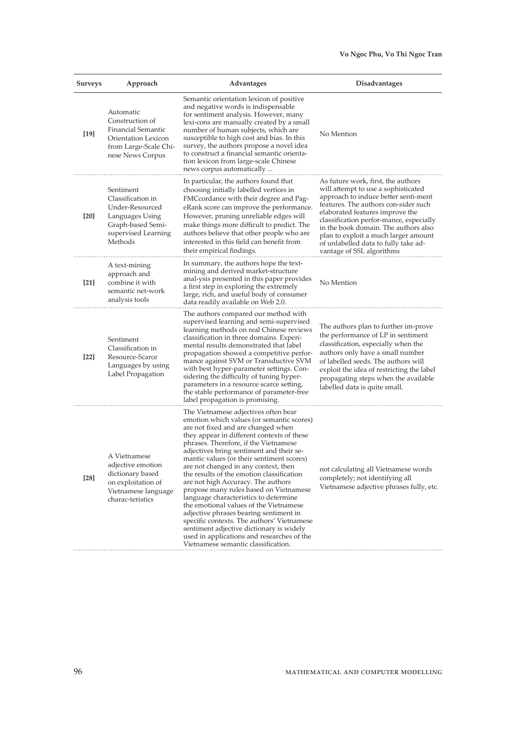| <b>Surveys</b> | Approach                                                                                                                    | Advantages                                                                                                                                                                                                                                                                                                                                                                                                                                                                                                                                                                                                                                                                                                                                                                               | <b>Disadvantages</b>                                                                                                                                                                                                                                                                                                                                                                         |
|----------------|-----------------------------------------------------------------------------------------------------------------------------|------------------------------------------------------------------------------------------------------------------------------------------------------------------------------------------------------------------------------------------------------------------------------------------------------------------------------------------------------------------------------------------------------------------------------------------------------------------------------------------------------------------------------------------------------------------------------------------------------------------------------------------------------------------------------------------------------------------------------------------------------------------------------------------|----------------------------------------------------------------------------------------------------------------------------------------------------------------------------------------------------------------------------------------------------------------------------------------------------------------------------------------------------------------------------------------------|
| $[19]$         | Automatic<br>Construction of<br>Financial Semantic<br>Orientation Lexicon<br>from Large-Scale Chi-<br>nese News Corpus      | Semantic orientation lexicon of positive<br>and negative words is indispensable<br>for sentiment analysis. However, many<br>lexi-cons are manually created by a small<br>number of human subjects, which are<br>susceptible to high cost and bias. In this<br>survey, the authors propose a novel idea<br>to construct a financial semantic orienta-<br>tion lexicon from large-scale Chinese<br>news corpus automatically                                                                                                                                                                                                                                                                                                                                                               | No Mention                                                                                                                                                                                                                                                                                                                                                                                   |
| [20]           | Sentiment<br>Classification in<br>Under-Resourced<br>Languages Using<br>Graph-based Semi-<br>supervised Learning<br>Methods | In particular, the authors found that<br>choosing initially labelled vertices in<br>FMCcordance with their degree and Pag-<br>eRank score can improve the performance.<br>However, pruning unreliable edges will<br>make things more difficult to predict. The<br>authors believe that other people who are<br>interested in this field can benefit from<br>their empirical findings.                                                                                                                                                                                                                                                                                                                                                                                                    | As future work, first, the authors<br>will attempt to use a sophisticated<br>approach to induce better senti-ment<br>features. The authors con-sider such<br>elaborated features improve the<br>classification perfor-mance, especially<br>in the book domain. The authors also<br>plan to exploit a much larger amount<br>of unlabelled data to fully take ad-<br>vantage of SSL algorithms |
| [21]           | A text-mining<br>approach and<br>combine it with<br>semantic net-work<br>analysis tools                                     | In summary, the authors hope the text-<br>mining and derived market-structure<br>anal-ysis presented in this paper provides<br>a first step in exploring the extremely<br>large, rich, and useful body of consumer<br>data readily available on Web 2.0.                                                                                                                                                                                                                                                                                                                                                                                                                                                                                                                                 | No Mention                                                                                                                                                                                                                                                                                                                                                                                   |
| $[22]$         | Sentiment<br>Classification in<br>Resource-Scarce<br>Languages by using<br>Label Propagation                                | The authors compared our method with<br>supervised learning and semi-supervised<br>learning methods on real Chinese reviews<br>classification in three domains. Experi-<br>mental results demonstrated that label<br>propagation showed a competitive perfor-<br>mance against SVM or Transductive SVM<br>with best hyper-parameter settings. Con-<br>sidering the difficulty of tuning hyper-<br>parameters in a resource scarce setting,<br>the stable performance of parameter-free<br>label propagation is promising.                                                                                                                                                                                                                                                                | The authors plan to further im-prove<br>the performance of LP in sentiment<br>classification, especially when the<br>authors only have a small number<br>of labelled seeds. The authors will<br>exploit the idea of restricting the label<br>propagating steps when the available<br>labelled data is quite small.                                                                           |
| $[28]$         | A Vietnamese<br>adjective emotion<br>dictionary based<br>on exploitation of<br>Vietnamese language<br>charac-teristics      | The Vietnamese adjectives often bear<br>emotion which values (or semantic scores)<br>are not fixed and are changed when<br>they appear in different contexts of these<br>phrases. Therefore, if the Vietnamese<br>adjectives bring sentiment and their se-<br>mantic values (or their sentiment scores)<br>are not changed in any context, then<br>the results of the emotion classification<br>are not high Accuracy. The authors<br>propose many rules based on Vietnamese<br>language characteristics to determine<br>the emotional values of the Vietnamese<br>adjective phrases bearing sentiment in<br>specific contexts. The authors' Vietnamese<br>sentiment adjective dictionary is widely<br>used in applications and researches of the<br>Vietnamese semantic classification. | not calculating all Vietnamese words<br>completely; not identifying all<br>Vietnamese adjective phrases fully, etc.                                                                                                                                                                                                                                                                          |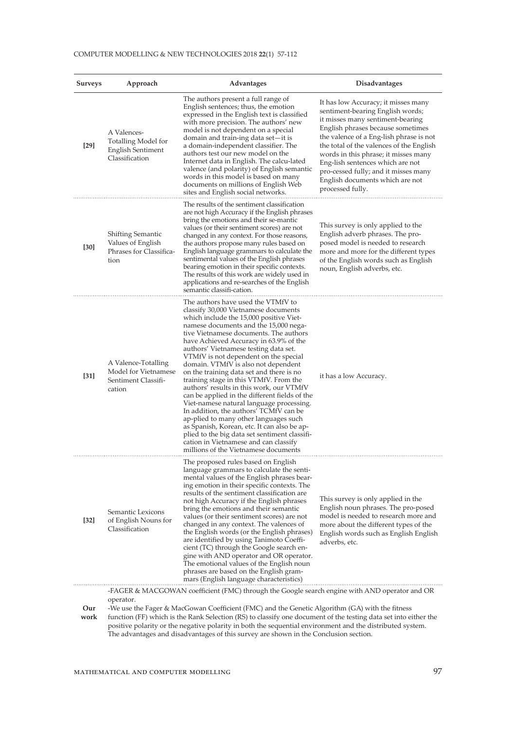#### COMPUTER MODELLING & NEW TECHNOLOGIES 2018 **22**(1) 57-112

| <b>Surveys</b> | Approach                                                                                | Advantages                                                                                                                                                                                                                                                                                                                                                                                                                                                                                                                                                                                                                                                                                                                                                                                                                                                                     | <b>Disadvantages</b>                                                                                                                                                                                                                                                                                                                                                                                               |  |  |
|----------------|-----------------------------------------------------------------------------------------|--------------------------------------------------------------------------------------------------------------------------------------------------------------------------------------------------------------------------------------------------------------------------------------------------------------------------------------------------------------------------------------------------------------------------------------------------------------------------------------------------------------------------------------------------------------------------------------------------------------------------------------------------------------------------------------------------------------------------------------------------------------------------------------------------------------------------------------------------------------------------------|--------------------------------------------------------------------------------------------------------------------------------------------------------------------------------------------------------------------------------------------------------------------------------------------------------------------------------------------------------------------------------------------------------------------|--|--|
| $[29]$         | A Valences-<br><b>Totalling Model for</b><br><b>English Sentiment</b><br>Classification | The authors present a full range of<br>English sentences; thus, the emotion<br>expressed in the English text is classified<br>with more precision. The authors' new<br>model is not dependent on a special<br>domain and train-ing data set—it is<br>a domain-independent classifier. The<br>authors test our new model on the<br>Internet data in English. The calcu-lated<br>valence (and polarity) of English semantic<br>words in this model is based on many<br>documents on millions of English Web<br>sites and English social networks.                                                                                                                                                                                                                                                                                                                                | It has low Accuracy; it misses many<br>sentiment-bearing English words;<br>it misses many sentiment-bearing<br>English phrases because sometimes<br>the valence of a Eng-lish phrase is not<br>the total of the valences of the English<br>words in this phrase; it misses many<br>Eng-lish sentences which are not<br>pro-cessed fully; and it misses many<br>English documents which are not<br>processed fully. |  |  |
| [30]           | <b>Shifting Semantic</b><br>Values of English<br>Phrases for Classifica-<br>tion        | The results of the sentiment classification<br>are not high Accuracy if the English phrases<br>bring the emotions and their se-mantic<br>values (or their sentiment scores) are not<br>changed in any context. For those reasons,<br>the authors propose many rules based on<br>English language grammars to calculate the<br>sentimental values of the English phrases<br>bearing emotion in their specific contexts.<br>The results of this work are widely used in<br>applications and re-searches of the English<br>semantic classifi-cation.                                                                                                                                                                                                                                                                                                                              | This survey is only applied to the<br>English adverb phrases. The pro-<br>posed model is needed to research<br>more and more for the different types<br>of the English words such as English<br>noun, English adverbs, etc.                                                                                                                                                                                        |  |  |
| $[31]$         | A Valence-Totalling<br>Model for Vietnamese<br>Sentiment Classifi-<br>cation            | The authors have used the VTMfV to<br>classify 30,000 Vietnamese documents<br>which include the 15,000 positive Viet-<br>namese documents and the 15,000 nega-<br>tive Vietnamese documents. The authors<br>have Achieved Accuracy in 63.9% of the<br>authors' Vietnamese testing data set.<br>VTMfV is not dependent on the special<br>domain. VTMfV is also not dependent<br>on the training data set and there is no<br>training stage in this VTMfV. From the<br>authors' results in this work, our VTMfV<br>can be applied in the different fields of the<br>Viet-namese natural language processing.<br>In addition, the authors' TCMfV can be<br>ap-plied to many other languages such<br>as Spanish, Korean, etc. It can also be ap-<br>plied to the big data set sentiment classifi-<br>cation in Vietnamese and can classify<br>millions of the Vietnamese documents | it has a low Accuracy.                                                                                                                                                                                                                                                                                                                                                                                             |  |  |
| $[32]$         | Semantic Lexicons<br>of English Nouns for<br>Classification                             | The proposed rules based on English<br>language grammars to calculate the senti-<br>mental values of the English phrases bear-<br>ing emotion in their specific contexts. The<br>results of the sentiment classification are.<br>not high Accuracy if the English phrases<br>bring the emotions and their semantic<br>values (or their sentiment scores) are not<br>changed in any context. The valences of<br>the English words (or the English phrases)<br>are identified by using Tanimoto Coeffi-<br>cient (TC) through the Google search en-<br>gine with AND operator and OR operator.<br>The emotional values of the English noun<br>phrases are based on the English gram-<br>mars (English language characteristics)                                                                                                                                                  | This survey is only applied in the<br>English noun phrases. The pro-posed<br>model is needed to research more and<br>more about the different types of the<br>English words such as English English<br>adverbs, etc.                                                                                                                                                                                               |  |  |
| Our            | operator.                                                                               | -FAGER & MACGOWAN coefficient (FMC) through the Google search engine with AND operator and OR<br>-We use the Fager & MacGowan Coefficient (FMC) and the Genetic Algorithm (GA) with the fitness                                                                                                                                                                                                                                                                                                                                                                                                                                                                                                                                                                                                                                                                                |                                                                                                                                                                                                                                                                                                                                                                                                                    |  |  |

**work** function (FF) which is the Rank Selection (RS) to classify one document of the testing data set into either the positive polarity or the negative polarity in both the sequential environment and the distributed system. The advantages and disadvantages of this survey are shown in the Conclusion section.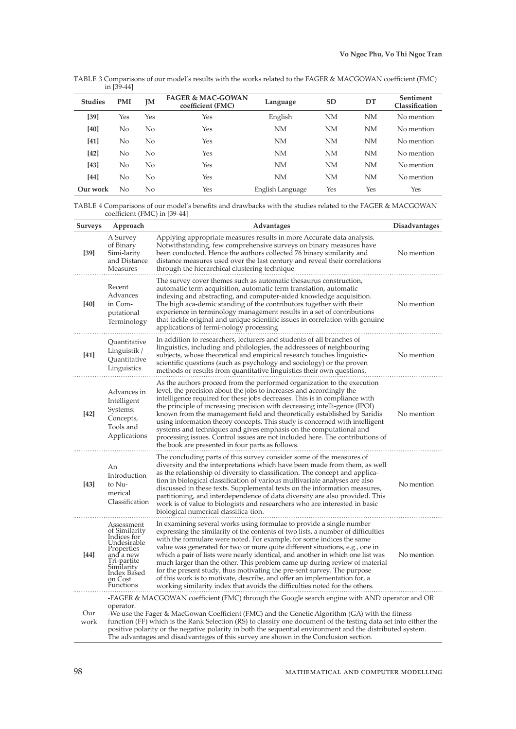TABLE 3 Comparisons of our model's results with the works related to the FAGER & MACGOWAN coefficient (FMC) in [39-44]

| <b>Studies</b> | <b>PMI</b> | JΜ  | <b>FAGER &amp; MAC-GOWAN</b><br>coefficient (FMC) | Language         | SD        | DT        | Sentiment<br>Classification |
|----------------|------------|-----|---------------------------------------------------|------------------|-----------|-----------|-----------------------------|
| $[39]$         | Yes        | Yes | Yes                                               | English          | <b>NM</b> | <b>NM</b> | No mention                  |
| [40]           | No         | No  | Yes                                               | <b>NM</b>        | NM        | NM        | No mention                  |
| [41]           | No         | No  | Yes                                               | <b>NM</b>        | <b>NM</b> | <b>NM</b> | No mention                  |
| [42]           | No         | No  | Yes                                               | NM               | <b>NM</b> | NM        | No mention                  |
| [43]           | No         | No  | Yes                                               | <b>NM</b>        | <b>NM</b> | <b>NM</b> | No mention                  |
| [44]           | No         | No  | Yes                                               | NM               | <b>NM</b> | <b>NM</b> | No mention                  |
| Our work       | No         | No  | Yes                                               | English Language | Yes       | Yes       | Yes                         |

TABLE 4 Comparisons of our model's benefits and drawbacks with the studies related to the FAGER & MACGOWAN coefficient (FMC) in [39-44]

| <b>Surveys</b> | Approach                                                                                                                                                 | Advantages                                                                                                                                                                                                                                                                                                                                                                                                                                                                                                                                                                                                                                                                                                               | <b>Disadvantages</b> |
|----------------|----------------------------------------------------------------------------------------------------------------------------------------------------------|--------------------------------------------------------------------------------------------------------------------------------------------------------------------------------------------------------------------------------------------------------------------------------------------------------------------------------------------------------------------------------------------------------------------------------------------------------------------------------------------------------------------------------------------------------------------------------------------------------------------------------------------------------------------------------------------------------------------------|----------------------|
| $[39]$         | A Survey<br>of Binary<br>Simi-larity<br>and Distance<br>Measures                                                                                         | Applying appropriate measures results in more Accurate data analysis.<br>Notwithstanding, few comprehensive surveys on binary measures have<br>been conducted. Hence the authors collected 76 binary similarity and<br>distance measures used over the last century and reveal their correlations<br>through the hierarchical clustering technique                                                                                                                                                                                                                                                                                                                                                                       | No mention           |
| [40]           | Recent<br>Advances<br>in Com-<br>putational<br>Terminology                                                                                               | The survey cover themes such as automatic thesaurus construction<br>automatic term acquisition, automatic term translation, automatic<br>indexing and abstracting, and computer-aided knowledge acquisition.<br>The high aca-demic standing of the contributors together with their<br>experience in terminology management results in a set of contributions<br>that tackle original and unique scientific issues in correlation with genuine<br>applications of termi-nology processing                                                                                                                                                                                                                                | No mention           |
| $[41]$         | Quantitative<br>Linguistik /<br>Quantitative<br>Linguistics                                                                                              | In addition to researchers, lecturers and students of all branches of<br>linguistics, including and philologies, the addressees of neighbouring<br>subjects, whose theoretical and empirical research touches linguistic-<br>scientific questions (such as psychology and sociology) or the proven<br>methods or results from quantitative linguistics their own questions.                                                                                                                                                                                                                                                                                                                                              | No mention           |
| $[42]$         | Advances in<br>Intelligent<br>Systems:<br>Concepts,<br>Tools and<br>Applications                                                                         | As the authors proceed from the performed organization to the execution<br>level, the precision about the jobs to increases and accordingly the<br>intelligence required for these jobs decreases. This is in compliance with<br>the principle of increasing precision with decreasing intelli-gence (IPOI)<br>known from the management field and theoretically established by Saridis<br>using information theory concepts. This study is concerned with intelligent<br>systems and techniques and gives emphasis on the computational and<br>processing issues. Control issues are not included here. The contributions of<br>the book are presented in four parts as follows.                                        | No mention           |
| $[43]$         | An<br>Introduction<br>to Nu-<br>merical<br>Classification                                                                                                | The concluding parts of this survey consider some of the measures of<br>diversity and the interpretations which have been made from them, as well<br>as the relationship of diversity to classification. The concept and applica-<br>tion in biological classification of various multivariate analyses are also<br>discussed in these texts. Supplemental texts on the information measures,<br>partitioning, and interdependence of data diversity are also provided. This<br>work is of value to biologists and researchers who are interested in basic<br>biological numerical classifica-tion.                                                                                                                      | No mention           |
| [44]           | Assessment<br>of Similarity<br>Indices for<br>Undesirable<br>Properties<br>and a new<br>Tri-partite<br>Similarity<br>Index Based<br>on Cost<br>Functions | In examining several works using formulae to provide a single number<br>expressing the similarity of the contents of two lists, a number of difficulties<br>with the formulare were noted. For example, for some indices the same<br>value was generated for two or more quite different situations, e.g., one in<br>which a pair of lists were nearly identical, and another in which one list was<br>much larger than the other. This problem came up during review of material<br>for the present study, thus motivating the pre-sent survey. The purpose<br>of this work is to motivate, describe, and offer an implementation for, a<br>working similarity index that avoids the difficulties noted for the others. | No mention           |
| Our<br>work    | operator.                                                                                                                                                | -FAGER & MACGOWAN coefficient (FMC) through the Google search engine with AND operator and OR<br>-We use the Fager & MacGowan Coefficient (FMC) and the Genetic Algorithm (GA) with the fitness<br>function (FF) which is the Rank Selection (RS) to classify one document of the testing data set into either the<br>positive polarity or the negative polarity in both the sequential environment and the distributed system.<br>The advantages and disadvantages of this survey are shown in the Conclusion section.                                                                                                                                                                                                  |                      |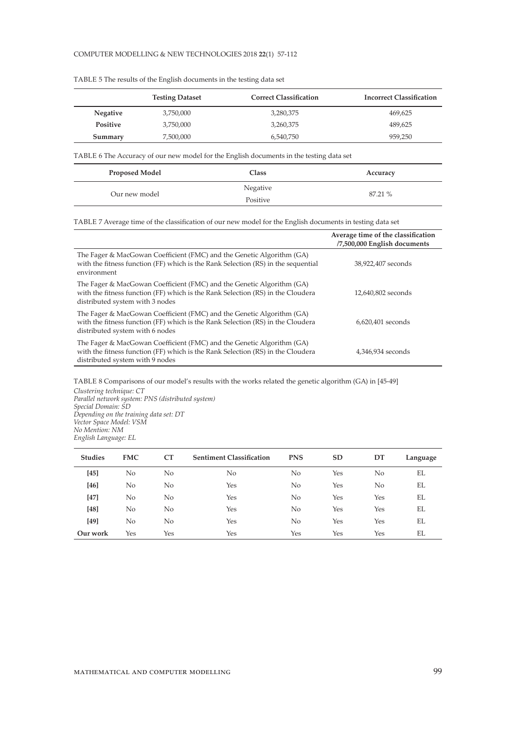|                 | <b>Testing Dataset</b> | <b>Correct Classification</b> | <b>Incorrect Classification</b> |
|-----------------|------------------------|-------------------------------|---------------------------------|
| <b>Negative</b> | 3,750,000              | 3,280,375                     | 469,625                         |
| <b>Positive</b> | 3,750,000              | 3,260,375                     | 489.625                         |
| Summary         | 7,500,000              | 6.540.750                     | 959.250                         |

TABLE 5 The results of the English documents in the testing data set

TABLE 6 The Accuracy of our new model for the English documents in the testing data set

| <b>Proposed Model</b> | <b>Class</b> | Accuracy |
|-----------------------|--------------|----------|
| Our new model         | Negative     | 87.21 %  |
|                       | Positive     |          |

TABLE 7 Average time of the classification of our new model for the English documents in testing data set

|                                                                                                                                                                                             | Average time of the classification<br>/7,500,000 English documents |
|---------------------------------------------------------------------------------------------------------------------------------------------------------------------------------------------|--------------------------------------------------------------------|
| The Fager & MacGowan Coefficient (FMC) and the Genetic Algorithm (GA)<br>with the fitness function (FF) which is the Rank Selection (RS) in the sequential<br>environment                   | 38,922,407 seconds                                                 |
| The Fager & MacGowan Coefficient (FMC) and the Genetic Algorithm (GA)<br>with the fitness function (FF) which is the Rank Selection (RS) in the Cloudera<br>distributed system with 3 nodes | 12,640,802 seconds                                                 |
| The Fager & MacGowan Coefficient (FMC) and the Genetic Algorithm (GA)<br>with the fitness function (FF) which is the Rank Selection (RS) in the Cloudera<br>distributed system with 6 nodes | 6,620,401 seconds                                                  |
| The Fager & MacGowan Coefficient (FMC) and the Genetic Algorithm (GA)<br>with the fitness function (FF) which is the Rank Selection (RS) in the Cloudera<br>distributed system with 9 nodes | 4,346,934 seconds                                                  |

TABLE 8 Comparisons of our model's results with the works related the genetic algorithm (GA) in [45-49]

*Clustering technique: CT Parallel network system: PNS (distributed system) Special Domain: SD Depending on the training data set: DT Vector Space Model: VSM No Mention: NM English Language: EL*

| <b>Studies</b> | <b>FMC</b> | CT  | <b>Sentiment Classification</b> | <b>PNS</b>     | <b>SD</b> | DT  | Language |
|----------------|------------|-----|---------------------------------|----------------|-----------|-----|----------|
| $[45]$         | No         | No  | No                              | No             | Yes       | No  | EL       |
| $[46]$         | No         | No  | Yes                             | No             | Yes       | No  | EL       |
| [47]           | No         | No  | Yes                             | No             | Yes       | Yes | EL       |
| $[48]$         | No.        | No  | Yes                             | N <sub>o</sub> | Yes       | Yes | EL       |
| [49]           | No.        | No  | Yes                             | N <sub>o</sub> | Yes       | Yes | EL       |
| Our work       | Yes        | Yes | Yes                             | Yes            | Yes       | Yes | EL       |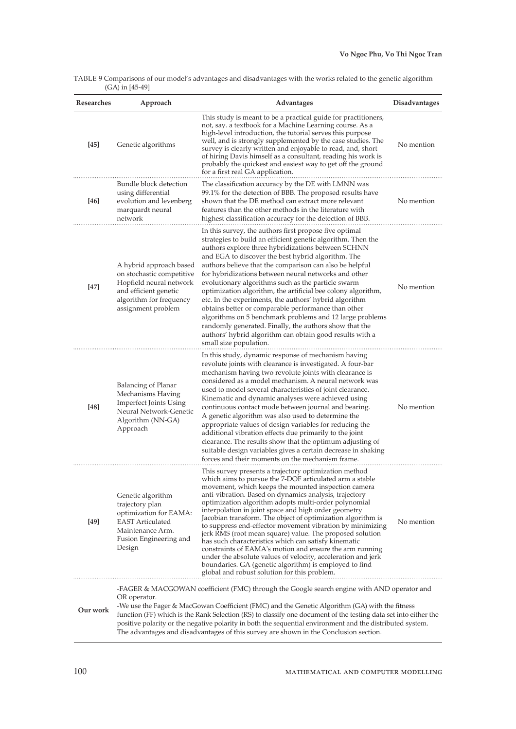|                   | TABLE 9 Comparisons of our model's advantages and disadvantages with the works related to the genetic algorithm |
|-------------------|-----------------------------------------------------------------------------------------------------------------|
| $(GA)$ in [45-49] |                                                                                                                 |

| Researches | Approach                                                                                                                                                  | Advantages                                                                                                                                                                                                                                                                                                                                                                                                                                                                                                                                                                                                                                                                                                                                                                                                                             | Disadvantages |
|------------|-----------------------------------------------------------------------------------------------------------------------------------------------------------|----------------------------------------------------------------------------------------------------------------------------------------------------------------------------------------------------------------------------------------------------------------------------------------------------------------------------------------------------------------------------------------------------------------------------------------------------------------------------------------------------------------------------------------------------------------------------------------------------------------------------------------------------------------------------------------------------------------------------------------------------------------------------------------------------------------------------------------|---------------|
| $[45]$     | Genetic algorithms                                                                                                                                        | This study is meant to be a practical guide for practitioners,<br>not, say. a textbook for a Machine Learning course. As a<br>high-level introduction, the tutorial serves this purpose<br>well, and is strongly supplemented by the case studies. The<br>survey is clearly written and enjoyable to read, and, short<br>of hiring Davis himself as a consultant, reading his work is<br>probably the quickest and easiest way to get off the ground<br>for a first real GA application.                                                                                                                                                                                                                                                                                                                                               | No mention    |
| [46]       | Bundle block detection<br>using differential<br>evolution and levenberg<br>marquardt neural<br>network                                                    | The classification accuracy by the DE with LMNN was<br>99.1% for the detection of BBB. The proposed results have<br>shown that the DE method can extract more relevant<br>features than the other methods in the literature with<br>highest classification accuracy for the detection of BBB.                                                                                                                                                                                                                                                                                                                                                                                                                                                                                                                                          | No mention    |
| $[47]$     | A hybrid approach based<br>on stochastic competitive<br>Hopfield neural network<br>and efficient genetic<br>algorithm for frequency<br>assignment problem | In this survey, the authors first propose five optimal<br>strategies to build an efficient genetic algorithm. Then the<br>authors explore three hybridizations between SCHNN<br>and EGA to discover the best hybrid algorithm. The<br>authors believe that the comparison can also be helpful<br>for hybridizations between neural networks and other<br>evolutionary algorithms such as the particle swarm<br>optimization algorithm, the artificial bee colony algorithm,<br>etc. In the experiments, the authors' hybrid algorithm<br>obtains better or comparable performance than other<br>algorithms on 5 benchmark problems and 12 large problems<br>randomly generated. Finally, the authors show that the<br>authors' hybrid algorithm can obtain good results with a<br>small size population.                               | No mention    |
| $[48]$     | Balancing of Planar<br>Mechanisms Having<br><b>Imperfect Joints Using</b><br>Neural Network-Genetic<br>Algorithm (NN-GA)<br>Approach                      | In this study, dynamic response of mechanism having<br>revolute joints with clearance is investigated. A four-bar<br>mechanism having two revolute joints with clearance is<br>considered as a model mechanism. A neural network was<br>used to model several characteristics of joint clearance.<br>Kinematic and dynamic analyses were achieved using<br>continuous contact mode between journal and bearing.<br>A genetic algorithm was also used to determine the<br>appropriate values of design variables for reducing the<br>additional vibration effects due primarily to the joint<br>clearance. The results show that the optimum adjusting of<br>suitable design variables gives a certain decrease in shaking<br>forces and their moments on the mechanism frame.                                                          | No mention    |
| $[49]$     | Genetic algorithm<br>trajectory plan<br>optimization for EAMA:<br><b>EAST Articulated</b><br>Maintenance Arm.<br>Fusion Engineering and<br>Design         | This survey presents a trajectory optimization method<br>which aims to pursue the 7-DOF articulated arm a stable<br>movement, which keeps the mounted inspection camera<br>anti-vibration. Based on dynamics analysis, trajectory<br>optimization algorithm adopts multi-order polynomial<br>interpolation in joint space and high order geometry<br>Jacobian transform. The object of optimization algorithm is<br>to suppress end-effector movement vibration by minimizing<br>jerk RMS (root mean square) value. The proposed solution<br>has such characteristics which can satisfy kinematic<br>constraints of EAMA's motion and ensure the arm running<br>under the absolute values of velocity, acceleration and jerk<br>boundaries. GA (genetic algorithm) is employed to find<br>global and robust solution for this problem. | No mention    |
| Our work   | OR operator.                                                                                                                                              | -FAGER & MACGOWAN coefficient (FMC) through the Google search engine with AND operator and<br>-We use the Fager & MacGowan Coefficient (FMC) and the Genetic Algorithm (GA) with the fitness<br>function (FF) which is the Rank Selection (RS) to classify one document of the testing data set into either the<br>positive polarity or the negative polarity in both the sequential environment and the distributed system.<br>The advantages and disadvantages of this survey are shown in the Conclusion section.                                                                                                                                                                                                                                                                                                                   |               |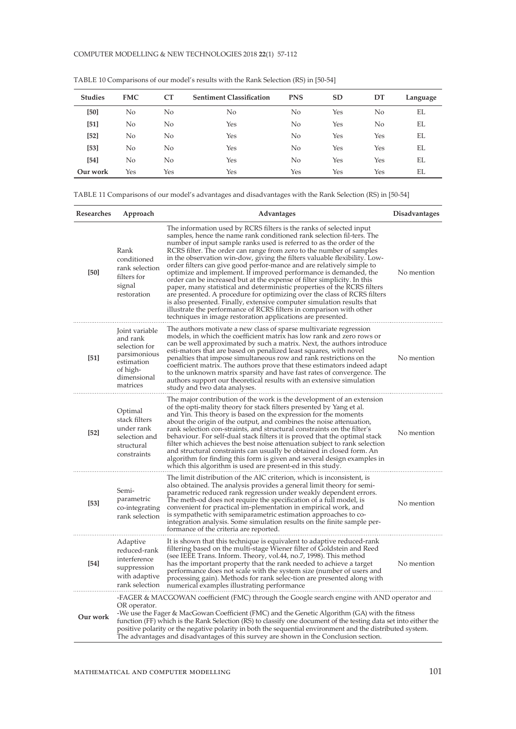| <b>Studies</b> | <b>FMC</b> | CT  | <b>Sentiment Classification</b> | <b>PNS</b>     | SD  | DT  | Language |
|----------------|------------|-----|---------------------------------|----------------|-----|-----|----------|
| [50]           | No         | No  | No                              | No             | Yes | No  | EL       |
| $[51]$         | No         | No  | Yes                             | N <sub>o</sub> | Yes | No  | EL       |
| $[52]$         | No         | No  | Yes                             | N <sub>o</sub> | Yes | Yes | EL       |
| [53]           | No         | No  | Yes                             | N <sub>o</sub> | Yes | Yes | EL       |
| $[54]$         | No         | No  | Yes                             | N <sub>o</sub> | Yes | Yes | EL       |
| Our work       | Yes        | Yes | Yes                             | Yes            | Yes | Yes | EL       |

TABLE 10 Comparisons of our model's results with the Rank Selection (RS) in [50-54]

TABLE 11 Comparisons of our model's advantages and disadvantages with the Rank Selection (RS) in [50-54]

| Researches | Approach                                                                                                                                                                                                                                                                                                                                                                                                                                                                                                                             | <b>Advantages</b>                                                                                                                                                                                                                                                                                                                                                                                                                                                                                                                                                                                                                                                                                                                                                                                                                                                                                                                                                        | <b>Disadvantages</b> |  |  |
|------------|--------------------------------------------------------------------------------------------------------------------------------------------------------------------------------------------------------------------------------------------------------------------------------------------------------------------------------------------------------------------------------------------------------------------------------------------------------------------------------------------------------------------------------------|--------------------------------------------------------------------------------------------------------------------------------------------------------------------------------------------------------------------------------------------------------------------------------------------------------------------------------------------------------------------------------------------------------------------------------------------------------------------------------------------------------------------------------------------------------------------------------------------------------------------------------------------------------------------------------------------------------------------------------------------------------------------------------------------------------------------------------------------------------------------------------------------------------------------------------------------------------------------------|----------------------|--|--|
| [50]       | Rank<br>conditioned<br>rank selection<br>filters for<br>signal<br>restoration                                                                                                                                                                                                                                                                                                                                                                                                                                                        | The information used by RCRS filters is the ranks of selected input<br>samples, hence the name rank conditioned rank selection fil-ters. The<br>number of input sample ranks used is referred to as the order of the<br>RCRS filter. The order can range from zero to the number of samples<br>in the observation win-dow, giving the filters valuable flexibility. Low-<br>order filters can give good perfor-mance and are relatively simple to<br>optimize and implement. If improved performance is demanded, the<br>order can be increased but at the expense of filter simplicity. In this<br>paper, many statistical and deterministic properties of the RCRS filters<br>are presented. A procedure for optimizing over the class of RCRS filters<br>is also presented. Finally, extensive computer simulation results that<br>illustrate the performance of RCRS filters in comparison with other<br>techniques in image restoration applications are presented. | No mention           |  |  |
| [51]       | Joint variable<br>and rank<br>selection for<br>parsimonious<br>estimation<br>of high-<br>dimensional<br>matrices                                                                                                                                                                                                                                                                                                                                                                                                                     | The authors motivate a new class of sparse multivariate regression<br>models, in which the coefficient matrix has low rank and zero rows or<br>can be well approximated by such a matrix. Next, the authors introduce<br>esti-mators that are based on penalized least squares, with novel<br>penalties that impose simultaneous row and rank restrictions on the<br>coefficient matrix. The authors prove that these estimators indeed adapt<br>to the unknown matrix sparsity and have fast rates of convergence. The<br>authors support our theoretical results with an extensive simulation<br>study and two data analyses.                                                                                                                                                                                                                                                                                                                                          | No mention           |  |  |
| [52]       | Optimal<br>stack filters<br>under rank<br>selection and<br>structural<br>constraints                                                                                                                                                                                                                                                                                                                                                                                                                                                 | The major contribution of the work is the development of an extension<br>of the opti-mality theory for stack filters presented by Yang et al.<br>and Yin. This theory is based on the expression for the moments<br>about the origin of the output, and combines the noise attenuation,<br>rank selection con-straints, and structural constraints on the filter's<br>behaviour. For self-dual stack filters it is proved that the optimal stack<br>filter which achieves the best noise attenuation subject to rank selection<br>and structural constraints can usually be obtained in closed form. An<br>algorithm for finding this form is given and several design examples in<br>which this algorithm is used are present-ed in this study.                                                                                                                                                                                                                         | No mention           |  |  |
| $[53]$     | Semi-<br>parametric<br>co-integrating<br>rank selection                                                                                                                                                                                                                                                                                                                                                                                                                                                                              | The limit distribution of the AIC criterion, which is inconsistent, is<br>also obtained. The analysis provides a general limit theory for semi-<br>parametric reduced rank regression under weakly dependent errors.<br>The meth-od does not require the specification of a full model, is<br>convenient for practical im-plementation in empirical work, and<br>is sympathetic with semiparametric estimation approaches to co-<br>integration analysis. Some simulation results on the finite sample per-<br>formance of the criteria are reported.                                                                                                                                                                                                                                                                                                                                                                                                                    | No mention           |  |  |
| $[54]$     | Adaptive<br>reduced-rank<br>interference<br>suppression<br>with adaptive<br>rank selection                                                                                                                                                                                                                                                                                                                                                                                                                                           | It is shown that this technique is equivalent to adaptive reduced-rank<br>filtering based on the multi-stage Wiener filter of Goldstein and Reed<br>(see IEEE Trans. Inform. Theory, vol.44, no.7, 1998). This method<br>has the important property that the rank needed to achieve a target<br>performance does not scale with the system size (number of users and<br>processing gain). Methods for rank selec-tion are presented along with<br>numerical examples illustrating performance                                                                                                                                                                                                                                                                                                                                                                                                                                                                            | No mention           |  |  |
| Our work   | -FAGER & MACGOWAN coefficient (FMC) through the Google search engine with AND operator and<br>OR operator.<br>-We use the Fager & MacGowan Coefficient (FMC) and the Genetic Algorithm (GA) with the fitness<br>function (FF) which is the Rank Selection (RS) to classify one document of the testing data set into either the<br>positive polarity or the negative polarity in both the sequential environment and the distributed system.<br>The advantages and disadvantages of this survey are shown in the Conclusion section. |                                                                                                                                                                                                                                                                                                                                                                                                                                                                                                                                                                                                                                                                                                                                                                                                                                                                                                                                                                          |                      |  |  |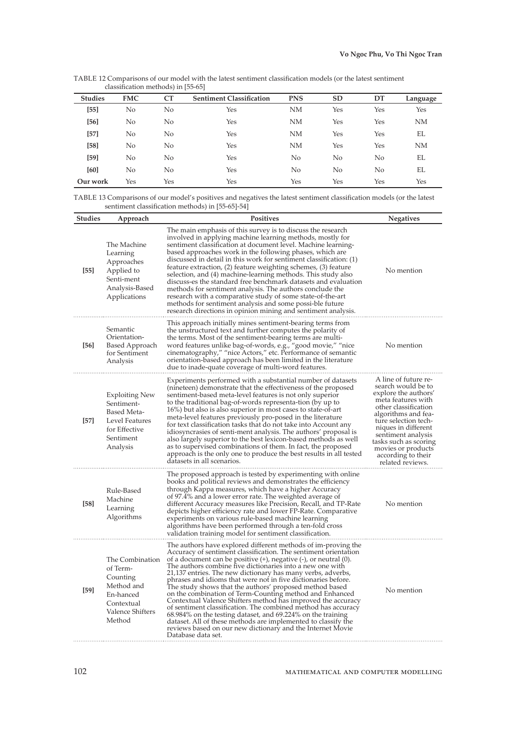| TABLE 12 Comparisons of our model with the latest sentiment classification models (or the latest sentiment |  |  |
|------------------------------------------------------------------------------------------------------------|--|--|
| classification methods) in [55-65]                                                                         |  |  |

| <b>Studies</b> | <b>FMC</b>     | CT  | <b>Sentiment Classification</b> | <b>PNS</b> | <b>SD</b> | DT  | Language  |
|----------------|----------------|-----|---------------------------------|------------|-----------|-----|-----------|
| $[55]$         | No             | No  | Yes                             | <b>NM</b>  | Yes       | Yes | Yes       |
| [56]           | N <sub>o</sub> | No  | Yes                             | NM         | Yes       | Yes | <b>NM</b> |
| $[57]$         | No             | No  | Yes                             | <b>NM</b>  | Yes       | Yes | EL        |
| $[58]$         | No             | No  | Yes                             | <b>NM</b>  | Yes       | Yes | <b>NM</b> |
| $[59]$         | No             | No  | Yes                             | No         | No        | No  | EL        |
| [60]           | No             | No  | Yes                             | No         | No        | No  | EL        |
| Our work       | Yes            | Yes | Yes                             | Yes        | Yes       | Yes | Yes       |

TABLE 13 Comparisons of our model's positives and negatives the latest sentiment classification models (or the latest sentiment classification methods) in [55-65]-54]

| <b>Studies</b> | Approach                                                                                                              | <b>Positives</b>                                                                                                                                                                                                                                                                                                                                                                                                                                                                                                                                                                                                                                                                                                                                                                                                                                                                      | <b>Negatives</b>                                                                                                                                                                                                                                                                                      |
|----------------|-----------------------------------------------------------------------------------------------------------------------|---------------------------------------------------------------------------------------------------------------------------------------------------------------------------------------------------------------------------------------------------------------------------------------------------------------------------------------------------------------------------------------------------------------------------------------------------------------------------------------------------------------------------------------------------------------------------------------------------------------------------------------------------------------------------------------------------------------------------------------------------------------------------------------------------------------------------------------------------------------------------------------|-------------------------------------------------------------------------------------------------------------------------------------------------------------------------------------------------------------------------------------------------------------------------------------------------------|
| [55]           | The Machine<br>Learning<br>Approaches<br>Applied to<br>Senti-ment<br>Analysis-Based<br>Applications                   | The main emphasis of this survey is to discuss the research<br>involved in applying machine learning methods, mostly for<br>sentiment classification at document level. Machine learning-<br>based approaches work in the following phases, which are<br>discussed in detail in this work for sentiment classification: (1)<br>feature extraction, (2) feature weighting schemes, (3) feature<br>selection, and (4) machine-learning methods. This study also<br>discuss-es the standard free benchmark datasets and evaluation<br>methods for sentiment analysis. The authors conclude the<br>research with a comparative study of some state-of-the-art<br>methods for sentiment analysis and some possi-ble future<br>research directions in opinion mining and sentiment analysis.                                                                                                | No mention                                                                                                                                                                                                                                                                                            |
| [56]           | Semantic<br>Orientation-<br><b>Based Approach</b><br>for Sentiment<br>Analysis                                        | This approach initially mines sentiment-bearing terms from<br>the unstructured text and further computes the polarity of<br>the terms. Most of the sentiment-bearing terms are multi-<br>word features unlike bag-of-words, e.g., "good movie," "nice<br>cinematography," "nice Actors," etc. Performance of semantic<br>orientation-based approach has been limited in the literature<br>due to inade-quate coverage of multi-word features.                                                                                                                                                                                                                                                                                                                                                                                                                                         | No mention                                                                                                                                                                                                                                                                                            |
| [57]           | <b>Exploiting New</b><br>Sentiment-<br><b>Based Meta-</b><br>Level Features<br>for Effective<br>Sentiment<br>Analysis | Experiments performed with a substantial number of datasets<br>(nineteen) demonstrate that the effectiveness of the proposed<br>sentiment-based meta-level features is not only superior<br>to the traditional bag-of-words representa-tion (by up to<br>16%) but also is also superior in most cases to state-of-art<br>meta-level features previously pro-posed in the literature<br>for text classification tasks that do not take into Account any<br>idiosyncrasies of senti-ment analysis. The authors' proposal is<br>also largely superior to the best lexicon-based methods as well<br>as to supervised combinations of them. In fact, the proposed<br>approach is the only one to produce the best results in all tested<br>datasets in all scenarios.                                                                                                                      | A line of future re-<br>search would be to<br>explore the authors'<br>meta features with<br>other classification<br>algorithms and fea-<br>ture selection tech-<br>niques in different<br>sentiment analysis<br>tasks such as scoring<br>movies or products<br>according to their<br>related reviews. |
| [58]           | Rule-Based<br>Machine<br>Learning<br>Algorithms                                                                       | The proposed approach is tested by experimenting with online<br>books and political reviews and demonstrates the efficiency<br>through Kappa measures, which have a higher Accuracy<br>of 97.4% and a lower error rate. The weighted average of<br>different Accuracy measures like Precision, Recall, and TP-Rate<br>depicts higher efficiency rate and lower FP-Rate. Comparative<br>experiments on various rule-based machine learning<br>algorithms have been performed through a ten-fold cross<br>validation training model for sentiment classification.                                                                                                                                                                                                                                                                                                                       | No mention                                                                                                                                                                                                                                                                                            |
| $[59]$         | The Combination<br>of Term-<br>Counting<br>Method and<br>En-hanced<br>Contextual<br>Valence Shifters<br>Method        | The authors have explored different methods of im-proving the<br>Accuracy of sentiment classification. The sentiment orientation<br>of a document can be positive $(+)$ , negative $(-)$ , or neutral $(0)$ .<br>The authors combine five dictionaries into a new one with<br>21,137 entries. The new dictionary has many verbs, adverbs,<br>phrases and idioms that were not in five dictionaries before.<br>The study shows that the authors' proposed method based<br>on the combination of Term-Counting method and Enhanced<br>Contextual Valence Shifters method has improved the accuracy<br>of sentiment classification. The combined method has accuracy<br>68.984% on the testing dataset, and 69.224% on the training<br>dataset. All of these methods are implemented to classify the<br>reviews based on our new dictionary and the Internet Movie<br>Database data set. | No mention                                                                                                                                                                                                                                                                                            |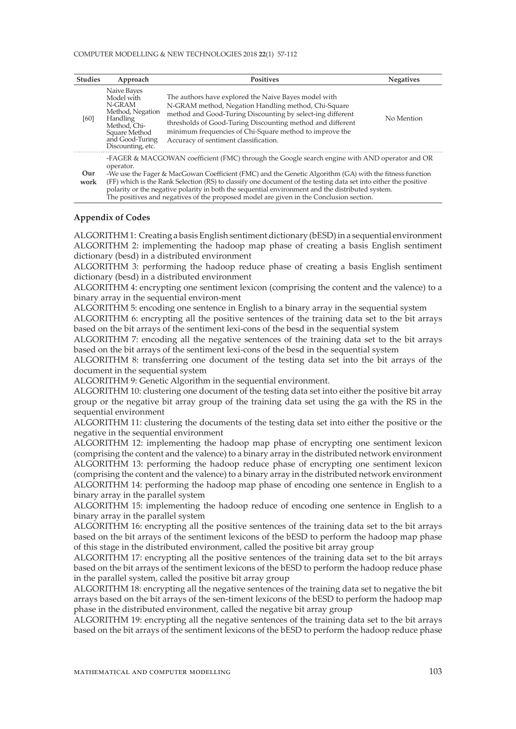#### COMPUTER MODELLING & NEW TECHNOLOGIES 2018 **22**(1) 57-112

| <b>Studies</b> | Approach                                                                                                                                                                                                                                                                                                                                                                                                                                                                                                                               | <b>Positives</b>                                                                                                                                                                                                                                                                                                                            | <b>Negatives</b> |
|----------------|----------------------------------------------------------------------------------------------------------------------------------------------------------------------------------------------------------------------------------------------------------------------------------------------------------------------------------------------------------------------------------------------------------------------------------------------------------------------------------------------------------------------------------------|---------------------------------------------------------------------------------------------------------------------------------------------------------------------------------------------------------------------------------------------------------------------------------------------------------------------------------------------|------------------|
| [60]           | Naive Bayes<br>Model with<br>N-GRAM<br>Method, Negation<br>Handling<br>Method, Chi-<br>Square Method<br>and Good-Turing<br>Discounting, etc.                                                                                                                                                                                                                                                                                                                                                                                           | The authors have explored the Naive Bayes model with<br>N-GRAM method, Negation Handling method, Chi-Square<br>method and Good-Turing Discounting by select-ing different<br>thresholds of Good-Turing Discounting method and different<br>minimum frequencies of Chi-Square method to improve the<br>Accuracy of sentiment classification. | No Mention       |
| Our<br>work    | -FAGER & MACGOWAN coefficient (FMC) through the Google search engine with AND operator and OR<br>operator.<br>-We use the Fager & MacGowan Coefficient (FMC) and the Genetic Algorithm (GA) with the fitness function<br>(FF) which is the Rank Selection (RS) to classify one document of the testing data set into either the positive<br>polarity or the negative polarity in both the sequential environment and the distributed system.<br>The positives and negatives of the proposed model are given in the Conclusion section. |                                                                                                                                                                                                                                                                                                                                             |                  |

### **Appendix of Codes**

ALGORITHM 1: Creating a basis English sentiment dictionary (bESD) in a sequential environment ALGORITHM 2: implementing the hadoop map phase of creating a basis English sentiment dictionary (besd) in a distributed environment

ALGORITHM 3: performing the hadoop reduce phase of creating a basis English sentiment dictionary (besd) in a distributed environment

ALGORITHM 4: encrypting one sentiment lexicon (comprising the content and the valence) to a binary array in the sequential environ-ment

ALGORITHM 5: encoding one sentence in English to a binary array in the sequential system

ALGORITHM 6: encrypting all the positive sentences of the training data set to the bit arrays based on the bit arrays of the sentiment lexi-cons of the besd in the sequential system

ALGORITHM 7: encoding all the negative sentences of the training data set to the bit arrays based on the bit arrays of the sentiment lexi-cons of the besd in the sequential system

ALGORITHM 8: transferring one document of the testing data set into the bit arrays of the document in the sequential system

ALGORITHM 9: Genetic Algorithm in the sequential environment.

ALGORITHM 10: clustering one document of the testing data set into either the positive bit array group or the negative bit array group of the training data set using the ga with the RS in the sequential environment

ALGORITHM 11: clustering the documents of the testing data set into either the positive or the negative in the sequential environment

ALGORITHM 12: implementing the hadoop map phase of encrypting one sentiment lexicon (comprising the content and the valence) to a binary array in the distributed network environment ALGORITHM 13: performing the hadoop reduce phase of encrypting one sentiment lexicon (comprising the content and the valence) to a binary array in the distributed network environment ALGORITHM 14: performing the hadoop map phase of encoding one sentence in English to a binary array in the parallel system

ALGORITHM 15: implementing the hadoop reduce of encoding one sentence in English to a binary array in the parallel system

ALGORITHM 16: encrypting all the positive sentences of the training data set to the bit arrays based on the bit arrays of the sentiment lexicons of the bESD to perform the hadoop map phase of this stage in the distributed environment, called the positive bit array group

ALGORITHM 17: encrypting all the positive sentences of the training data set to the bit arrays based on the bit arrays of the sentiment lexicons of the bESD to perform the hadoop reduce phase in the parallel system, called the positive bit array group

ALGORITHM 18: encrypting all the negative sentences of the training data set to negative the bit arrays based on the bit arrays of the sen-timent lexicons of the bESD to perform the hadoop map phase in the distributed environment, called the negative bit array group

ALGORITHM 19: encrypting all the negative sentences of the training data set to the bit arrays based on the bit arrays of the sentiment lexicons of the bESD to perform the hadoop reduce phase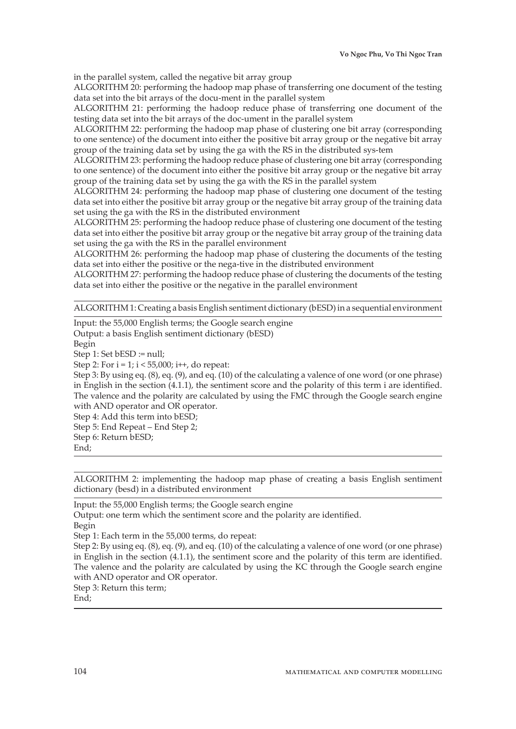in the parallel system, called the negative bit array group

ALGORITHM 20: performing the hadoop map phase of transferring one document of the testing data set into the bit arrays of the docu-ment in the parallel system

ALGORITHM 21: performing the hadoop reduce phase of transferring one document of the testing data set into the bit arrays of the doc-ument in the parallel system

ALGORITHM 22: performing the hadoop map phase of clustering one bit array (corresponding to one sentence) of the document into either the positive bit array group or the negative bit array group of the training data set by using the ga with the RS in the distributed sys-tem

ALGORITHM 23: performing the hadoop reduce phase of clustering one bit array (corresponding to one sentence) of the document into either the positive bit array group or the negative bit array group of the training data set by using the ga with the RS in the parallel system

ALGORITHM 24: performing the hadoop map phase of clustering one document of the testing data set into either the positive bit array group or the negative bit array group of the training data set using the ga with the RS in the distributed environment

ALGORITHM 25: performing the hadoop reduce phase of clustering one document of the testing data set into either the positive bit array group or the negative bit array group of the training data set using the ga with the RS in the parallel environment

ALGORITHM 26: performing the hadoop map phase of clustering the documents of the testing data set into either the positive or the nega-tive in the distributed environment

ALGORITHM 27: performing the hadoop reduce phase of clustering the documents of the testing data set into either the positive or the negative in the parallel environment

ALGORITHM 1: Creating a basis English sentiment dictionary (bESD) in a sequential environment

Input: the 55,000 English terms; the Google search engine Output: a basis English sentiment dictionary (bESD) Begin Step 1: Set bESD := null; Step 2: For  $i = 1$ ;  $i < 55,000$ ;  $i++$ , do repeat: Step 3: By using eq. (8), eq. (9), and eq. (10) of the calculating a valence of one word (or one phrase) in English in the section (4.1.1), the sentiment score and the polarity of this term i are identified. The valence and the polarity are calculated by using the FMC through the Google search engine with AND operator and OR operator. Step 4: Add this term into bESD; Step 5: End Repeat – End Step 2; Step 6: Return bESD; End;

ALGORITHM 2: implementing the hadoop map phase of creating a basis English sentiment dictionary (besd) in a distributed environment

Input: the 55,000 English terms; the Google search engine Output: one term which the sentiment score and the polarity are identified.

Begin

Step 1: Each term in the 55,000 terms, do repeat:

Step 2: By using eq. (8), eq. (9), and eq. (10) of the calculating a valence of one word (or one phrase) in English in the section (4.1.1), the sentiment score and the polarity of this term are identified. The valence and the polarity are calculated by using the KC through the Google search engine with AND operator and OR operator.

Step 3: Return this term;

End;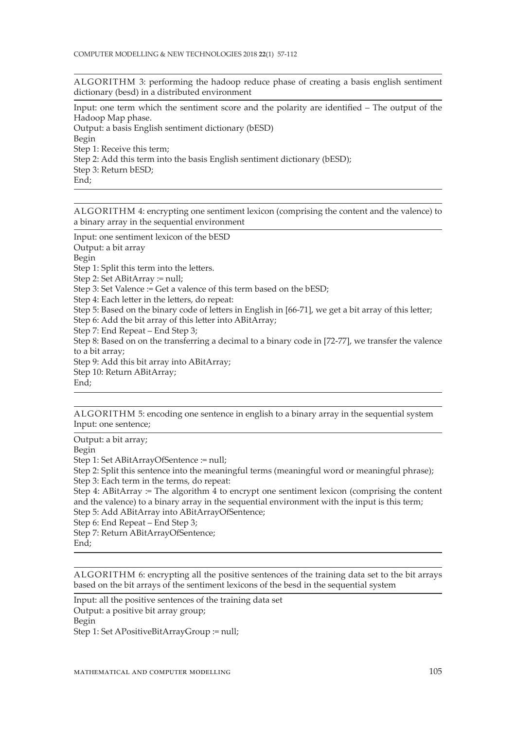ALGORITHM 3: performing the hadoop reduce phase of creating a basis english sentiment dictionary (besd) in a distributed environment

Input: one term which the sentiment score and the polarity are identified – The output of the Hadoop Map phase.

Output: a basis English sentiment dictionary (bESD) Begin Step 1: Receive this term; Step 2: Add this term into the basis English sentiment dictionary (bESD); Step 3: Return bESD; End:

ALGORITHM 4: encrypting one sentiment lexicon (comprising the content and the valence) to a binary array in the sequential environment

Input: one sentiment lexicon of the bESD Output: a bit array Begin Step 1: Split this term into the letters. Step 2: Set ABitArray := null; Step 3: Set Valence := Get a valence of this term based on the bESD; Step 4: Each letter in the letters, do repeat: Step 5: Based on the binary code of letters in English in [66-71], we get a bit array of this letter; Step 6: Add the bit array of this letter into ABitArray; Step 7: End Repeat – End Step 3; Step 8: Based on on the transferring a decimal to a binary code in [72-77], we transfer the valence to a bit array; Step 9: Add this bit array into ABitArray; Step 10: Return ABitArray; End;

ALGORITHM 5: encoding one sentence in english to a binary array in the sequential system Input: one sentence;

Output: a bit array; Begin Step 1: Set ABitArrayOfSentence := null; Step 2: Split this sentence into the meaningful terms (meaningful word or meaningful phrase); Step 3: Each term in the terms, do repeat: Step 4: ABitArray := The algorithm  $\overline{4}$  to encrypt one sentiment lexicon (comprising the content and the valence) to a binary array in the sequential environment with the input is this term; Step 5: Add ABitArray into ABitArrayOfSentence; Step 6: End Repeat – End Step 3; Step 7: Return ABitArrayOfSentence; End;

ALGORITHM 6: encrypting all the positive sentences of the training data set to the bit arrays based on the bit arrays of the sentiment lexicons of the besd in the sequential system

Input: all the positive sentences of the training data set Output: a positive bit array group; Begin Step 1: Set APositiveBitArrayGroup := null;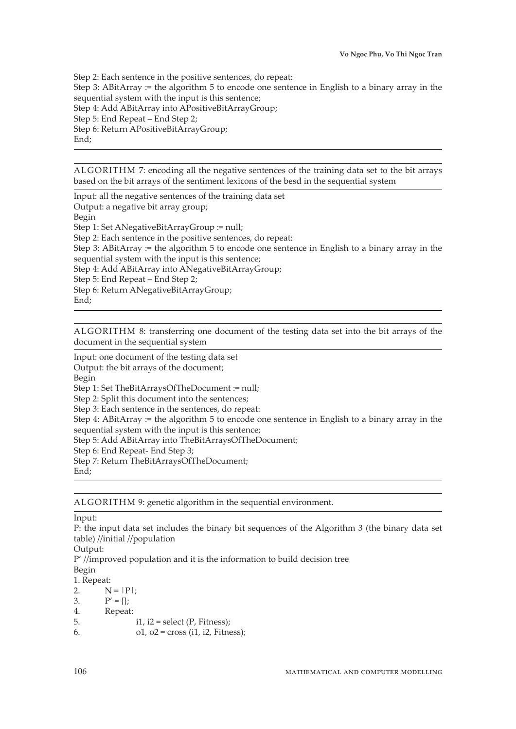Step 2: Each sentence in the positive sentences, do repeat: Step 3: ABitArray := the algorithm 5 to encode one sentence in English to a binary array in the sequential system with the input is this sentence; Step 4: Add ABitArray into APositiveBitArrayGroup; Step 5: End Repeat – End Step 2; Step 6: Return APositiveBitArrayGroup; End;

ALGORITHM 7: encoding all the negative sentences of the training data set to the bit arrays based on the bit arrays of the sentiment lexicons of the besd in the sequential system

Input: all the negative sentences of the training data set Output: a negative bit array group; Begin Step 1: Set ANegativeBitArrayGroup := null; Step 2: Each sentence in the positive sentences, do repeat: Step 3: ABitArray := the algorithm 5 to encode one sentence in English to a binary array in the sequential system with the input is this sentence; Step 4: Add ABitArray into ANegativeBitArrayGroup; Step 5: End Repeat – End Step 2; Step 6: Return ANegativeBitArrayGroup; End:

ALGORITHM 8: transferring one document of the testing data set into the bit arrays of the document in the sequential system

Input: one document of the testing data set Output: the bit arrays of the document; Begin Step 1: Set TheBitArraysOfTheDocument := null; Step 2: Split this document into the sentences; Step 3: Each sentence in the sentences, do repeat: Step 4: ABitArray := the algorithm 5 to encode one sentence in English to a binary array in the sequential system with the input is this sentence; Step 5: Add ABitArray into TheBitArraysOfTheDocument; Step 6: End Repeat- End Step 3; Step 7: Return TheBitArraysOfTheDocument; End;

ALGORITHM 9: genetic algorithm in the sequential environment.

Input:

P: the input data set includes the binary bit sequences of the Algorithm 3 (the binary data set table) //initial //population

Output:

 $P'$  //improved population and it is the information to build decision tree Begin

1. Repeat:

2.  $N = |P|$ ;

3.  $P' = \{\};$ 

4. Repeat:

5.  $i1$ ,  $i2$  = select (P, Fitness);

6.  $o1, o2 = cross (i1, i2, Fitness);$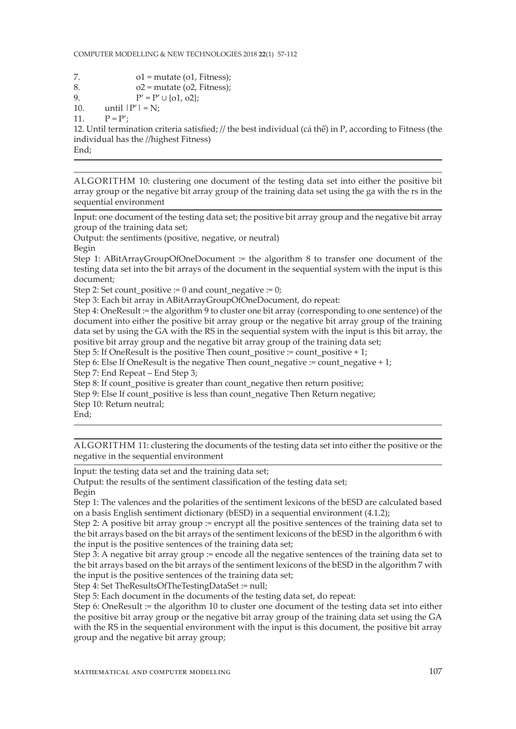- 7.  $ol = mutate (ol, Fitness);$
- 8.  $o2 = mutate (o2, Fitness);$

9. 
$$
P' = P' \cup \{o1, o2\};
$$

10. until  $|P'| = N$ ;

11.  $P = P'$ ;

12. Until termination criteria satisfied; // the best individual (cá thể) in P, according to Fitness (the individual has the //highest Fitness)

End;

ALGORITHM 10: clustering one document of the testing data set into either the positive bit array group or the negative bit array group of the training data set using the ga with the rs in the sequential environment

Input: one document of the testing data set; the positive bit array group and the negative bit array group of the training data set;

Output: the sentiments (positive, negative, or neutral)

Begin

Step 1: ABitArrayGroupOfOneDocument := the algorithm 8 to transfer one document of the testing data set into the bit arrays of the document in the sequential system with the input is this document;

Step 2: Set count positive := 0 and count negative := 0;

Step 3: Each bit array in ABitArrayGroupOfOneDocument, do repeat:

Step 4: OneResult := the algorithm 9 to cluster one bit array (corresponding to one sentence) of the document into either the positive bit array group or the negative bit array group of the training data set by using the GA with the RS in the sequential system with the input is this bit array, the positive bit array group and the negative bit array group of the training data set;

Step 5: If OneResult is the positive Then count\_positive := count\_positive  $+1$ ;

Step 6: Else If OneResult is the negative Then count negative := count negative + 1;

Step 7: End Repeat – End Step 3;

Step 8: If count\_positive is greater than count\_negative then return positive;

Step 9: Else If count positive is less than count negative Then Return negative;

Step 10: Return neutral;

End;

ALGORITHM 11: clustering the documents of the testing data set into either the positive or the negative in the sequential environment

Input: the testing data set and the training data set;

Output: the results of the sentiment classification of the testing data set;

Begin

Step 1: The valences and the polarities of the sentiment lexicons of the bESD are calculated based on a basis English sentiment dictionary (bESD) in a sequential environment (4.1.2);

Step 2: A positive bit array group := encrypt all the positive sentences of the training data set to the bit arrays based on the bit arrays of the sentiment lexicons of the bESD in the algorithm 6 with the input is the positive sentences of the training data set;

Step 3: A negative bit array group := encode all the negative sentences of the training data set to the bit arrays based on the bit arrays of the sentiment lexicons of the bESD in the algorithm 7 with the input is the positive sentences of the training data set;

Step 4: Set TheResultsOfTheTestingDataSet := null;

Step 5: Each document in the documents of the testing data set, do repeat:

Step 6: OneResult := the algorithm 10 to cluster one document of the testing data set into either the positive bit array group or the negative bit array group of the training data set using the GA with the RS in the sequential environment with the input is this document, the positive bit array group and the negative bit array group;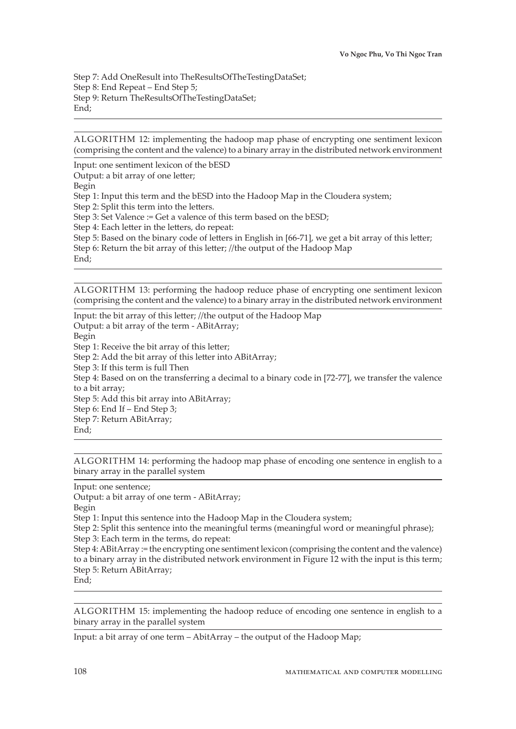Step 7: Add OneResult into TheResultsOfTheTestingDataSet; Step 8: End Repeat – End Step 5; Step 9: Return TheResultsOfTheTestingDataSet; End;

ALGORITHM 12: implementing the hadoop map phase of encrypting one sentiment lexicon (comprising the content and the valence) to a binary array in the distributed network environment

Input: one sentiment lexicon of the bESD Output: a bit array of one letter; Begin Step 1: Input this term and the bESD into the Hadoop Map in the Cloudera system; Step 2: Split this term into the letters. Step 3: Set Valence := Get a valence of this term based on the bESD; Step 4: Each letter in the letters, do repeat:

Step 5: Based on the binary code of letters in English in [66-71], we get a bit array of this letter;

Step 6: Return the bit array of this letter; //the output of the Hadoop Map End;

ALGORITHM 13: performing the hadoop reduce phase of encrypting one sentiment lexicon (comprising the content and the valence) to a binary array in the distributed network environment

Input: the bit array of this letter; //the output of the Hadoop Map Output: a bit array of the term - ABitArray; Begin Step 1: Receive the bit array of this letter; Step 2: Add the bit array of this letter into ABitArray; Step 3: If this term is full Then Step 4: Based on on the transferring a decimal to a binary code in [72-77], we transfer the valence to a bit array; Step 5: Add this bit array into ABitArray; Step 6: End If – End Step 3; Step 7: Return ABitArray; End;

ALGORITHM 14: performing the hadoop map phase of encoding one sentence in english to a binary array in the parallel system

Input: one sentence;

Output: a bit array of one term - ABitArray;

Begin

Step 1: Input this sentence into the Hadoop Map in the Cloudera system;

Step 2: Split this sentence into the meaningful terms (meaningful word or meaningful phrase);

Step 3: Each term in the terms, do repeat:

Step 4: ABitArray := the encrypting one sentiment lexicon (comprising the content and the valence) to a binary array in the distributed network environment in Figure 12 with the input is this term; Step 5: Return ABitArray;

End;

ALGORITHM 15: implementing the hadoop reduce of encoding one sentence in english to a binary array in the parallel system

Input: a bit array of one term – AbitArray – the output of the Hadoop Map;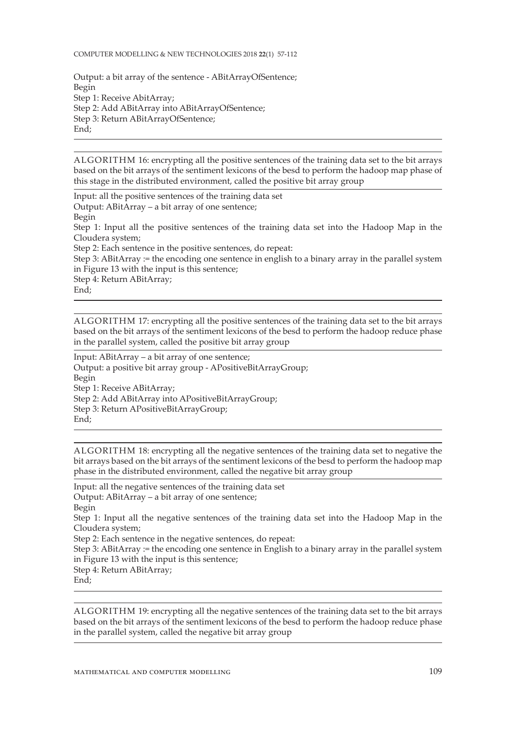COMPUTER MODELLING & NEW TECHNOLOGIES 2018 **22**(1) 57-112

Output: a bit array of the sentence - ABitArrayOfSentence; Begin Step 1: Receive AbitArray; Step 2: Add ABitArray into ABitArrayOfSentence; Step 3: Return ABitArrayOfSentence; End;

ALGORITHM 16: encrypting all the positive sentences of the training data set to the bit arrays based on the bit arrays of the sentiment lexicons of the besd to perform the hadoop map phase of this stage in the distributed environment, called the positive bit array group

Input: all the positive sentences of the training data set Output: ABitArray – a bit array of one sentence; Begin Step 1: Input all the positive sentences of the training data set into the Hadoop Map in the Cloudera system; Step 2: Each sentence in the positive sentences, do repeat: Step 3: ABitArray := the encoding one sentence in english to a binary array in the parallel system in Figure 13 with the input is this sentence; Step 4: Return ABitArray; End;

ALGORITHM 17: encrypting all the positive sentences of the training data set to the bit arrays based on the bit arrays of the sentiment lexicons of the besd to perform the hadoop reduce phase in the parallel system, called the positive bit array group

Input: ABitArray – a bit array of one sentence; Output: a positive bit array group - APositiveBitArrayGroup; Begin Step 1: Receive ABitArray; Step 2: Add ABitArray into APositiveBitArrayGroup; Step 3: Return APositiveBitArrayGroup; End;

ALGORITHM 18: encrypting all the negative sentences of the training data set to negative the bit arrays based on the bit arrays of the sentiment lexicons of the besd to perform the hadoop map phase in the distributed environment, called the negative bit array group

Input: all the negative sentences of the training data set Output: ABitArray – a bit array of one sentence; Begin Step 1: Input all the negative sentences of the training data set into the Hadoop Map in the Cloudera system; Step 2: Each sentence in the negative sentences, do repeat: Step 3: ABitArray := the encoding one sentence in English to a binary array in the parallel system in Figure 13 with the input is this sentence; Step 4: Return ABitArray; End;

ALGORITHM 19: encrypting all the negative sentences of the training data set to the bit arrays based on the bit arrays of the sentiment lexicons of the besd to perform the hadoop reduce phase in the parallel system, called the negative bit array group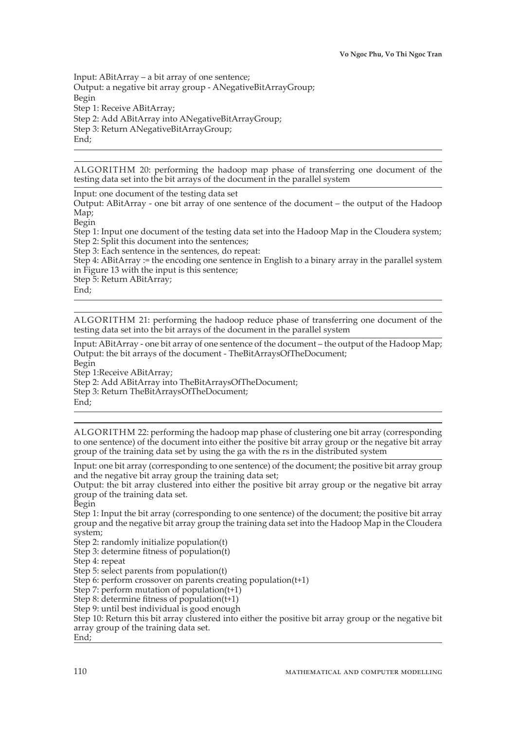Input: ABitArray – a bit array of one sentence; Output: a negative bit array group - ANegativeBitArrayGroup; Begin Step 1: Receive ABitArray; Step 2: Add ABitArray into ANegativeBitArrayGroup; Step 3: Return ANegativeBitArrayGroup; End;

ALGORITHM 20: performing the hadoop map phase of transferring one document of the testing data set into the bit arrays of the document in the parallel system

Input: one document of the testing data set

Output: ABitArray - one bit array of one sentence of the document – the output of the Hadoop Map;

Begin

Step 1: Input one document of the testing data set into the Hadoop Map in the Cloudera system; Step 2: Split this document into the sentences;

Step 3: Each sentence in the sentences, do repeat:

Step 4: ABitArray := the encoding one sentence in English to a binary array in the parallel system in Figure 13 with the input is this sentence;

Step 5: Return ABitArray;

End;

ALGORITHM 21: performing the hadoop reduce phase of transferring one document of the testing data set into the bit arrays of the document in the parallel system

Input: ABitArray - one bit array of one sentence of the document – the output of the Hadoop Map; Output: the bit arrays of the document - TheBitArraysOfTheDocument; Begin Step 1:Receive ABitArray;

Step 2: Add ABitArray into TheBitArraysOfTheDocument; Step 3: Return TheBitArraysOfTheDocument;

End;

ALGORITHM 22: performing the hadoop map phase of clustering one bit array (corresponding to one sentence) of the document into either the positive bit array group or the negative bit array group of the training data set by using the ga with the rs in the distributed system

Input: one bit array (corresponding to one sentence) of the document; the positive bit array group and the negative bit array group the training data set;

Output: the bit array clustered into either the positive bit array group or the negative bit array group of the training data set.

Begin

Step 1: Input the bit array (corresponding to one sentence) of the document; the positive bit array group and the negative bit array group the training data set into the Hadoop Map in the Cloudera system;

Step 2: randomly initialize population(t)

Step 3: determine fitness of population(t)

Step 4: repeat

Step 5: select parents from population(t)

Step 6: perform crossover on parents creating population(t+1)

Step 7: perform mutation of population(t+1)

Step 8: determine fitness of population(t+1)

Step 9: until best individual is good enough

Step 10: Return this bit array clustered into either the positive bit array group or the negative bit array group of the training data set.

End;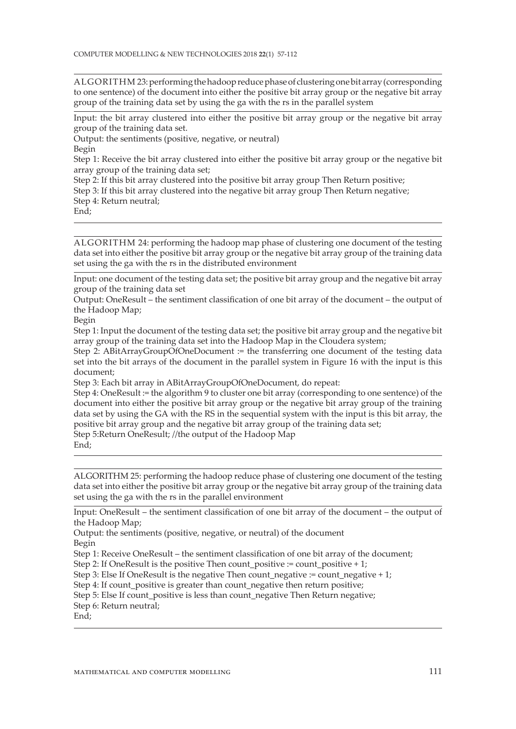ALGORITHM 23: performing the hadoop reduce phase of clustering one bit array (corresponding to one sentence) of the document into either the positive bit array group or the negative bit array group of the training data set by using the ga with the rs in the parallel system

Input: the bit array clustered into either the positive bit array group or the negative bit array group of the training data set.

Output: the sentiments (positive, negative, or neutral)

Begin

Step 1: Receive the bit array clustered into either the positive bit array group or the negative bit array group of the training data set;

Step 2: If this bit array clustered into the positive bit array group Then Return positive;

Step 3: If this bit array clustered into the negative bit array group Then Return negative;

Step 4: Return neutral;

End;

ALGORITHM 24: performing the hadoop map phase of clustering one document of the testing data set into either the positive bit array group or the negative bit array group of the training data set using the ga with the rs in the distributed environment

Input: one document of the testing data set; the positive bit array group and the negative bit array group of the training data set

Output: OneResult – the sentiment classification of one bit array of the document – the output of the Hadoop Map;

Begin

Step 1: Input the document of the testing data set; the positive bit array group and the negative bit array group of the training data set into the Hadoop Map in the Cloudera system;

Step 2: ABitArrayGroupOfOneDocument := the transferring one document of the testing data set into the bit arrays of the document in the parallel system in Figure 16 with the input is this document;

Step 3: Each bit array in ABitArrayGroupOfOneDocument, do repeat:

Step 4: OneResult := the algorithm 9 to cluster one bit array (corresponding to one sentence) of the document into either the positive bit array group or the negative bit array group of the training data set by using the GA with the RS in the sequential system with the input is this bit array, the positive bit array group and the negative bit array group of the training data set;

Step 5:Return OneResult; //the output of the Hadoop Map

ALGORITHM 25: performing the hadoop reduce phase of clustering one document of the testing data set into either the positive bit array group or the negative bit array group of the training data set using the ga with the rs in the parallel environment

Input: OneResult – the sentiment classification of one bit array of the document – the output of the Hadoop Map;

Output: the sentiments (positive, negative, or neutral) of the document Begin

Step 1: Receive OneResult – the sentiment classification of one bit array of the document;

Step 2: If OneResult is the positive Then count positive := count positive + 1;

Step 3: Else If OneResult is the negative Then count negative := count negative + 1;

Step 4: If count positive is greater than count negative then return positive;

Step 5: Else If count positive is less than count negative Then Return negative;

Step 6: Return neutral;

End;

End: